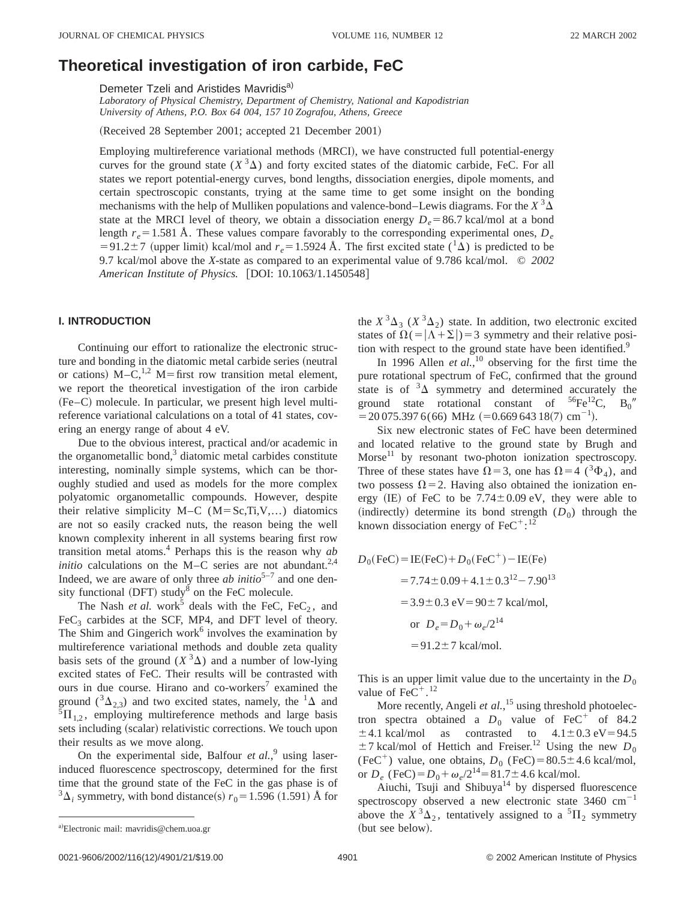# **Theoretical investigation of iron carbide, FeC**

Demeter Tzeli and Aristides Mavridisa)

*Laboratory of Physical Chemistry, Department of Chemistry, National and Kapodistrian University of Athens, P.O. Box 64 004, 157 10 Zografou, Athens, Greece*

(Received 28 September 2001; accepted 21 December 2001)

Employing multireference variational methods (MRCI), we have constructed full potential-energy curves for the ground state  $(X^3\Delta)$  and forty excited states of the diatomic carbide, FeC. For all states we report potential-energy curves, bond lengths, dissociation energies, dipole moments, and certain spectroscopic constants, trying at the same time to get some insight on the bonding mechanisms with the help of Mulliken populations and valence-bond–Lewis diagrams. For the  $X^3\Delta$ state at the MRCI level of theory, we obtain a dissociation energy  $D_e = 86.7$  kcal/mol at a bond length  $r_e$ =1.581 Å. These values compare favorably to the corresponding experimental ones,  $D_e$  $=91.2\pm7$  (upper limit) kcal/mol and  $r_e=1.5924$  Å. The first excited state ( $\frac{1}{\Delta}$ ) is predicted to be 9.7 kcal/mol above the *X*-state as compared to an experimental value of 9.786 kcal/mol. © *2002 American Institute of Physics.* [DOI: 10.1063/1.1450548]

### **I. INTRODUCTION**

Continuing our effort to rationalize the electronic structure and bonding in the diatomic metal carbide series (neutral or cations)  $M - C$ ,<sup>1,2</sup>  $M =$  first row transition metal element, we report the theoretical investigation of the iron carbide  $(Fe-C)$  molecule. In particular, we present high level multireference variational calculations on a total of 41 states, covering an energy range of about 4 eV.

Due to the obvious interest, practical and/or academic in the organometallic bond, $3$  diatomic metal carbides constitute interesting, nominally simple systems, which can be thoroughly studied and used as models for the more complex polyatomic organometallic compounds. However, despite their relative simplicity  $M-C$  ( $M=Sc,Ti,V,...$ ) diatomics are not so easily cracked nuts, the reason being the well known complexity inherent in all systems bearing first row transition metal atoms.4 Perhaps this is the reason why *ab initio* calculations on the M–C series are not abundant.<sup>2,4</sup> Indeed, we are aware of only three *ab initio*<sup>5-7</sup> and one density functional (DFT) study<sup>8</sup> on the FeC molecule.

The Nash *et al.* work<sup>5</sup> deals with the FeC, FeC<sub>2</sub>, and  $FeC<sub>3</sub>$  carbides at the SCF, MP4, and DFT level of theory. The Shim and Gingerich work<sup>6</sup> involves the examination by multireference variational methods and double zeta quality basis sets of the ground  $(X^3\Delta)$  and a number of low-lying excited states of FeC. Their results will be contrasted with ours in due course. Hirano and co-workers<sup>7</sup> examined the ground  $({}^3\Delta_{2,3})$  and two excited states, namely, the  ${}^1\Delta$  and  ${}^{5}\Pi_{1,2}$ , employing multireference methods and large basis sets including (scalar) relativistic corrections. We touch upon their results as we move along.

On the experimental side, Balfour *et al.*,<sup>9</sup> using laserinduced fluorescence spectroscopy, determined for the first time that the ground state of the FeC in the gas phase is of  $3\Delta_i$  symmetry, with bond distance(s)  $r_0$  = 1.596 (1.591) Å for the  $X^3\Delta_3$  ( $X^3\Delta_2$ ) state. In addition, two electronic excited states of  $\Omega(-|\Lambda+\Sigma|)=3$  symmetry and their relative position with respect to the ground state have been identified.<sup>9</sup>

In 1996 Allen *et al.*,<sup>10</sup> observing for the first time the pure rotational spectrum of FeC, confirmed that the ground state is of  ${}^{3}\Delta$  symmetry and determined accurately the ground state rotational constant of  ${}^{56}\text{Fe}^{12}\text{C}$ ,  $B_0$ <sup>n</sup>  $= 20075.3976(66) \text{ MHz } (=0.66964318(7) \text{ cm}^{-1}).$ 

Six new electronic states of FeC have been determined and located relative to the ground state by Brugh and Morse $11$  by resonant two-photon ionization spectroscopy. Three of these states have  $\Omega$ =3, one has  $\Omega$ =4 (<sup>3</sup> $\Phi$ <sub>4</sub>), and two possess  $\Omega$ =2. Having also obtained the ionization energy (IE) of FeC to be  $7.74 \pm 0.09$  eV, they were able to (indirectly) determine its bond strength  $(D_0)$  through the known dissociation energy of  $\text{FeC}^{+}$ :<sup>12</sup>

$$
D_0(\text{FeC}) = \text{IE(FeC)} + D_0(\text{FeC}^+) - \text{IE(Fe)}
$$
  
= 7.74 ± 0.09 + 4.1 ± 0.3<sup>12</sup> – 7.90<sup>13</sup>  
= 3.9 ± 0.3 eV = 90 ± 7 kcal/mol,  
or  $D_e = D_0 + \omega_e/2^{14}$   
= 91.2 ± 7 kcal/mol.

This is an upper limit value due to the uncertainty in the  $D_0$ value of  $\text{FeC}^+$ .<sup>12</sup>

More recently, Angeli *et al.*,<sup>15</sup> using threshold photoelectron spectra obtained a  $D_0$  value of FeC<sup>+</sup> of 84.2  $\pm$ 4.1 kcal/mol as contrasted to  $4.1\pm0.3$  eV=94.5  $\pm$ 7 kcal/mol of Hettich and Freiser.<sup>12</sup> Using the new  $D_0$ (FeC<sup>+</sup>) value, one obtains,  $D_0$  (FeC)=80.5±4.6 kcal/mol, or  $D_e$  (FeC) =  $D_0 + \omega_e/2^{14} = 81.7 \pm 4.6$  kcal/mol.

Aiuchi, Tsuji and Shibuya<sup>14</sup> by dispersed fluorescence spectroscopy observed a new electronic state  $3460 \text{ cm}^{-1}$ above the  $X^3\Delta_2$ , tentatively assigned to a <sup>5</sup> $\Pi_2$  symmetry (but see below).

a)Electronic mail: mavridis@chem.uoa.gr (but see below).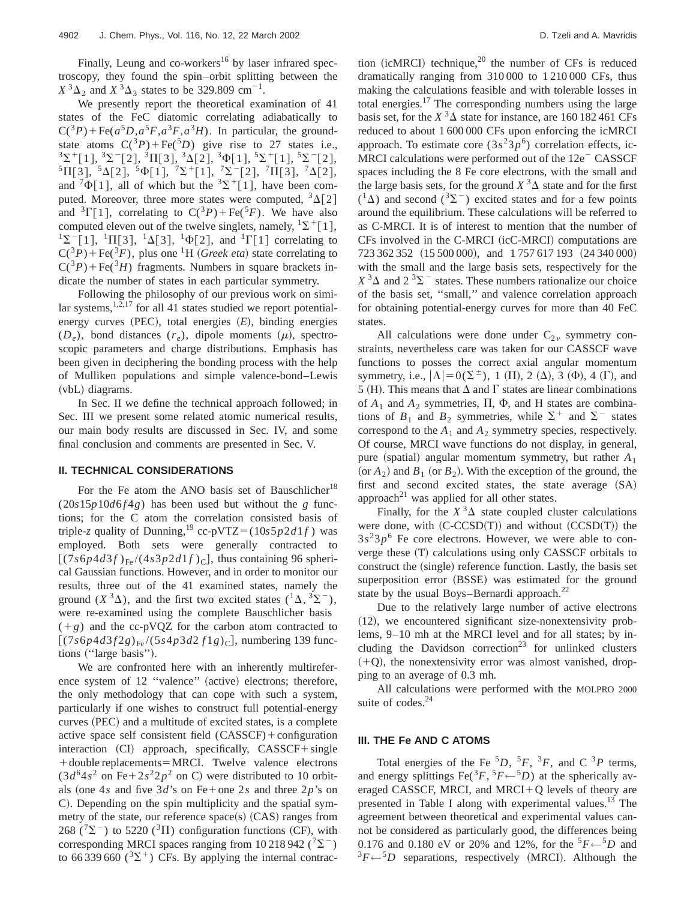Finally, Leung and co-workers<sup>16</sup> by laser infrared spectroscopy, they found the spin–orbit splitting between the  $X^{3}\Delta_{2}$  and  $X^{3}\Delta_{3}$  states to be 329.809 cm<sup>-1</sup>.

We presently report the theoretical examination of 41 states of the FeC diatomic correlating adiabatically to  $C(^{3}P)$ +Fe( $a^{5}D$ , $a^{5}F$ , $a^{3}F$ , $a^{3}H$ ). In particular, the groundstate atoms  $C({}^{3}P) + \text{Fe}(^{5}D)$  give rise to 27 states i.e.,  $3\Sigma^+$ [1],  $3\Sigma^-$ [2],  $3\Pi$ [3],  $3\Delta$ [2],  $3\Phi$ [1],  $5\Sigma^+$ [1],  $5\Sigma^-$ [2],  ${}^{5}\Pi[3], {}^{5}\Delta[2], {}^{5}\Phi[1], {}^{7}\Sigma^{+}[1], {}^{7}\Sigma^{-}[2], {}^{7}\Pi[3], {}^{7}\Delta[2],$ and  $^{7}\Phi[1]$ , all of which but the  $^{3}\Sigma^{+}[1]$ , have been computed. Moreover, three more states were computed,  ${}^{3}\Delta[2]$ and  ${}^{3}\Gamma[1]$ , correlating to  $C({}^{3}P)+Fe({}^{5}F)$ . We have also computed eleven out of the twelve singlets, namely,  ${}^{1}\Sigma^{+}[1]$ ,  ${}^{1}\Sigma^{-}[1], {}^{1}\Pi[3], {}^{1}\Delta[3], {}^{1}\Phi[2],$  and  ${}^{1}\Gamma[1]$  correlating to  $C({}^{3}P)$  + Fe( ${}^{3}F$ ), plus one <sup>1</sup>H (*Greek eta*) state correlating to  $C({}^{3}P)$ +Fe( ${}^{3}H$ ) fragments. Numbers in square brackets indicate the number of states in each particular symmetry.

Following the philosophy of our previous work on similar systems,  $1,2,17$  for all 41 states studied we report potentialenergy curves  $(PEC)$ , total energies  $(E)$ , binding energies  $(D_e)$ , bond distances  $(r_e)$ , dipole moments  $(\mu)$ , spectroscopic parameters and charge distributions. Emphasis has been given in deciphering the bonding process with the help of Mulliken populations and simple valence-bond–Lewis  $(vbL)$  diagrams.

In Sec. II we define the technical approach followed; in Sec. III we present some related atomic numerical results, our main body results are discussed in Sec. IV, and some final conclusion and comments are presented in Sec. V.

#### **II. TECHNICAL CONSIDERATIONS**

For the Fe atom the ANO basis set of Bauschlicher<sup>18</sup>  $(20s15p10d6f4g)$  has been used but without the *g* functions; for the C atom the correlation consisted basis of triple-*z* quality of Dunning,<sup>19</sup> cc-pVTZ=(10*s*5*p*2*d*1*f*) was employed. Both sets were generally contracted to  $[(7s6p4d3f)_{Fe}/(4s3p2d1f)_{C}]$ , thus containing 96 spherical Gaussian functions. However, and in order to monitor our results, three out of the 41 examined states, namely the ground  $(X^3\Delta)$ , and the first two excited states  $({}^1\Delta, {}^3\Sigma^-)$ , were re-examined using the complete Bauschlicher basis  $(+g)$  and the cc-pVQZ for the carbon atom contracted to  $[(7s6p4d3f2g)_{Fe}/(5s4p3d2f1g)_{C}]$ , numbering 139 functions ("large basis").

We are confronted here with an inherently multireference system of 12 "valence" (active) electrons; therefore, the only methodology that can cope with such a system, particularly if one wishes to construct full potential-energy curves (PEC) and a multitude of excited states, is a complete active space self consistent field  $(CASSCF)$ +configuration  $interaction$   $(CI)$  approach, specifically,  $CASSCF + single$ + double replacements = MRCI. Twelve valence electrons  $(3d<sup>6</sup>4s<sup>2</sup>$  on Fe $+2s<sup>2</sup>2p<sup>2</sup>$  on C) were distributed to 10 orbitals (one 4*s* and five  $3d$ 's on Fe+one 2*s* and three 2*p*'s on C). Depending on the spin multiplicity and the spatial symmetry of the state, our reference  $space(s)$  (CAS) ranges from 268 ( $\sqrt{2}$ ) to 5220 ( $\sqrt{3}$ II) configuration functions (CF), with corresponding MRCI spaces ranging from 10 218 942 ( $\sqrt{2}$ ) to 66 339 660  $(^{3}\Sigma^{+})$  CFs. By applying the internal contraction (icMRCI) technique,<sup>20</sup> the number of CFs is reduced dramatically ranging from 310 000 to 1 210 000 CFs, thus making the calculations feasible and with tolerable losses in total energies. $17$  The corresponding numbers using the large basis set, for the  $X^3\Delta$  state for instance, are 160 182 461 CFs reduced to about 1 600 000 CFs upon enforcing the icMRCI approach. To estimate core  $(3s^23p^6)$  correlation effects, ic-MRCI calculations were performed out of the  $12e^-$  CASSCF spaces including the 8 Fe core electrons, with the small and the large basis sets, for the ground  $X^3\Delta$  state and for the first  $({}^{1}\Delta)$  and second  $({}^{3}\Sigma^{-})$  excited states and for a few points around the equilibrium. These calculations will be referred to as C-MRCI. It is of interest to mention that the number of  $CFs$  involved in the C-MRCI ( $icC-MRCI$ ) computations are 723 362 352 (15 500 000), and 1 757 617 193 (24 340 000) with the small and the large basis sets, respectively for the  $X^3\Delta$  and  $2^3\Sigma^-$  states. These numbers rationalize our choice of the basis set, ''small,'' and valence correlation approach for obtaining potential-energy curves for more than 40 FeC states.

All calculations were done under  $C_{2\nu}$  symmetry constraints, nevertheless care was taken for our CASSCF wave functions to posses the correct axial angular momentum symmetry, i.e.,  $|\Lambda| = 0(\Sigma^{\pm})$ , 1 ( $\Pi$ ), 2 ( $\Delta$ ), 3 ( $\Phi$ ), 4 ( $\Gamma$ ), and 5 (H). This means that  $\Delta$  and  $\Gamma$  states are linear combinations of  $A_1$  and  $A_2$  symmetries,  $\Pi$ ,  $\Phi$ , and H states are combinations of  $B_1$  and  $B_2$  symmetries, while  $\Sigma^+$  and  $\Sigma^-$  states correspond to the  $A_1$  and  $A_2$  symmetry species, respectively. Of course, MRCI wave functions do not display, in general, pure (spatial) angular momentum symmetry, but rather  $A_1$  $(\text{or } A_2)$  and  $B_1$  (or  $B_2$ ). With the exception of the ground, the first and second excited states, the state average  $(SA)$ approach<sup>21</sup> was applied for all other states.

Finally, for the  $X^3\Delta$  state coupled cluster calculations were done, with  $(C-CCSD(T))$  and without  $(CCSD(T))$  the  $3s<sup>2</sup>3p<sup>6</sup>$  Fe core electrons. However, we were able to converge these (T) calculations using only CASSCF orbitals to construct the (single) reference function. Lastly, the basis set superposition error (BSSE) was estimated for the ground state by the usual Boys–Bernardi approach.<sup>22</sup>

Due to the relatively large number of active electrons  $(12)$ , we encountered significant size-nonextensivity problems, 9–10 mh at the MRCI level and for all states; by including the Davidson correction<sup>23</sup> for unlinked clusters  $(+Q)$ , the nonextensivity error was almost vanished, dropping to an average of 0.3 mh.

All calculations were performed with the MOLPRO 2000 suite of codes.<sup>24</sup>

### **III. THE Fe AND C ATOMS**

Total energies of the Fe  ${}^5D$ ,  ${}^5F$ ,  ${}^3F$ , and C  ${}^3P$  terms, and energy splittings Fe( ${}^3F, {}^5F \leftarrow {}^5D$ ) at the spherically averaged CASSCF, MRCI, and MRCI+Q levels of theory are presented in Table I along with experimental values. $^{13}$  The agreement between theoretical and experimental values cannot be considered as particularly good, the differences being 0.176 and 0.180 eV or 20% and 12%, for the  $5F \leftarrow 5D$  and  ${}^{3}F\leftarrow {}^{5}D$  separations, respectively (MRCI). Although the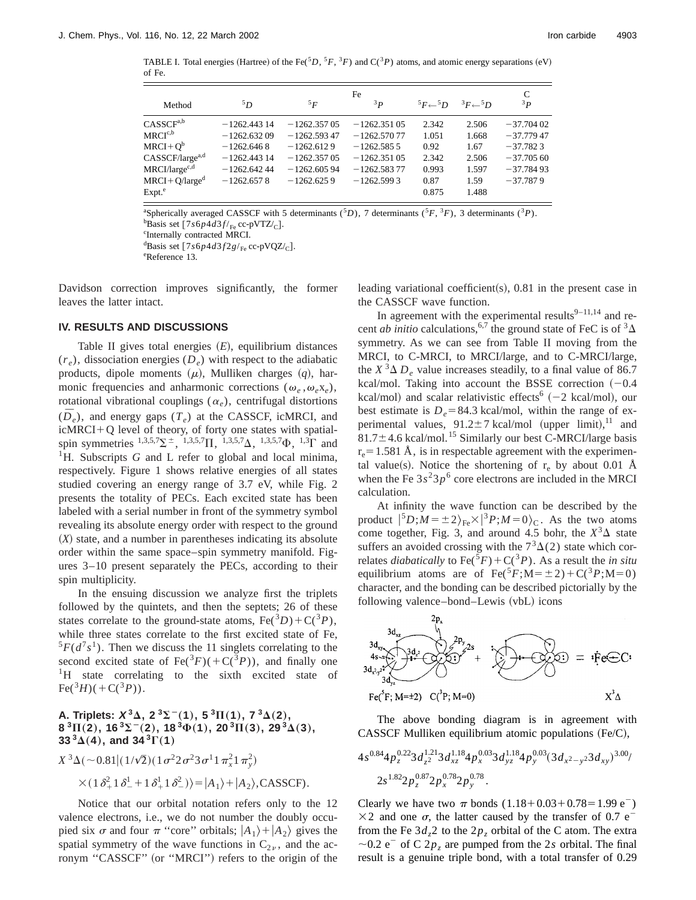TABLE I. Total energies (Hartree) of the Fe( ${}^5D$ ,  ${}^5F$ ,  ${}^3F$ ) and C( ${}^3P$ ) atoms, and atomic energy separations (eV) of Fe.

|                             |                | Fe            |               |                    |               |             |  |  |  |  |
|-----------------------------|----------------|---------------|---------------|--------------------|---------------|-------------|--|--|--|--|
| Method                      | 5D             | 5F            | 3p            | $5F \leftarrow 5D$ | ${}^3F-{}^5D$ | 3p          |  |  |  |  |
| CASSCF <sup>a,b</sup>       | $-1262.44314$  | $-1262.35705$ | $-1262.35105$ | 2.342              | 2.506         | $-37.70402$ |  |  |  |  |
| $MRCI^{c,b}$                | $-1262.63209$  | $-1262.59347$ | $-1262.57077$ | 1.051              | 1.668         | $-37.77947$ |  |  |  |  |
| $MRCI + O^b$                | $-1262.6468$   | $-1262.6129$  | $-1262.5855$  | 0.92               | 1.67          | $-37.7823$  |  |  |  |  |
| CASSCF/large <sup>a,d</sup> | $-1262.44314$  | $-1262.35705$ | $-1262.35105$ | 2.342              | 2.506         | $-37.70560$ |  |  |  |  |
| $MRCI/large^{c,d}$          | $-1262.642.44$ | $-1262,60594$ | $-1262.58377$ | 0.993              | 1.597         | $-37.78493$ |  |  |  |  |
| $MRCI + O/larged$           | $-1262.6578$   | $-1262.6259$  | $-1262.5993$  | 0.87               | 1.59          | $-37.7879$  |  |  |  |  |
| $Expt.$ <sup>e</sup>        |                |               |               | 0.875              | 1.488         |             |  |  |  |  |

<sup>a</sup>Spherically averaged CASSCF with 5 determinants (<sup>5</sup>D), 7 determinants (<sup>5</sup>F, <sup>3</sup>F), 3 determinants (<sup>3</sup>P).

 ${}^{b}$ Basis set [7*s*6*p*4*d*3*f*/<sub>Fe</sub> cc-pVTZ/<sub>C</sub>]. <sup>c</sup>Internally contracted MRCI.

<sup>d</sup>Basis set  $[7s6p4d3f2g/r_e$  cc-pVQZ/<sub>C</sub>].

Reference 13.

Davidson correction improves significantly, the former leaves the latter intact.

### **IV. RESULTS AND DISCUSSIONS**

Table II gives total energies  $(E)$ , equilibrium distances  $(r_e)$ , dissociation energies  $(D_e)$  with respect to the adiabatic products, dipole moments  $(\mu)$ , Mulliken charges  $(q)$ , harmonic frequencies and anharmonic corrections ( $\omega_e$ , $\omega_e$ x<sub>*e*</sub>), rotational vibrational couplings  $(\alpha_e)$ , centrifugal distortions  $(\bar{D}_{e})$ , and energy gaps  $(T_{e})$  at the CASSCF, icMRCI, and  $icMRCI+Q$  level of theory, of forty one states with spatialspin symmetries  $^{1,3,5,7}\Sigma^{\pm}$ ,  $^{1,3,5,7}\Pi$ ,  $^{1,3,5,7}\Delta$ ,  $^{1,3,5,7}\Phi$ ,  $^{1,3}\Gamma$  and <sup>1</sup>H. Subscripts *G* and L refer to global and local minima, respectively. Figure 1 shows relative energies of all states studied covering an energy range of 3.7 eV, while Fig. 2 presents the totality of PECs. Each excited state has been labeled with a serial number in front of the symmetry symbol revealing its absolute energy order with respect to the ground  $(X)$  state, and a number in parentheses indicating its absolute order within the same space–spin symmetry manifold. Figures 3–10 present separately the PECs, according to their spin multiplicity.

In the ensuing discussion we analyze first the triplets followed by the quintets, and then the septets; 26 of these states correlate to the ground-state atoms,  $Fe^{3}D+C^{3}P$ , while three states correlate to the first excited state of Fe,  ${}^{5}F(d^{7}s^{1})$ . Then we discuss the 11 singlets correlating to the second excited state of  $\text{Fe}({}^{3}F)(+C({}^{3}P))$ , and finally one <sup>1</sup>H state correlating to the sixth excited state of  $Fe(^{3}H)(+C(^{3}P)).$ 

# **A. Triplets:**  $X^3\Delta$ ,  $2^3\Sigma^-(1)$ ,  $5^3\Pi(1)$ ,  $7^3\Delta(2)$ ,  $8^{3}$ II(2), 16<sup>3</sup> $\sum$ <sup>-</sup>(2), 18<sup>3</sup> $\Phi$ (1), 20<sup>3</sup>II(3), 29<sup>3</sup> $\Delta$ (3), **33**<sup>3</sup> $\Delta$ (4), and 34<sup>3</sup> $\Gamma$ (1)

$$
X^{3}\Delta(\sim 0.81|(1/\sqrt{2})(1\sigma^{2}2\sigma^{2}3\sigma^{1}1\pi_{x}^{2}1\pi_{y}^{2})
$$
  
× $(1\delta_{+}^{2}1\delta_{-}^{1}+1\delta_{+}^{1}1\delta_{-}^{2})$ >= $|A_{1}\rangle + |A_{2}\rangle$ , CASSCF).

Notice that our orbital notation refers only to the 12 valence electrons, i.e., we do not number the doubly occupied six  $\sigma$  and four  $\pi$  "core" orbitals;  $|A_1\rangle + |A_2\rangle$  gives the spatial symmetry of the wave functions in  $C_{2\nu}$ , and the acronym "CASSCF" (or "MRCI") refers to the origin of the leading variational coefficient(s),  $0.81$  in the present case in the CASSCF wave function.

In agreement with the experimental results $9-11,14$  and recent *ab initio* calculations,<sup>6,7</sup> the ground state of FeC is of  ${}^{3}\Delta$ symmetry. As we can see from Table II moving from the MRCI, to C-MRCI, to MRCI/large, and to C-MRCI/large, the  $X^3 \Delta D_e$  value increases steadily, to a final value of 86.7 kcal/mol. Taking into account the BSSE correction  $(-0.4)$ kcal/mol) and scalar relativistic effects<sup>6</sup>  $(-2 \text{ kcal/mol})$ , our best estimate is  $D_e = 84.3$  kcal/mol, within the range of experimental values,  $91.2 \pm 7$  kcal/mol (upper limit),<sup>11</sup> and  $81.7 \pm 4.6$  kcal/mol.<sup>15</sup> Similarly our best C-MRCI/large basis  $r_e$ =1.581 Å, is in respectable agreement with the experimental value(s). Notice the shortening of  $r_e$  by about 0.01 Å when the Fe  $3s<sup>2</sup>3p<sup>6</sup>$  core electrons are included in the MRCI calculation.

At infinity the wave function can be described by the product  $|^{5}D; M = \pm 2\rangle_{\text{Fe}} \times |^{3}P; M = 0\rangle_{\text{C}}$ . As the two atoms come together, Fig. 3, and around 4.5 bohr, the  $X<sup>3</sup>\Delta$  state suffers an avoided crossing with the  $7<sup>3</sup>\Delta(2)$  state which correlates *diabatically* to  $\text{Fe}({}^5F) + \text{C}({}^3P)$ . As a result the *in situ* equilibrium atoms are of  $\text{Fe}({}^5F;M=\pm 2)+\text{C}({}^3P;M=0)$ character, and the bonding can be described pictorially by the following valence–bond–Lewis (vbL) icons



The above bonding diagram is in agreement with CASSCF Mulliken equilibrium atomic populations  $(Fe/C)$ ,

$$
4s^{0.84}4p_z^{0.22}3d_{z^2}^{1.21}3d_{xz}^{1.18}4p_x^{0.03}3d_{yz}^{1.18}4p_y^{0.03}(3d_{x^2-y^2}3d_{xy})^{3.00/}
$$
  

$$
2s^{1.82}2p_z^{0.87}2p_x^{0.78}2p_y^{0.78}.
$$

Clearly we have two  $\pi$  bonds (1.18+0.03+0.78=1.99 e<sup>-</sup>)  $\times$ 2 and one  $\sigma$ , the latter caused by the transfer of 0.7 e<sup>-</sup> from the Fe  $3d_z$  to the  $2p_z$  orbital of the C atom. The extra  $\sim$ 0.2 e<sup>-</sup> of C 2 $p<sub>z</sub>$  are pumped from the 2*s* orbital. The final result is a genuine triple bond, with a total transfer of 0.29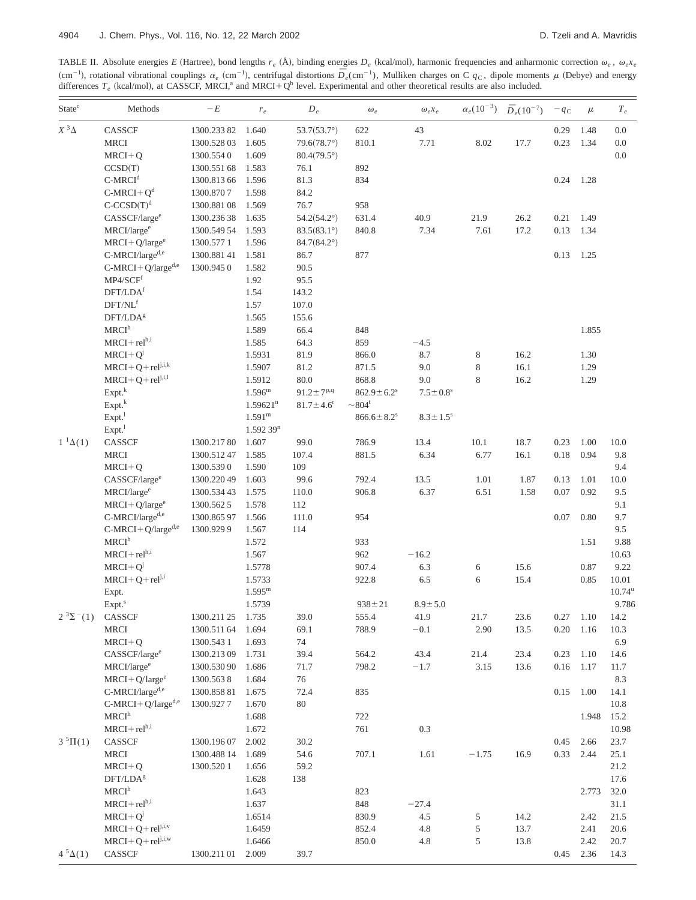TABLE II. Absolute energies *E* (Hartree), bond lengths  $r_e$  (Å), binding energies  $D_e$  (kcal/mol), harmonic frequencies and anharmonic correction  $\omega_e$ ,  $\omega_e x_e$  $^{2}$  (cm<sup>-1</sup>), rotational vibrational couplings  $\alpha_e$  (cm<sup>-1</sup>), centrifugal distortions  $\overline{D}_e$ (cm<sup>-1</sup>), Mulliken charges on C  $q_c$ , dipole moments  $\mu$  (Debye) and energy differences  $T_e$  (kcal/mol), at CASSCF, MRCI,<sup>a</sup> and MRCI+Q<sup>b</sup> level. Experimental and other theoretical results are also included.

| State <sup>c</sup>    | Methods                                 | $-E$                      | $r_e\,$                | $D_e\,$                     | $\omega_e$                   | $\omega_e x_e$             |               | $\alpha_e(10^{-3})$ $\bar{D}_e(10^{-7})$ | $-q_c$           | $\mu$     | $T_{\it e}$     |
|-----------------------|-----------------------------------------|---------------------------|------------------------|-----------------------------|------------------------------|----------------------------|---------------|------------------------------------------|------------------|-----------|-----------------|
| $X^3\Delta$           | CASSCF                                  | 1300.23382                | 1.640                  | $53.7(53.7^{\circ})$        | 622                          | $43\,$                     |               |                                          | 0.29             | 1.48      | $0.0\,$         |
|                       | <b>MRCI</b>                             | 1300.52803                | 1.605                  | $79.6(78.7^{\circ})$        | 810.1                        | 7.71                       | 8.02          | 17.7                                     | 0.23             | 1.34      | $0.0\,$         |
|                       | $MRCI + Q$                              | 1300.5540                 | 1.609                  | $80.4(79.5^{\circ})$        |                              |                            |               |                                          |                  |           | $0.0\,$         |
|                       | CCSD(T)                                 | 1300.551 68               | 1.583                  | 76.1                        | 892                          |                            |               |                                          |                  |           |                 |
|                       | $C-MRCId$                               | 1300.813 66               | 1.596                  | 81.3                        | 834                          |                            |               |                                          | 0.24             | 1.28      |                 |
|                       | $C-MRCI+Qd$                             | 1300.8707                 | 1.598                  | 84.2                        |                              |                            |               |                                          |                  |           |                 |
|                       | $C-CCSD(T)d$                            | 1300.88108                | 1.569                  | 76.7                        | 958                          |                            |               |                                          |                  |           |                 |
|                       | CASSCF/large <sup>e</sup>               | 1300.23638                | 1.635                  | $54.2(54.2^{\circ})$        | 631.4                        | 40.9                       | 21.9          | 26.2                                     | 0.21             | 1.49      |                 |
|                       | MRCI/large <sup>e</sup>                 | 1300.549 54               | 1.593                  | $83.5(83.1^{\circ})$        | 840.8                        | 7.34                       | 7.61          | 17.2                                     | 0.13             | 1.34      |                 |
|                       | $MRCI + Q/largee$                       | 1300.5771                 | 1.596                  | $84.7(84.2^{\circ})$        |                              |                            |               |                                          |                  |           |                 |
|                       | C-MRCI/larged,e                         | 1300.88141                | 1.581                  | 86.7                        | 877                          |                            |               |                                          | 0.13             | 1.25      |                 |
|                       | $C-MRCI+Q/large^{d,e}$                  | 1300.9450                 | 1.582                  | 90.5                        |                              |                            |               |                                          |                  |           |                 |
|                       | $\mathbf{MP4}/\mathbf{SCF}^\mathrm{f}$  |                           | 1.92                   | 95.5                        |                              |                            |               |                                          |                  |           |                 |
|                       | $\operatorname{DFT/LDA}^{\mathrm{f}}$   |                           | 1.54                   | 143.2                       |                              |                            |               |                                          |                  |           |                 |
|                       | $\text{DFT}/\text{NL}^\text{f}$         |                           | 1.57                   | 107.0                       |                              |                            |               |                                          |                  |           |                 |
|                       | DFT/LDA <sup>g</sup>                    |                           | 1.565                  | 155.6                       |                              |                            |               |                                          |                  |           |                 |
|                       | MRCI <sup>h</sup>                       |                           | 1.589                  | 66.4                        | 848                          |                            |               |                                          |                  | 1.855     |                 |
|                       | $MRCI + rel^{h,i}$                      |                           | 1.585                  | 64.3                        | 859                          | $-4.5$                     |               |                                          |                  |           |                 |
|                       | $MRCI + Q^{j}$                          |                           | 1.5931                 | 81.9                        | 866.0                        | 8.7                        | $\,8\,$       | 16.2                                     |                  | 1.30      |                 |
|                       | $MRCI + Q + rel^{j,i,k}$                |                           | 1.5907                 | 81.2                        | 871.5                        | 9.0                        | $\,8\,$       | 16.1                                     |                  | 1.29      |                 |
|                       | $MRCI+Q+relj,i,l$                       |                           | 1.5912                 | 80.0                        | 868.8                        | 9.0                        | 8             | 16.2                                     |                  | 1.29      |                 |
|                       | Expt. <sup>k</sup>                      |                           | $1.596^{\rm m}$        | $91.2 \pm 7^{p,q}$          | $862.9 \pm 6.2$ <sup>s</sup> | $7.5 \pm 0.8$ <sup>s</sup> |               |                                          |                  |           |                 |
|                       | Expt. <sup>k</sup>                      |                           | $1.59621$ <sup>n</sup> | $81.7 \pm 4.6$ <sup>r</sup> | $\sim 804^t$                 |                            |               |                                          |                  |           |                 |
|                       | $Expt.$ <sup>1</sup>                    |                           | $1.591^{\rm m}$        |                             | $866.6 \pm 8.2$ <sup>s</sup> | $8.3\pm1.5^{\rm s}$        |               |                                          |                  |           |                 |
|                       | Expt. <sup>1</sup>                      |                           | $1.59239$ <sup>n</sup> |                             |                              |                            |               |                                          |                  |           |                 |
| $1^1\Delta(1)$        | CASSCF                                  | 1300.21780                | 1.607                  | 99.0                        | 786.9                        | 13.4                       | 10.1          | 18.7                                     | 0.23             | 1.00      | 10.0            |
|                       | MRCI                                    | 1300.51247                | 1.585                  | 107.4                       | 881.5                        | 6.34                       | 6.77          | 16.1                                     | 0.18             | 0.94      | 9.8             |
|                       | $MRCI + Q$                              | 1300.5390                 | 1.590                  | 109                         |                              |                            |               |                                          |                  |           | 9.4             |
|                       | CASSCF/large <sup>e</sup>               | 1300.220 49               | 1.603                  | 99.6                        | 792.4                        | 13.5                       | 1.01          | 1.87                                     | 0.13             | 1.01      | 10.0            |
|                       | MRCI/large <sup>e</sup>                 | 1300.534 43               | 1.575                  | 110.0                       | 906.8                        | 6.37                       | 6.51          | 1.58                                     | 0.07             | 0.92      | 9.5             |
|                       | $MRCI + Q/largee$                       | 1300.5625                 | 1.578                  | 112                         |                              |                            |               |                                          |                  |           | 9.1             |
|                       | C-MRCI/large <sup>d,e</sup>             | 1300.86597                | 1.566                  | 111.0                       | 954                          |                            |               |                                          | 0.07             | 0.80      | 9.7             |
|                       | C-MRCI+Q/larged,e                       | 1300.9299                 | 1.567                  | 114                         |                              |                            |               |                                          |                  |           | 9.5             |
|                       | MRCI <sup>h</sup>                       |                           | 1.572                  |                             | 933                          |                            |               |                                          |                  | 1.51      | 9.88            |
|                       | $MRCI + rel^{h,i}$                      |                           | 1.567                  |                             | 962                          | $-16.2$                    |               |                                          |                  |           | 10.63           |
|                       | $MRCI + Q^{j}$                          |                           | 1.5778                 |                             | 907.4                        | 6.3                        | $\sqrt{6}$    | 15.6                                     |                  | 0.87      | 9.22            |
|                       | $MRCI + Q + rel^{j,i}$                  |                           | 1.5733                 |                             | 922.8                        | 6.5                        | 6             | 15.4                                     |                  | 0.85      | 10.01           |
|                       | Expt.                                   |                           | $1.595^{\rm m}$        |                             |                              |                            |               |                                          |                  |           | $10.74^{\rm u}$ |
|                       | Expt. <sup>s</sup>                      |                           | 1.5739                 |                             | $938 \pm 21$                 | $8.9 \pm 5.0$              |               |                                          |                  |           | 9.786           |
| $2^{3} \Sigma^{-}(1)$ | CASSCF                                  | 1300.211 25               | 1.735                  | 39.0                        | 555.4                        | 41.9                       | 21.7          | 23.6                                     | 0.27             | 1.10      | 14.2            |
|                       | <b>MRCI</b>                             | 1300.511 64               | 1.694                  | 69.1                        | 788.9                        | $-0.1$                     | 2.90          | 13.5                                     | 0.20             | 1.16      | 10.3            |
|                       | $MRCI + Q$<br>CASSCF/large <sup>e</sup> | 1300.5431                 | 1.693<br>1.731         | 74                          |                              |                            |               |                                          |                  | 1.10      | 6.9             |
|                       | MRCI/large <sup>e</sup>                 | 1300.21309<br>1300.530 90 | 1.686                  | 39.4<br>71.7                | 564.2<br>798.2               | 43.4<br>$-1.7$             | 21.4<br>3.15  | 23.4<br>13.6                             | 0.23<br>$0.16\,$ | 1.17      | 14.6<br>11.7    |
|                       | $MRCI + Q/largee$                       | 1300.5638                 | 1.684                  | 76                          |                              |                            |               |                                          |                  |           | 8.3             |
|                       | C-MRCI/large <sup>d,e</sup>             | 1300.85881                | 1.675                  | 72.4                        | 835                          |                            |               |                                          | 0.15             | 1.00      | 14.1            |
|                       | $C-MRCI+Q/large^{d,e}$                  | 1300.9277                 | 1.670                  | $80\,$                      |                              |                            |               |                                          |                  |           | 10.8            |
|                       | MRCI <sup>h</sup>                       |                           | 1.688                  |                             | 722                          |                            |               |                                          |                  | 1.948     | 15.2            |
|                       | $\rm MRCI + rel^{h,i}$                  |                           | 1.672                  |                             | 761                          | 0.3                        |               |                                          |                  |           | 10.98           |
| $3^{5}\Pi(1)$         | CASSCF                                  | 1300.19607                | 2.002                  | 30.2                        |                              |                            |               |                                          | 0.45             | 2.66      | 23.7            |
|                       | <b>MRCI</b>                             | 1300.488 14               | 1.689                  | 54.6                        | 707.1                        | 1.61                       | $-1.75$       | 16.9                                     | 0.33             | 2.44      | 25.1            |
|                       | $MRCI + Q$                              | 1300.5201                 | 1.656                  | 59.2                        |                              |                            |               |                                          |                  |           | 21.2            |
|                       | DFT/LDA <sup>g</sup>                    |                           | 1.628                  | 138                         |                              |                            |               |                                          |                  |           | 17.6            |
|                       | MRCI <sup>h</sup>                       |                           | 1.643                  |                             | 823                          |                            |               |                                          |                  | 2.773     | 32.0            |
|                       | $MRCI + rel^{h,i}$                      |                           | 1.637                  |                             | 848                          | $-27.4$                    |               |                                          |                  |           | 31.1            |
|                       | $MRCI + Q^{j}$                          |                           | 1.6514                 |                             | 830.9                        | 4.5                        | 5             | 14.2                                     |                  | 2.42      | 21.5            |
|                       | $MRCI + Q + rel^{j,i,v}$                |                           | 1.6459                 |                             | 852.4                        | 4.8                        | $\mathfrak s$ | 13.7                                     |                  | 2.41      | 20.6            |
|                       | $MRCI + Q + rel^{j,i,w}$                |                           | 1.6466                 |                             | 850.0                        | 4.8                        | 5             | 13.8                                     |                  | 2.42      | 20.7            |
| $4^{5}\Delta(1)$      | CASSCF                                  | 1300.211 01               | 2.009                  | 39.7                        |                              |                            |               |                                          |                  | 0.45 2.36 | 14.3            |
|                       |                                         |                           |                        |                             |                              |                            |               |                                          |                  |           |                 |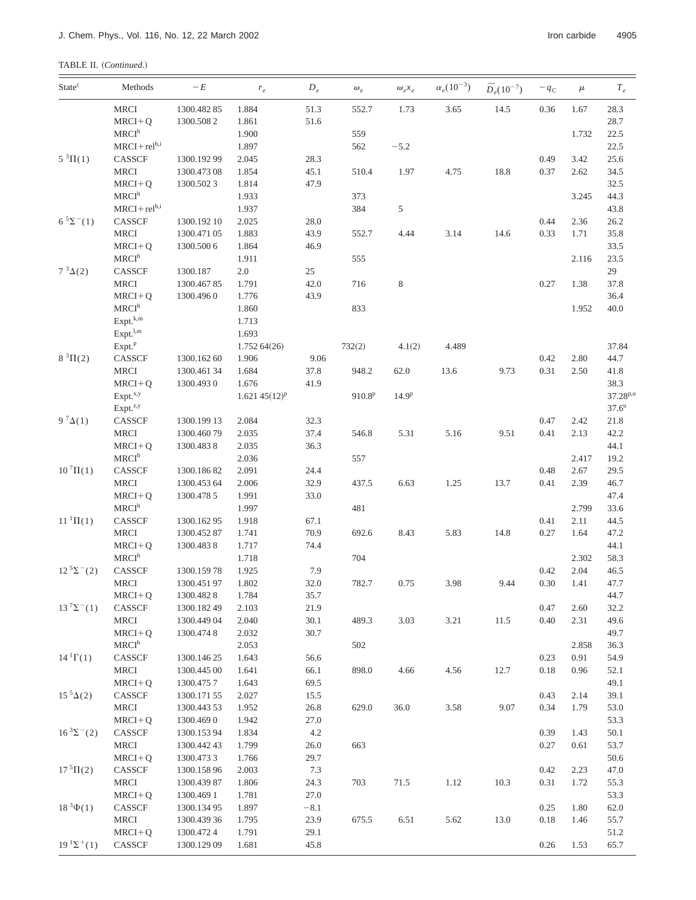| TABLE II. (Continued.) |  |
|------------------------|--|
|------------------------|--|

| <b>State</b> <sup>c</sup> | Methods              | $-E$        | $r_{e}$           | $D_e$   | $\omega_e$  | $\omega_e x_e$    | $\alpha_e(10^{-3})$ | $\bar{D}_e(10^{-7})$ | $-q_c$   | $\mu$ | $T_{e}% ^{r}=\sum_{r}\left\vert r\right\vert ^{2}$ |
|---------------------------|----------------------|-------------|-------------------|---------|-------------|-------------------|---------------------|----------------------|----------|-------|----------------------------------------------------|
|                           | MRCI                 | 1300.48285  | 1.884             | 51.3    | 552.7       | 1.73              | 3.65                | 14.5                 | 0.36     | 1.67  | 28.3                                               |
|                           | $MRCI + Q$           | 1300.5082   | 1.861             | 51.6    |             |                   |                     |                      |          |       | 28.7                                               |
|                           | MRCI <sup>h</sup>    |             | 1.900             |         | 559         |                   |                     |                      |          | 1.732 | 22.5                                               |
|                           | $MRCI + relh,i$      |             | 1.897             |         | 562         | $-5.2$            |                     |                      |          |       | 22.5                                               |
| $5^3\Pi(1)$               | CASSCF               | 1300.19299  | 2.045             | 28.3    |             |                   |                     |                      | 0.49     | 3.42  | 25.6                                               |
|                           | <b>MRCI</b>          | 1300.473 08 | 1.854             | 45.1    | 510.4       | 1.97              | 4.75                | 18.8                 | 0.37     | 2.62  | 34.5                                               |
|                           | $MRCI+Q$             | 1300.5023   | 1.814             | 47.9    |             |                   |                     |                      |          |       | 32.5                                               |
|                           | MRCI <sup>h</sup>    |             | 1.933             |         | 373         |                   |                     |                      |          | 3.245 | 44.3                                               |
|                           | $MRCI + rel^{h,i}$   |             | 1.937             |         | 384         | 5                 |                     |                      |          |       | 43.8                                               |
| $6^{5} \Sigma^{-}(1)$     | CASSCF               | 1300.192 10 | 2.025             | 28.0    |             |                   |                     |                      | 0.44     | 2.36  | 26.2                                               |
|                           | <b>MRCI</b>          | 1300.471 05 | 1.883             | 43.9    | 552.7       | 4.44              | 3.14                | 14.6                 | 0.33     | 1.71  | 35.8                                               |
|                           | $MRCI + Q$           | 1300.500 6  | 1.864             | 46.9    |             |                   |                     |                      |          |       | 33.5                                               |
|                           | MRCI <sup>h</sup>    |             | 1.911             |         | 555         |                   |                     |                      |          | 2.116 | 23.5                                               |
| $7^3\Delta(2)$            | CASSCF               | 1300.187    | $2.0\,$           | 25      |             |                   |                     |                      |          |       | 29                                                 |
|                           | <b>MRCI</b>          | 1300.46785  | 1.791             | 42.0    | 716         | 8                 |                     |                      | 0.27     | 1.38  | 37.8                                               |
|                           | $MRCI + Q$           | 1300.4960   | 1.776             | 43.9    |             |                   |                     |                      |          |       | 36.4                                               |
|                           | MRCI <sup>h</sup>    |             | 1.860             |         | 833         |                   |                     |                      |          | 1.952 | 40.0                                               |
|                           | Expt. <sup>k,m</sup> |             | 1.713             |         |             |                   |                     |                      |          |       |                                                    |
|                           | $Expt.^{l,m}$        |             | 1.693             |         |             |                   |                     |                      |          |       |                                                    |
|                           | Expt. <sup>p</sup>   |             | 1.75264(26)       |         | 732(2)      | 4.1(2)            | 4.489               |                      |          |       | 37.84                                              |
| $8^{3}\Pi(2)$             | CASSCF               | 1300.16260  | 1.906             | 9.06    |             |                   |                     |                      | 0.42     | 2.80  | 44.7                                               |
|                           | <b>MRCI</b>          | 1300.46134  | 1.684             | 37.8    | 948.2       | 62.0              | 13.6                | 9.73                 | 0.31     | 2.50  | 41.8                                               |
|                           | $MRCI + Q$           | 1300.4930   | 1.676             | 41.9    |             |                   |                     |                      |          |       | 38.3                                               |
|                           | Expt. <sup>x,y</sup> |             | $1.621\,45(12)^p$ |         | $910.8^{p}$ | 14.9 <sup>p</sup> |                     |                      |          |       | $37.28^{p,u}$                                      |
|                           | Expt. <sup>z,y</sup> |             |                   |         |             |                   |                     |                      |          |       | $37.6^{\rm u}$                                     |
| 9 $^7\Delta(1)$           | CASSCF               | 1300.199 13 | 2.084             | 32.3    |             |                   |                     |                      | 0.47     | 2.42  | 21.8                                               |
|                           | <b>MRCI</b>          | 1300.46079  | 2.035             | 37.4    | 546.8       | 5.31              | 5.16                | 9.51                 | 0.41     | 2.13  | 42.2                                               |
|                           | $MRCI + Q$           | 1300.4838   | 2.035             | 36.3    |             |                   |                     |                      |          |       | 44.1                                               |
|                           | MRCI <sup>h</sup>    |             | 2.036             |         | 557         |                   |                     |                      |          | 2.417 | 19.2                                               |
| $10^{7} \Pi(1)$           | CASSCF               | 1300.18682  | 2.091             | 24.4    |             |                   |                     |                      | 0.48     | 2.67  | 29.5                                               |
|                           | <b>MRCI</b>          | 1300.453 64 | 2.006             | 32.9    | 437.5       | 6.63              | 1.25                | 13.7                 | 0.41     | 2.39  | 46.7                                               |
|                           | $MRCI + Q$           | 1300.4785   | 1.991             | 33.0    |             |                   |                     |                      |          |       | 47.4                                               |
|                           | MRCI <sup>h</sup>    |             | 1.997             |         | 481         |                   |                     |                      |          | 2.799 | 33.6                                               |
| $11^{1} \Pi(1)$           | CASSCF               | 1300.16295  | 1.918             | 67.1    |             |                   |                     |                      | 0.41     | 2.11  | 44.5                                               |
|                           | MRCI                 | 1300.45287  | 1.741             | 70.9    | 692.6       | 8.43              | 5.83                | 14.8                 | 0.27     | 1.64  | 47.2                                               |
|                           | $MRCI+Q$             | 1300.4838   | 1.717             | 74.4    |             |                   |                     |                      |          |       | 44.1                                               |
|                           | MRCI <sup>h</sup>    |             | 1.718             |         | 704         |                   |                     |                      |          | 2.302 | 58.3                                               |
| $12^{5} \Sigma^{-}(2)$    | CASSCF               | 1300.15978  | 1.925             | 7.9     |             |                   |                     |                      | 0.42     | 2.04  | 46.5                                               |
|                           | <b>MRCI</b>          | 1300.45197  | 1.802             | 32.0    | 782.7       | 0.75              | 3.98                | 9.44                 | $0.30\,$ | 1.41  | 47.7                                               |
|                           | $MRCI+Q$             | 1300.4828   | 1.784             | 35.7    |             |                   |                     |                      |          |       | 44.7                                               |
| $13^{7} \Sigma^{-}(1)$    | CASSCF               | 1300.18249  | 2.103             | 21.9    |             |                   |                     |                      | 0.47     | 2.60  | 32.2                                               |
|                           | <b>MRCI</b>          | 1300.44904  | 2.040             | 30.1    | 489.3       | 3.03              | 3.21                | 11.5                 | 0.40     | 2.31  | 49.6                                               |
|                           | $MRCI + Q$           | 1300.4748   | 2.032             | 30.7    |             |                   |                     |                      |          |       | 49.7                                               |
|                           | MRCI <sup>h</sup>    |             | 2.053             |         | 502         |                   |                     |                      |          | 2.858 | 36.3                                               |
| $141\Gamma(1)$            | CASSCF               | 1300.14625  | 1.643             | 56.6    |             |                   |                     |                      | 0.23     | 0.91  | 54.9                                               |
|                           | MRCI                 | 1300.445 00 | 1.641             | 66.1    | 898.0       | 4.66              | 4.56                | 12.7                 | $0.18\,$ | 0.96  | 52.1                                               |
|                           | $MRCI+Q$             | 1300.4757   | 1.643             | 69.5    |             |                   |                     |                      |          |       | 49.1                                               |
| $15^5\Delta(2)$           | CASSCF               | 1300.17155  | 2.027             | 15.5    |             |                   |                     |                      | 0.43     | 2.14  | 39.1                                               |
|                           | <b>MRCI</b>          | 1300.443 53 | 1.952             | 26.8    | 629.0       | 36.0              | 3.58                | 9.07                 | 0.34     | 1.79  | 53.0                                               |
|                           | $MRCI + Q$           | 1300.4690   | 1.942             | 27.0    |             |                   |                     |                      |          |       | 53.3                                               |
| $16^{3} \Sigma^{-}(2)$    | CASSCF               | 1300.15394  | 1.834             | $4.2\,$ |             |                   |                     |                      | 0.39     | 1.43  | 50.1                                               |
|                           | <b>MRCI</b>          | 1300.44243  | 1.799             | 26.0    | 663         |                   |                     |                      | 0.27     | 0.61  | 53.7                                               |
|                           | $MRCI+Q$             | 1300.4733   | 1.766             | 29.7    |             |                   |                     |                      |          |       | 50.6                                               |
| $175\Pi(2)$               | CASSCF               | 1300.15896  | 2.003             | 7.3     |             |                   |                     |                      | 0.42     | 2.23  | 47.0                                               |
|                           | <b>MRCI</b>          | 1300.43987  | 1.806             | 24.3    | 703         | 71.5              | 1.12                | 10.3                 | 0.31     | 1.72  | 55.3                                               |
|                           | $MRCI+Q$             | 1300.4691   | 1.781             | 27.0    |             |                   |                     |                      |          |       | 53.3                                               |
| $18^{3}\Phi(1)$           | CASSCF               | 1300.13495  | 1.897             | $-8.1$  |             |                   |                     |                      | 0.25     | 1.80  | 62.0                                               |
|                           | <b>MRCI</b>          | 1300.439 36 | 1.795             | 23.9    | 675.5       | 6.51              | 5.62                | 13.0                 | 0.18     | 1.46  | 55.7                                               |
|                           | $MRCI+Q$             | 1300.4724   | 1.791             | 29.1    |             |                   |                     |                      |          |       | 51.2                                               |
| $19^{1}\Sigma^{+}(1)$     | CASSCF               | 1300.129 09 | 1.681             | 45.8    |             |                   |                     |                      | 0.26     | 1.53  | 65.7                                               |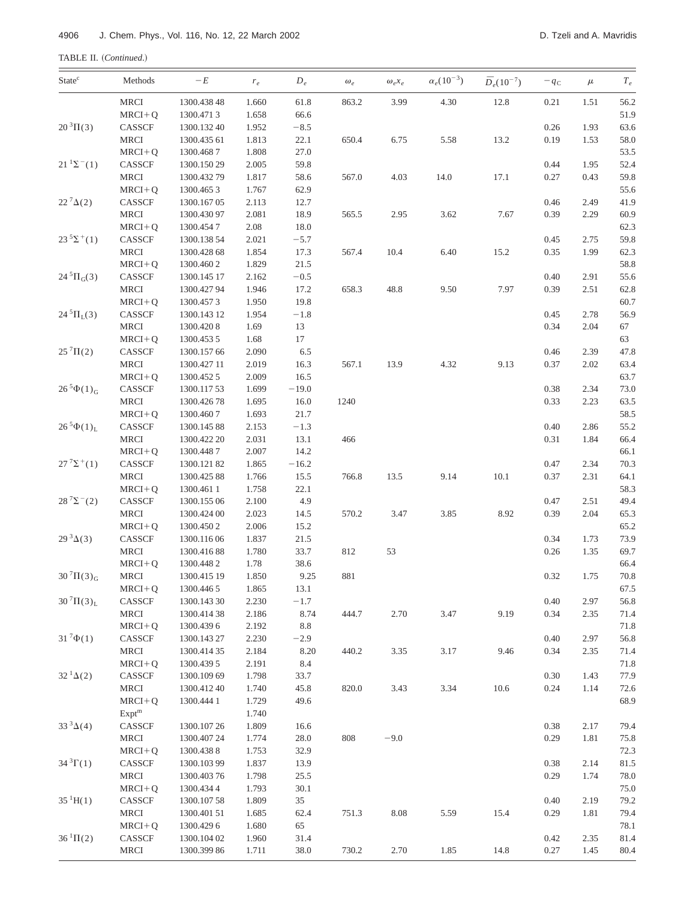TABLE II. (Continued.)

| State <sup>c</sup>         | Methods                        | $-E$        | $r_e$ | $D_e$   | $\omega_e$ | $\omega_e x_e$ | $\alpha_e (10^{-3})$ | $\bar{D}_e(10^{-7})$ | $-q_c$ | $\mu$ | $T_e$        |
|----------------------------|--------------------------------|-------------|-------|---------|------------|----------------|----------------------|----------------------|--------|-------|--------------|
|                            | MRCI                           | 1300.438 48 | 1.660 | 61.8    | 863.2      | 3.99           | 4.30                 | 12.8                 | 0.21   | 1.51  | 56.2         |
|                            | $MRCI+Q$                       | 1300.4713   | 1.658 | 66.6    |            |                |                      |                      |        |       | 51.9         |
| $20^{3} \Pi(3)$            | CASSCF                         | 1300.132 40 | 1.952 | $-8.5$  |            |                |                      |                      | 0.26   | 1.93  | 63.6         |
|                            | <b>MRCI</b>                    | 1300.435 61 | 1.813 | 22.1    | 650.4      | 6.75           | 5.58                 | 13.2                 | 0.19   | 1.53  | 58.0         |
|                            | $MRCI+Q$                       | 1300.4687   | 1.808 | 27.0    |            |                |                      |                      |        |       | 53.5         |
| $21^{1} \Sigma^{-}(1)$     | CASSCF                         | 1300.150 29 | 2.005 | 59.8    |            |                |                      |                      | 0.44   | 1.95  | 52.4         |
|                            | <b>MRCI</b>                    | 1300.43279  | 1.817 | 58.6    | 567.0      | 4.03           | 14.0                 | 17.1                 | 0.27   | 0.43  | 59.8         |
|                            | $MRCI + Q$                     | 1300.4653   | 1.767 | 62.9    |            |                |                      |                      |        |       | 55.6         |
| $22^{7}\Delta(2)$          | CASSCF                         | 1300.167 05 | 2.113 | 12.7    |            |                |                      |                      | 0.46   | 2.49  | 41.9         |
|                            | <b>MRCI</b>                    | 1300.430 97 | 2.081 | 18.9    | 565.5      | 2.95           | 3.62                 | 7.67                 | 0.39   | 2.29  | 60.9         |
|                            | $MRCI+Q$                       | 1300.4547   | 2.08  | 18.0    |            |                |                      |                      |        |       | 62.3         |
| $23^{5} \Sigma^{+}(1)$     | CASSCF                         | 1300.138 54 | 2.021 | $-5.7$  |            |                |                      |                      | 0.45   | 2.75  | 59.8         |
|                            | <b>MRCI</b>                    | 1300.428 68 | 1.854 | 17.3    | 567.4      | 10.4           | 6.40                 | 15.2                 | 0.35   | 1.99  | 62.3         |
|                            | $MRCI+Q$                       | 1300.4602   | 1.829 | 21.5    |            |                |                      |                      |        |       | 58.8         |
| $24\,{}^{5}\Pi_{G}(3)$     | $\ensuremath{\mathsf{CASSCF}}$ | 1300.145 17 | 2.162 | $-0.5$  |            |                |                      |                      | 0.40   | 2.91  | 55.6         |
|                            | <b>MRCI</b>                    | 1300.42794  | 1.946 | 17.2    | 658.3      | 48.8           | 9.50                 | 7.97                 | 0.39   | 2.51  | 62.8         |
|                            | $MRCI + Q$                     | 1300.4573   | 1.950 | 19.8    |            |                |                      |                      |        |       | 60.7         |
| $24\,{}^{5}\Pi_{L}(3)$     | CASSCF                         | 1300.143 12 | 1.954 | $-1.8$  |            |                |                      |                      | 0.45   | 2.78  | 56.9         |
|                            | <b>MRCI</b>                    | 1300.4208   | 1.69  | 13      |            |                |                      |                      | 0.34   | 2.04  | 67           |
|                            | $MRCI+Q$                       | 1300.4535   | 1.68  | 17      |            |                |                      |                      |        |       | 63           |
| $25^{7} \Pi(2)$            | CASSCF                         | 1300.157 66 | 2.090 | 6.5     |            |                |                      |                      | 0.46   | 2.39  | 47.8         |
|                            | <b>MRCI</b>                    | 1300.427 11 | 2.019 | 16.3    | 567.1      | 13.9           | 4.32                 | 9.13                 | 0.37   | 2.02  | 63.4         |
|                            | $MRCI + Q$                     | 1300.4525   | 2.009 | 16.5    |            |                |                      |                      |        |       | 63.7         |
| $26^{5}\Phi(1)_{G}$        | CASSCF                         | 1300.11753  | 1.699 | $-19.0$ |            |                |                      |                      | 0.38   | 2.34  | 73.0         |
|                            | <b>MRCI</b>                    | 1300.42678  | 1.695 | 16.0    | 1240       |                |                      |                      | 0.33   | 2.23  | 63.5         |
|                            | $MRCI+Q$                       | 1300.4607   | 1.693 | 21.7    |            |                |                      |                      |        |       | 58.5         |
| $26^{5}\Phi(1)_{L}$        | CASSCF                         | 1300.14588  | 2.153 | $-1.3$  |            |                |                      |                      | 0.40   | 2.86  | 55.2         |
|                            | <b>MRCI</b>                    | 1300.422 20 | 2.031 | 13.1    | 466        |                |                      |                      | 0.31   | 1.84  | 66.4         |
|                            | $MRCI+Q$                       | 1300.4487   | 2.007 | 14.2    |            |                |                      |                      |        |       | 66.1         |
| $27^{7} \Sigma^{+}(1)$     | $\ensuremath{\mathsf{CASSCF}}$ | 1300.12182  | 1.865 | $-16.2$ |            |                |                      |                      | 0.47   | 2.34  | 70.3         |
|                            | <b>MRCI</b>                    | 1300.42588  | 1.766 | 15.5    | 766.8      | 13.5           | 9.14                 | $10.1\,$             | 0.37   | 2.31  | 64.1         |
|                            | $MRCI + Q$                     | 1300.4611   | 1.758 | 22.1    |            |                |                      |                      |        |       | 58.3         |
| $28^{7} \Sigma^{-}(2)$     | CASSCF                         | 1300.155 06 | 2.100 | 4.9     |            |                |                      |                      | 0.47   | 2.51  | 49.4         |
|                            | <b>MRCI</b>                    | 1300.424 00 | 2.023 | 14.5    | 570.2      | 3.47           | 3.85                 | 8.92                 | 0.39   | 2.04  | 65.3         |
|                            | $MRCI+Q$                       | 1300.4502   | 2.006 | 15.2    |            |                |                      |                      |        |       | 65.2         |
| $29^{3}\Delta(3)$          | CASSCF                         | 1300.11606  | 1.837 | 21.5    |            |                |                      |                      | 0.34   | 1.73  | 73.9         |
|                            | <b>MRCI</b>                    | 1300.41688  | 1.780 | 33.7    | 812        | 53             |                      |                      | 0.26   | 1.35  | 69.7         |
|                            | $MRCI + Q$                     | 1300.4482   | 1.78  | 38.6    |            |                |                      |                      |        |       | 66.4         |
| $30\,{}^{7}\Pi(3)_{\rm G}$ | MRCI                           | 1300.415 19 | 1.850 | 9.25    | 881        |                |                      |                      | 0.32   | 1.75  | 70.8         |
|                            | $MRCI+Q$                       | 1300.4465   | 1.865 | 13.1    |            |                |                      |                      |        |       | 67.5         |
| $30^{7} \Pi(3)_{L}$        | CASSCF                         | 1300.143 30 | 2.230 | $-1.7$  |            |                |                      |                      | 0.40   | 2.97  | 56.8         |
|                            | <b>MRCI</b>                    | 1300.41438  | 2.186 | 8.74    | 444.7      | 2.70           | 3.47                 | 9.19                 | 0.34   | 2.35  | 71.4         |
|                            | $MRCI+Q$                       | 1300.4396   | 2.192 | $8.8\,$ |            |                |                      |                      |        |       |              |
| $31^{7}\Phi(1)$            | CASSCF                         |             | 2.230 | $-2.9$  |            |                |                      |                      | 0.40   | 2.97  | 71.8<br>56.8 |
|                            |                                | 1300.143 27 |       |         |            |                |                      |                      |        |       |              |
|                            | MRCI                           | 1300.414 35 | 2.184 | 8.20    | 440.2      | 3.35           | 3.17                 | 9.46                 | 0.34   | 2.35  | 71.4         |
|                            | $MRCI+Q$                       | 1300.439 5  | 2.191 | 8.4     |            |                |                      |                      |        |       | 71.8         |
| $32^{1}\Delta(2)$          | $\ensuremath{\mathsf{CASSCF}}$ | 1300.109 69 | 1.798 | 33.7    |            |                |                      |                      | 0.30   | 1.43  | 77.9         |
|                            | MRCI                           | 1300.41240  | 1.740 | 45.8    | 820.0      | 3.43           | 3.34                 | 10.6                 | 0.24   | 1.14  | 72.6         |
|                            | $MRCI + Q$                     | 1300.444 1  | 1.729 | 49.6    |            |                |                      |                      |        |       | 68.9         |
|                            | Expt <sup>m</sup>              |             | 1.740 |         |            |                |                      |                      |        |       |              |
| $33^{3}\Delta(4)$          | CASSCF                         | 1300.10726  | 1.809 | 16.6    |            |                |                      |                      | 0.38   | 2.17  | 79.4         |
|                            | <b>MRCI</b>                    | 1300.407 24 | 1.774 | 28.0    | 808        | $-9.0$         |                      |                      | 0.29   | 1.81  | 75.8         |
|                            | $MRCI+Q$                       | 1300.4388   | 1.753 | 32.9    |            |                |                      |                      |        |       | 72.3         |
| $34^{3} \Gamma(1)$         | CASSCF                         | 1300.10399  | 1.837 | 13.9    |            |                |                      |                      | 0.38   | 2.14  | 81.5         |
|                            | <b>MRCI</b>                    | 1300.403 76 | 1.798 | 25.5    |            |                |                      |                      | 0.29   | 1.74  | 78.0         |
|                            | $MRCI+Q$                       | 1300.4344   | 1.793 | 30.1    |            |                |                      |                      |        |       | 75.0         |
| $35^1H(1)$                 | CASSCF                         | 1300.10758  | 1.809 | 35      |            |                |                      |                      | 0.40   | 2.19  | 79.2         |
|                            | MRCI                           | 1300.401 51 | 1.685 | 62.4    | 751.3      | $8.08\,$       | 5.59                 | 15.4                 | 0.29   | 1.81  | 79.4         |
|                            | $MRCI+Q$                       | 1300.4296   | 1.680 | 65      |            |                |                      |                      |        |       | 78.1         |
| $36^{1} \Pi(2)$            | CASSCF                         | 1300.104 02 | 1.960 | 31.4    |            |                |                      |                      | 0.42   | 2.35  | 81.4         |
|                            | MRCI                           | 1300.399 86 | 1.711 | 38.0    | 730.2      | 2.70           | 1.85                 | 14.8                 | 0.27   | 1.45  | 80.4         |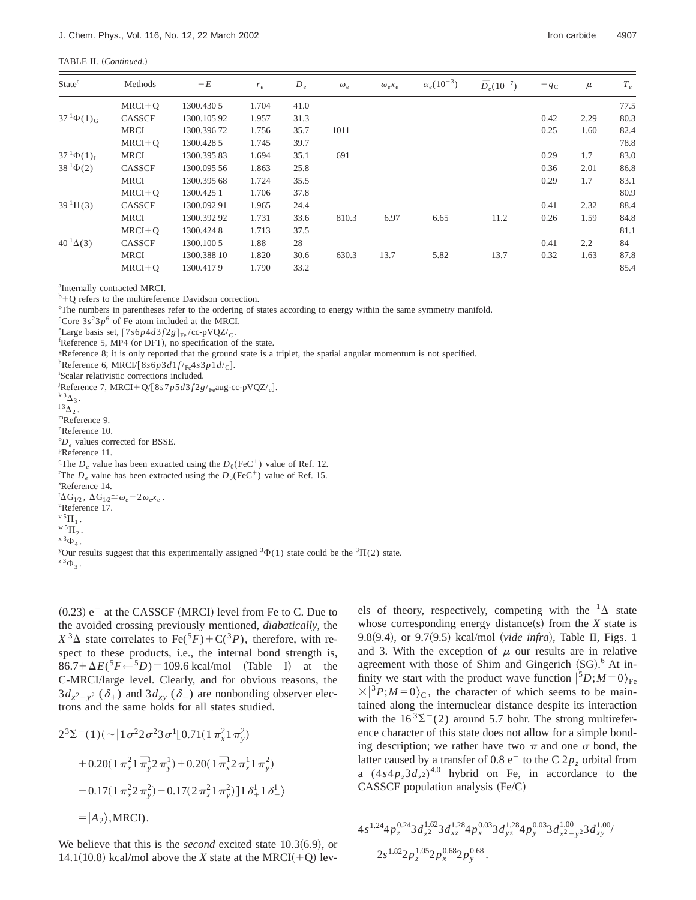TABLE II. (Continued.)

| State <sup>c</sup>  | Methods       | $-E$        | $r_e$ | $D_e$ | $\omega_e$ | $\omega_e x_e$ | $\alpha_e(10^{-3})$ | $\bar{D}_e(10^{-7})$ | $-q_c$ | $\mu$ | $T_e$ |
|---------------------|---------------|-------------|-------|-------|------------|----------------|---------------------|----------------------|--------|-------|-------|
|                     | $MRCI + Q$    | 1300.4305   | 1.704 | 41.0  |            |                |                     |                      |        |       | 77.5  |
| $37^{1}\Phi(1)_{G}$ | CASSCF        | 1300.10592  | 1.957 | 31.3  |            |                |                     |                      | 0.42   | 2.29  | 80.3  |
|                     | <b>MRCI</b>   | 1300.39672  | 1.756 | 35.7  | 1011       |                |                     |                      | 0.25   | 1.60  | 82.4  |
|                     | $MRCI + O$    | 1300.428.5  | 1.745 | 39.7  |            |                |                     |                      |        |       | 78.8  |
| $37^{1}\Phi(1)_{I}$ | <b>MRCI</b>   | 1300.39583  | 1.694 | 35.1  | 691        |                |                     |                      | 0.29   | 1.7   | 83.0  |
| $38^{1}\Phi(2)$     | <b>CASSCF</b> | 1300.095 56 | 1.863 | 25.8  |            |                |                     |                      | 0.36   | 2.01  | 86.8  |
|                     | <b>MRCI</b>   | 1300.395 68 | 1.724 | 35.5  |            |                |                     |                      | 0.29   | 1.7   | 83.1  |
|                     | $MRCI + O$    | 1300.4251   | 1.706 | 37.8  |            |                |                     |                      |        |       | 80.9  |
| $39^{1} \Pi(3)$     | <b>CASSCF</b> | 1300.09291  | 1.965 | 24.4  |            |                |                     |                      | 0.41   | 2.32  | 88.4  |
|                     | <b>MRCI</b>   | 1300.39292  | 1.731 | 33.6  | 810.3      | 6.97           | 6.65                | 11.2                 | 0.26   | 1.59  | 84.8  |
|                     | $MRCI + O$    | 1300.4248   | 1.713 | 37.5  |            |                |                     |                      |        |       | 81.1  |
| $40^{1}\Delta(3)$   | CASSCF        | 1300.1005   | 1.88  | 28    |            |                |                     |                      | 0.41   | 2.2   | 84    |
|                     | <b>MRCI</b>   | 1300.388 10 | 1.820 | 30.6  | 630.3      | 13.7           | 5.82                | 13.7                 | 0.32   | 1.63  | 87.8  |
|                     | $MRCI + O$    | 1300.4179   | 1.790 | 33.2  |            |                |                     |                      |        |       | 85.4  |

a Internally contracted MRCI.

 $b + Q$  refers to the multireference Davidson correction.

c The numbers in parentheses refer to the ordering of states according to energy within the same symmetry manifold.

<sup>d</sup>Core  $3s^23p^6$  of Fe atom included at the MRCI.

<sup>e</sup>Large basis set,  $[7s6p4d3f2g]_{Fe}/cc-pVQZ/c$ .

 ${}^{\text{f}}$ Reference 5, MP4 (or DFT), no specification of the state.

g Reference 8; it is only reported that the ground state is a triplet, the spatial angular momentum is not specified.

<sup>h</sup>Reference 6, MRCI/[8*s*6*p*3*d*1*f*/<sub>Fe</sub>4*s*3*p*1*d*/<sub>C</sub>].

Scalar relativistic corrections included.

<sup>i</sup>Reference 7, MRCI+Q/[8*s*7*p5d*3*f* 2*g*/<sub>Fe</sub>aug-cc-pVQZ/<sub>c</sub>].<br><sup>k 3</sup> $\Delta$ <sub>3</sub>.<br><sup>13</sup> $\Delta$ <sub>2</sub>. mReference 9.

n Reference 10.

 ${}^{\circ}D_e$  values corrected for BSSE.<br>PReference 11

Reference 11.

<sup>q</sup>The *D<sub>e</sub>* value has been extracted using the  $D_0(\text{FeC}^+)$  value of Ref. 12. The *D*<sub>0</sub> value has been extracted using the *D*<sub>0</sub> (FeC<sup>+</sup>) value of Ref. 15. <sup>r</sup>The  $D_e$  value has been extracted using the  $D_0$ (FeC<sup>+</sup>) value of Ref. 15. Reference 14.  ${}^{t}\Delta G_{1/2}$ ,  $\Delta G_{1/2} \cong \omega_e - 2 \omega_e x_e$ .<br><sup>u</sup>Reference 17 Reference 17.  $\begin{array}{l} {\bf v} \, {\bf 5} \, {\bf \Pi}_{1} \, . \\ {\bf w} \, {\bf 5} \, {\bf \Pi}_{2} \, . \\ {\bf x} \, {\bf 3} \, \Phi_{4} \, . \end{array}$ <sup>y</sup>Our results suggest that this experimentally assigned <sup>3</sup> $\Phi(1)$  state could be the <sup>3</sup> $\Pi(2)$  state.

 $z^3\Phi_3$ .

 $(0.23)$  e<sup>-</sup> at the CASSCF (MRCI) level from Fe to C. Due to the avoided crossing previously mentioned, *diabatically*, the  $X^3\Delta$  state correlates to Fe(<sup>5</sup>F)+C(<sup>3</sup>P), therefore, with respect to these products, i.e., the internal bond strength is,  $86.7 + \Delta E({}^5F \leftarrow {}^5D) = 109.6$  kcal/mol (Table I) at the C-MRCI/large level. Clearly, and for obvious reasons, the  $3d_{x^2-y^2}$  ( $\delta_+$ ) and  $3d_{xy}$  ( $\delta_-$ ) are nonbonding observer electrons and the same holds for all states studied.

$$
2^{3}\Sigma^{-}(1)(\sim)1\sigma^{2}2\sigma^{2}3\sigma^{1}[0.71(1\pi_{x}^{2}1\pi_{y}^{2})
$$
  
+0.20(1\pi\_{x}^{2}1\pi\_{y}^{1})+0.20(1\pi\_{x}^{1}2\pi\_{x}^{1}1\pi\_{y}^{2})  
-0.17(1\pi\_{x}^{2}2\pi\_{y}^{2})-0.17(2\pi\_{x}^{2}1\pi\_{y}^{2})]1\delta\_{+}^{1}1\delta\_{-}^{1}  
=|A<sub>2</sub>),MRCI).

We believe that this is the *second* excited state 10.3(6.9), or 14.1(10.8) kcal/mol above the *X* state at the MRCI(+Q) levels of theory, respectively, competing with the  ${}^{1}\Delta$  state whose corresponding energy distance(s) from the  $X$  state is 9.8(9.4), or 9.7(9.5) kcal/mol (vide infra), Table II, Figs. 1 and 3. With the exception of  $\mu$  our results are in relative agreement with those of Shim and Gingerich  $(SG)$ .<sup>6</sup> At infinity we start with the product wave function  $|^{5}D; M=0\rangle_{\text{Fe}}$  $\times$ |<sup>3</sup>*P*;*M*=0<sub>)</sub><sub>C</sub>, the character of which seems to be maintained along the internuclear distance despite its interaction with the  $16^3\Sigma^-(2)$  around 5.7 bohr. The strong multireference character of this state does not allow for a simple bonding description; we rather have two  $\pi$  and one  $\sigma$  bond, the latter caused by a transfer of 0.8  $e^-$  to the C 2 $p_z$  orbital from a  $(4s4p_53d_7s)^{4.0}$  hybrid on Fe, in accordance to the  $CASSCF$  population analysis  $(Fe/C)$ 

$$
4s^{1.24}4p_z^{0.24}3d_{z^2}^{1.62}3d_{xz}^{1.28}4p_x^{0.03}3d_{yz}^{1.28}4p_y^{0.03}3d_{x^2-y^2}^{1.00}3d_{xy}^{1.00}/\n 2s^{1.82}2p_z^{1.05}2p_x^{0.68}2p_y^{0.68}.
$$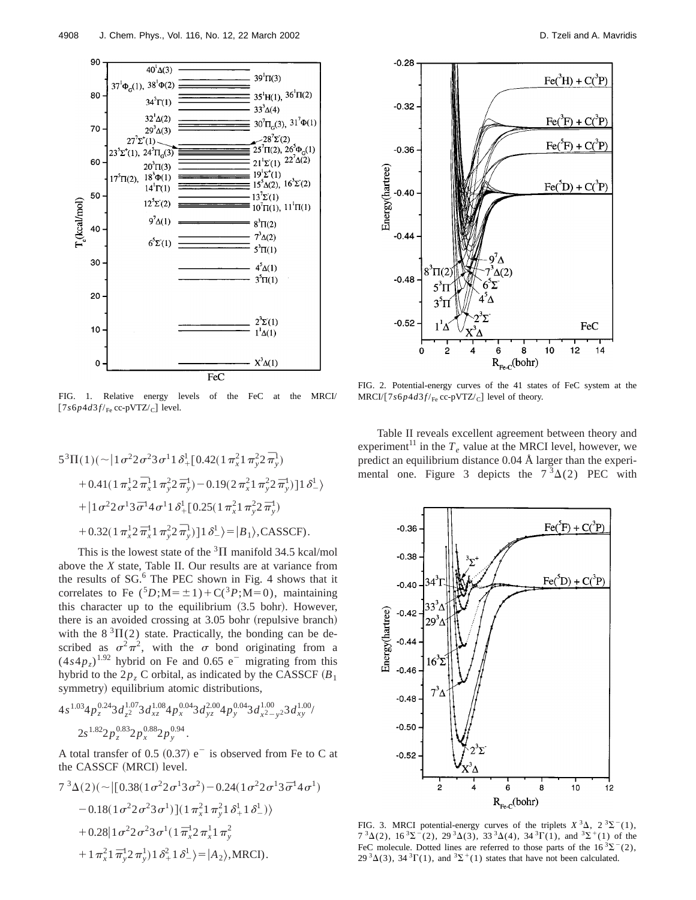

FIG. 1. Relative energy levels of the FeC at the MRCI/  $[7s6p4d3f/{\rm Fe}$  cc-pVTZ/<sub>C</sub>] level.

$$
5^{3}\Pi(1)(\sim |1\sigma^{2}2\sigma^{2}3\sigma^{1}1\delta_{+}^{1}[0.42(1\pi_{x}^{2}1\pi_{y}^{2}2\bar{\pi}_{y}^{1})
$$
  
+ 0.41(1\pi\_{x}^{1}2\bar{\pi}\_{x}^{1}1\pi\_{y}^{2}2\bar{\pi}\_{y}^{1}) - 0.19(2\pi\_{x}^{2}1\pi\_{y}^{2}2\bar{\pi}\_{y}^{1})]1\delta\_{-}^{1}  
+ |1\sigma^{2}2\sigma^{1}3\bar{\sigma}^{1}4\sigma^{1}1\delta\_{+}^{1}[0.25(1\pi\_{x}^{2}1\pi\_{y}^{2}2\bar{\pi}\_{y}^{1})  
+ 0.32(1\pi\_{x}^{1}2\bar{\pi}\_{x}^{1}1\pi\_{y}^{2}2\bar{\pi}\_{y}^{1})]1\delta\_{-}^{1} = |B\_{1}\rangle, \text{CASSCF}.

This is the lowest state of the  ${}^{3}$ H manifold 34.5 kcal/mol above the *X* state, Table II. Our results are at variance from the results of  $SG<sup>6</sup>$ . The PEC shown in Fig. 4 shows that it correlates to Fe  $({}^5D; M = \pm 1) + C({}^3P; M = 0)$ , maintaining this character up to the equilibrium  $(3.5 \text{ bohr})$ . However, there is an avoided crossing at  $3.05$  bohr (repulsive branch) with the  $8 \sqrt[3]{\text{II}(2)}$  state. Practically, the bonding can be described as  $\sigma^2 \pi^2$ , with the  $\sigma$  bond originating from a  $(4s4p<sub>7</sub>)$ <sup>1.92</sup> hybrid on Fe and 0.65 e<sup>-</sup> migrating from this hybrid to the  $2p<sub>z</sub>$  C orbital, as indicated by the CASSCF  $(B<sub>1</sub>$ symmetry) equilibrium atomic distributions,

$$
4s^{1.03}4p_z^{0.24}3d_{z^2}^{1.07}3d_{xz}^{1.08}4p_x^{0.04}3d_{yz}^{2.00}4p_y^{0.04}3d_{x^2-y^2}^{1.00}3d_{xy}^{1.00}/
$$
  

$$
2s^{1.82}2p_z^{0.83}2p_x^{0.88}2p_y^{0.94}.
$$

A total transfer of 0.5  $(0.37)$  e<sup>-</sup> is observed from Fe to C at the CASSCF (MRCI) level.

$$
7^{3}\Delta(2)(\sim|[0.38(1\sigma^{2}2\sigma^{1}3\sigma^{2})-0.24(1\sigma^{2}2\sigma^{1}3\bar{\sigma}^{1}4\sigma^{1})
$$
  
\n
$$
-0.18(1\sigma^{2}2\sigma^{2}3\sigma^{1})](1\pi_{x}^{2}1\pi_{y}^{2}1\delta_{+}^{1}1\delta_{-}^{1})\rangle
$$
  
\n
$$
+0.28|1\sigma^{2}2\sigma^{2}3\sigma^{1}(1\bar{\pi}_{x}^{1}2\pi_{x}^{1}1\pi_{y}^{2})
$$
  
\n
$$
+1\pi_{x}^{2}1\bar{\pi}_{y}^{1}2\pi_{y}^{1})1\delta_{+}^{2}1\delta_{-}^{1}\rangle=|A_{2}\rangle,MRCI).
$$



FIG. 2. Potential-energy curves of the 41 states of FeC system at the  $MRCI/[7s6p4d3f/_{Fe}$  cc-pVTZ/<sub>C</sub>] level of theory.

Table II reveals excellent agreement between theory and experiment<sup>11</sup> in the  $T_e$  value at the MRCI level, however, we predict an equilibrium distance 0.04 Å larger than the experimental one. Figure 3 depicts the  $7<sup>3</sup>\Delta(2)$  PEC with



FIG. 3. MRCI potential-energy curves of the triplets  $X^3\Delta$ ,  $2^3\Sigma^-(1)$ ,  $7^{3}\Delta(2)$ ,  $16^{3}\Sigma^{-}(2)$ ,  $29^{3}\Delta(3)$ ,  $33^{3}\Delta(4)$ ,  $34^{3}\Gamma(1)$ , and  $3\Sigma^{+}(1)$  of the FeC molecule. Dotted lines are referred to those parts of the  $16<sup>3</sup>\Sigma<sup>-</sup>(2)$ ,  $29^{3}\Delta(3)$ ,  $34^{3}\Gamma(1)$ , and  $3\Sigma^{+}(1)$  states that have not been calculated.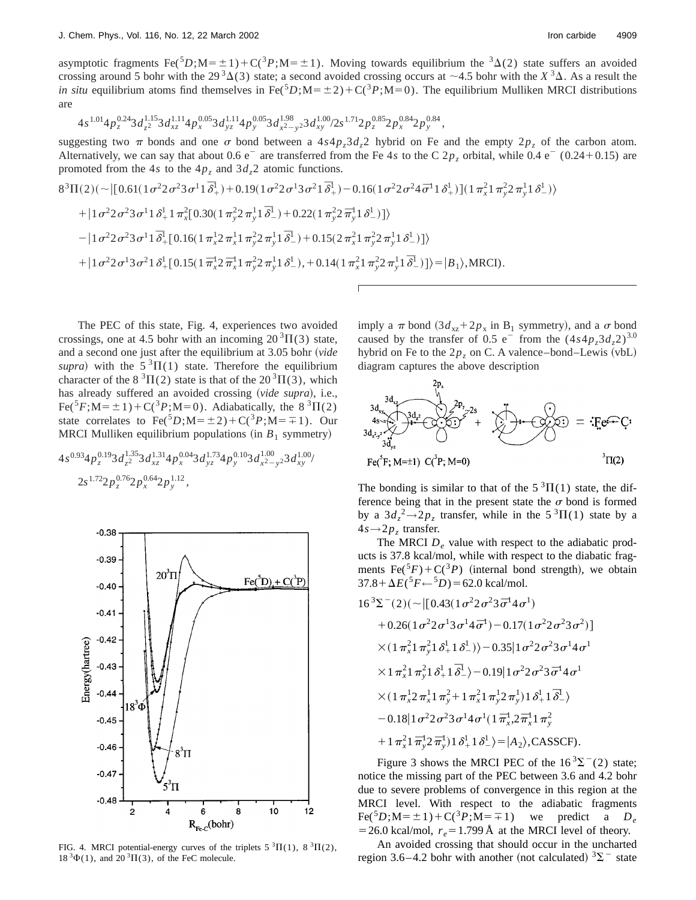asymptotic fragments Fe( ${}^5D$ ;M= $\pm 1$ )+C( ${}^3P$ ;M= $\pm 1$ ). Moving towards equilibrium the  ${}^3\Delta(2)$  state suffers an avoided crossing around 5 bohr with the 29<sup>3</sup> $\Delta$ (3) state; a second avoided crossing occurs at  $\sim$ 4.5 bohr with the *X*<sup>3</sup> $\Delta$ . As a result the *in situ* equilibrium atoms find themselves in Fe( ${}^{5}D$ ;M= $\pm 2$ ) + C( ${}^{3}P$ ;M=0). The equilibrium Mulliken MRCI distributions are

$$
4s^{1.01}4p_z^{0.24}3d_{z^2}^{1.15}3d_{xz}^{1.11}4p_x^{0.05}3d_{yz}^{1.11}4p_y^{0.05}3d_{x^2-y^2}^{1.98}3d_{xy}^{1.00}/2s^{1.71}2p_z^{0.85}2p_x^{0.84}2p_y^{0.84},
$$

suggesting two  $\pi$  bonds and one  $\sigma$  bond between a 4*s*4*p<sub>z</sub>*3*d<sub>z</sub>*2 hybrid on Fe and the empty 2*p<sub>z</sub>* of the carbon atom. Alternatively, we can say that about 0.6  $e^-$  are transferred from the Fe 4*s* to the C  $2p_z$  orbital, while 0.4  $e^-$  (0.24+0.15) are promoted from the 4*s* to the  $4p<sub>z</sub>$  and  $3d<sub>z</sub>2$  atomic functions.

$$
8^{3}\Pi(2)\left(\sim\left| \left[0.61(1\sigma^{2}2\sigma^{2}3\sigma^{1}1\overline{\delta}_{+}^{1})+0.19(1\sigma^{2}2\sigma^{1}3\sigma^{2}1\overline{\delta}_{+}^{1})-0.16(1\sigma^{2}2\sigma^{2}4\overline{\sigma}^{1}1\delta_{+}^{1})\right]\left(1\pi_{x}^{2}1\pi_{y}^{2}2\pi_{y}^{1}1\delta_{-}^{1}\right)\right) +\left|1\sigma^{2}2\sigma^{2}3\sigma^{1}1\delta_{+}^{1}1\pi_{x}^{2}[0.30(1\pi_{y}^{2}2\pi_{y}^{1}1\overline{\delta}_{-}^{1})+0.22(1\pi_{y}^{2}2\pi_{y}^{1}1\delta_{-}^{1})]\right\rangle -\left|1\sigma^{2}2\sigma^{2}3\sigma^{1}1\overline{\delta}_{+}^{1}[0.16(1\pi_{x}^{1}2\pi_{x}^{1}1\pi_{y}^{2}2\pi_{y}^{1}1\overline{\delta}_{-}^{1})+0.15(2\pi_{x}^{2}1\pi_{y}^{2}2\pi_{y}^{1}1\delta_{-}^{1})]\right\rangle +|1\sigma^{2}2\sigma^{1}3\sigma^{2}1\delta_{+}^{1}[0.15(1\pi_{x}^{1}2\pi_{x}^{1}1\pi_{y}^{2}2\pi_{y}^{1}1\delta_{-}^{1}),+0.14(1\pi_{x}^{2}1\pi_{y}^{2}2\pi_{y}^{1}1\overline{\delta}_{-}^{1})]\right\rangle =|B_{1}\rangle,MRCI).
$$

The PEC of this state, Fig. 4, experiences two avoided crossings, one at 4.5 bohr with an incoming  $20^3\Pi(3)$  state, and a second one just after the equilibrium at 3.05 bohr (*vide supra*) with the  $5 \text{ }^3\Pi(1)$  state. Therefore the equilibrium character of the  $8 \text{ }^{3}\Pi(2)$  state is that of the  $20 \text{ }^{3}\Pi(3)$ , which has already suffered an avoided crossing (vide supra), i.e., Fe(<sup>5</sup>*F*;M= $\pm$ 1)+C(<sup>3</sup>*P*;M=0). Adiabatically, the 8<sup>3</sup> $\Pi$ </sup>(2) state correlates to  $\text{Fe}({}^5D; M=\pm 2) + \text{C}({}^3P; M=\mp 1)$ . Our MRCI Mulliken equilibrium populations (in  $B_1$  symmetry)

$$
4s^{0.93}4p_z^{0.19}3d_{z^2}^{1.35}3d_{xz}^{1.31}4p_x^{0.04}3d_{yz}^{1.73}4p_y^{0.10}3d_{x^2-y^2}^{1.00}3d_{xy}^{1.00}/\_2s^{1.72}2p_z^{0.76}2p_x^{0.64}2p_y^{1.12},
$$



FIG. 4. MRCI potential-energy curves of the triplets  $5 \text{ }^3\Pi(1)$ ,  $8 \text{ }^3\Pi(2)$ ,  $18^{3}\Phi(1)$ , and  $20^{3}\Pi(3)$ , of the FeC molecule.

imply a  $\pi$  bond  $(3d_{xz} + 2p_x)$  in B<sub>1</sub> symmetry), and a  $\sigma$  bond caused by the transfer of 0.5 e<sup>-</sup> from the  $(4s4p_z3d_z2)^{3.0}$ hybrid on Fe to the  $2p<sub>z</sub>$  on C. A valence–bond–Lewis (vbL) diagram captures the above description



The bonding is similar to that of the  $5 \text{ }^{3} \Pi(1)$  state, the difference being that in the present state the  $\sigma$  bond is formed by a  $3d_z^2 \rightarrow 2p_z$  transfer, while in the  $5^3\Pi(1)$  state by a  $4s \rightarrow 2p_z$  transfer.

The MRCI  $D_e$  value with respect to the adiabatic products is 37.8 kcal/mol, while with respect to the diabatic fragments  $\text{Fe}(5F) + \text{C}(3P)$  (internal bond strength), we obtain  $37.8 + \Delta E({}^5F \leftarrow {}^5D) = 62.0$  kcal/mol.

$$
16^{3}\Sigma^{-}(2)(\sim |[0.43(1\sigma^{2}2\sigma^{2}3\bar{\sigma}^{1}4\sigma^{1})+0.26(1\sigma^{2}2\sigma^{1}3\sigma^{1}4\bar{\sigma}^{1})-0.17(1\sigma^{2}2\sigma^{2}3\sigma^{2})]
$$
  

$$
\times (1\pi_{x}^{2}1\pi_{y}^{2}1\delta_{+}^{1}1\delta_{-}^{1})\rangle-0.35|1\sigma^{2}2\sigma^{2}3\sigma^{1}4\sigma^{1}\times 1\pi_{x}^{2}1\pi_{y}^{2}1\delta_{+}^{1}1\bar{\delta}_{-}^{1}\rangle-0.19|1\sigma^{2}2\sigma^{2}3\bar{\sigma}^{1}4\sigma^{1}\times (1\pi_{x}^{1}2\pi_{x}^{1}1\pi_{y}^{2}+1\pi_{x}^{2}1\pi_{y}^{1}2\pi_{y}^{1})1\delta_{+}^{1}1\bar{\delta}_{-}^{1}\rangle-0.18|1\sigma^{2}2\sigma^{2}3\sigma^{1}4\sigma^{1}(1\bar{\pi}_{x}^{1}2\bar{\pi}_{x}^{1}1\pi_{y}^{2}+1\pi_{x}^{2}1\bar{\pi}_{y}^{1}2\bar{\pi}_{y}^{1})1\delta_{+}^{1}1\delta_{-}^{1}\rangle=|A_{2}\rangle, \text{CASSCF}).
$$

Figure 3 shows the MRCI PEC of the  $16<sup>3</sup>\Sigma$ <sup>-</sup>(2) state; notice the missing part of the PEC between 3.6 and 4.2 bohr due to severe problems of convergence in this region at the MRCI level. With respect to the adiabatic fragments  $Fe(^5D; M=\pm 1)+C(^3P; M=\mp 1)$  we predict a  $D_e$  $=$  26.0 kcal/mol,  $r_e$  = 1.799 Å at the MRCI level of theory.

An avoided crossing that should occur in the uncharted region 3.6–4.2 bohr with another (not calculated)  ${}^{3}\Sigma^{-}$  state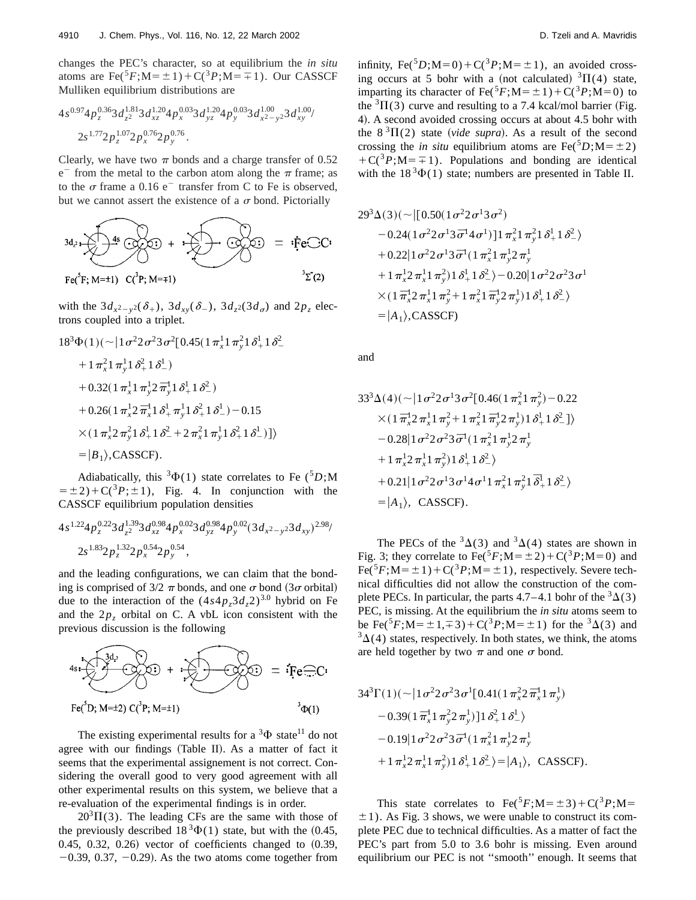changes the PEC's character, so at equilibrium the *in situ* atoms are  $\text{Fe}({}^5F;M=\pm 1)+C({}^3P;M=\mp 1)$ . Our CASSCF Mulliken equilibrium distributions are

$$
4s^{0.97}4p_z^{0.36}3d_{z^2}^{1.81}3d_{xz}^{1.20}4p_x^{0.03}3d_{yz}^{1.20}4p_y^{0.03}3d_{x^2-y^2}^{1.00}3d_{xy}^{1.00}/\_2s^{1.77}2p_z^{1.07}2p_x^{0.76}2p_y^{0.76}.
$$

Clearly, we have two  $\pi$  bonds and a charge transfer of 0.52  $e^-$  from the metal to the carbon atom along the  $\pi$  frame; as to the  $\sigma$  frame a 0.16 e<sup>-</sup> transfer from C to Fe is observed, but we cannot assert the existence of a  $\sigma$  bond. Pictorially

$$
3d_{2} \times 4s \times 3d_{2} = 4 \cdot \text{Fe-C}.
$$
  
Fe(<sup>5</sup>F; M=1)  $C_{1}^{3}P$ ; M=1)

with the  $3d_{x^2-y^2}(\delta_+)$ ,  $3d_{xy}(\delta_-)$ ,  $3d_{z^2}(3d_{\sigma})$  and  $2p_z$  electrons coupled into a triplet.

$$
18^{3}\Phi(1)(\sim |1\sigma^{2}2\sigma^{2}3\sigma^{2}[0.45(1\pi_{x}^{1}1\pi_{y}^{2}1\delta_{+}^{1}1\delta_{-}^{2})
$$
  
+1\pi\_{x}^{2}1\pi\_{y}^{1}1\delta\_{+}^{2}1\delta\_{-}^{1})  
+0.32(1\pi\_{x}^{1}1\pi\_{y}^{1}2\pi\_{y}^{1}1\delta\_{+}^{1}1\delta\_{-}^{2})  
+0.26(1\pi\_{x}^{1}2\pi\_{x}^{1}1\delta\_{+}^{1}\pi\_{y}^{1}1\delta\_{+}^{2}1\delta\_{-}^{1})-0.15  
\times(1\pi\_{x}^{1}2\pi\_{y}^{2}1\delta\_{+}^{1}1\delta\_{-}^{2}+2\pi\_{x}^{2}1\pi\_{y}^{1}1\delta\_{+}^{2}1\delta\_{-}^{1})]\rangle  
= |B\_{1}\rangle,CASSCF).

Adiabatically, this  ${}^{3}\Phi(1)$  state correlates to Fe ( ${}^{5}D;M$  $= \pm 2$ )+C(<sup>3</sup>*P*; $\pm 1$ ), Fig. 4. In conjunction with the CASSCF equilibrium population densities

$$
4s^{1.22}4p_z^{0.22}3d_{z^2}^{1.39}3d_{xz}^{0.98}4p_x^{0.02}3d_{yz}^{0.98}4p_y^{0.02}(3d_{x^2-y^2}3d_{xy})^{2.98}/
$$
  

$$
2s^{1.83}2p_z^{1.32}2p_x^{0.54}2p_y^{0.54},
$$

and the leading configurations, we can claim that the bonding is comprised of  $3/2 \pi$  bonds, and one  $\sigma$  bond  $(3\sigma$  orbital) due to the interaction of the  $(4s4p_z3d_z2)^{3.0}$  hybrid on Fe and the  $2p<sub>z</sub>$  orbital on C. A vbL icon consistent with the previous discussion is the following

4s: 
$$
3d_i
$$
  
Fe<sup>3</sup>D<sub>2</sub>: +  $\frac{3d_i}{2}$   
Fe<sup>3</sup>D; M=±2) C<sup>3</sup>P; M=±1)  $3\Phi(1)$ 

The existing experimental results for a  $3\Phi$  state<sup>11</sup> do not agree with our findings (Table II). As a matter of fact it seems that the experimental assignement is not correct. Considering the overall good to very good agreement with all other experimental results on this system, we believe that a re-evaluation of the experimental findings is in order.

 $20<sup>3</sup>\Pi(3)$ . The leading CFs are the same with those of the previously described  $18<sup>3</sup>\Phi(1)$  state, but with the (0.45,  $0.45, 0.32, 0.26$  vector of coefficients changed to  $(0.39, 0.32)$  $-0.39$ , 0.37,  $-0.29$ ). As the two atoms come together from infinity,  $\text{Fe}({}^5D; M=0) + \text{C}({}^3P; M=\pm 1)$ , an avoided crossing occurs at 5 bohr with a (not calculated)  ${}^{3}\Pi(4)$  state, imparting its character of Fe( ${}^5F$ ;M= $\pm 1$ ) + C( ${}^3P$ ;M=0) to the  ${}^{3}$ II(3) curve and resulting to a 7.4 kcal/mol barrier (Fig. 4). A second avoided crossing occurs at about 4.5 bohr with the  $8^{3}\Pi(2)$  state (*vide supra*). As a result of the second crossing the *in situ* equilibrium atoms are Fe(<sup>5</sup>D;M= $\pm$ 2)  $+C({}^{3}P;M=\pm 1)$ . Populations and bonding are identical with the  $18^3\Phi(1)$  state; numbers are presented in Table II.

$$
29^{3}\Delta(3)(\sim |[0.50(1\sigma^{2}2\sigma^{1}3\sigma^{2})
$$
  
\n
$$
-0.24(1\sigma^{2}2\sigma^{1}3\sigma^{1}4\sigma^{1})]1\pi_{x}^{2}1\pi_{y}^{2}1\delta_{+}^{1}1\delta_{-}^{2}\rangle
$$
  
\n
$$
+0.22|1\sigma^{2}2\sigma^{1}3\sigma^{1}(1\pi_{x}^{2}1\pi_{y}^{1}2\pi_{y}^{1})
$$
  
\n
$$
+1\pi_{x}^{1}2\pi_{x}^{1}1\pi_{y}^{2})1\delta_{+}^{1}1\delta_{-}^{2}\rangle-0.20|1\sigma^{2}2\sigma^{2}3\sigma^{1}
$$
  
\n
$$
\times(1\bar{\pi}_{x}^{1}2\pi_{x}^{1}1\pi_{y}^{2}+1\pi_{x}^{2}1\bar{\pi}_{y}^{1}2\pi_{y}^{1})1\delta_{+}^{1}1\delta_{-}^{2}\rangle
$$
  
\n
$$
=|A_{1}\rangle, \text{CASSCF)}
$$

and

$$
33^{3} \Delta(4) \left( \sim \left| 1 \sigma^{2} 2 \sigma^{1} 3 \sigma^{2} [0.46(1 \pi_{x}^{2} 1 \pi_{y}^{2}) - 0.22 \right. \right. \times \left. (1 \pi_{x}^{1} 2 \pi_{x}^{1} 1 \pi_{y}^{2} + 1 \pi_{x}^{2} 1 \pi_{y}^{1} 2 \pi_{y}^{1}) 1 \delta_{+}^{1} 1 \delta_{-}^{2} ] \right\rangle
$$
  
\n
$$
- 0.28 \left| 1 \sigma^{2} 2 \sigma^{2} 3 \bar{\sigma}^{1} (1 \pi_{x}^{2} 1 \pi_{y}^{1} 2 \pi_{y}^{1} + 1 \pi_{x}^{1} 2 \pi_{x}^{1} 1 \pi_{y}^{2}) 1 \delta_{+}^{1} 1 \delta_{-}^{2} \right\rangle
$$
  
\n
$$
+ 0.21 \left| 1 \sigma^{2} 2 \sigma^{1} 3 \sigma^{1} 4 \sigma^{1} 1 \pi_{x}^{2} 1 \pi_{y}^{2} 1 \bar{\delta}_{+}^{1} 1 \delta_{-}^{2} \right\rangle
$$
  
\n
$$
= |A_{1}\rangle, \text{ CassCF.}
$$

The PECs of the  ${}^{3}\Delta(3)$  and  ${}^{3}\Delta(4)$  states are shown in Fig. 3; they correlate to  $\text{Fe}({}^5F; M=\pm 2)+C({}^3P; M=0)$  and  $Fe({}^5F;M=\pm 1)+C({}^3P;M=\pm 1)$ , respectively. Severe technical difficulties did not allow the construction of the complete PECs. In particular, the parts 4.7–4.1 bohr of the  ${}^{3}\Delta(3)$ PEC, is missing. At the equilibrium the *in situ* atoms seem to be Fe(<sup>5</sup>*F*;M= $\pm$ 1, $\mp$ 3)+C(<sup>3</sup>*P*;M= $\pm$ 1) for the <sup>3</sup> $\Delta$ (3) and  $3\Delta(4)$  states, respectively. In both states, we think, the atoms are held together by two  $\pi$  and one  $\sigma$  bond.

$$
34^{3}\Gamma(1)(\sim |1\sigma^{2}2\sigma^{2}3\sigma^{1}[0.41(1\pi_{x}^{2}2\bar{\pi}_{x}^{1}1\pi_{y}^{1})
$$

$$
-0.39(1\bar{\pi}_{x}^{1}1\pi_{y}^{2}2\pi_{y}^{1})]1\delta_{+}^{2}1\delta_{-}^{1}
$$

$$
-0.19|1\sigma^{2}2\sigma^{2}3\bar{\sigma}^{1}(1\pi_{x}^{2}1\pi_{y}^{1}2\pi_{y}^{1}
$$

$$
+1\pi_{x}^{1}2\pi_{x}^{1}1\pi_{y}^{2})1\delta_{+}^{1}1\delta_{-}^{2}\rangle=|A_{1}\rangle, \text{ CASSCF}.
$$

This state correlates to  $\text{Fe}^{5}F$ ; M =  $\pm$  3) + C(<sup>3</sup>*P*; M =  $\pm$ 1). As Fig. 3 shows, we were unable to construct its complete PEC due to technical difficulties. As a matter of fact the PEC's part from 5.0 to 3.6 bohr is missing. Even around equilibrium our PEC is not ''smooth'' enough. It seems that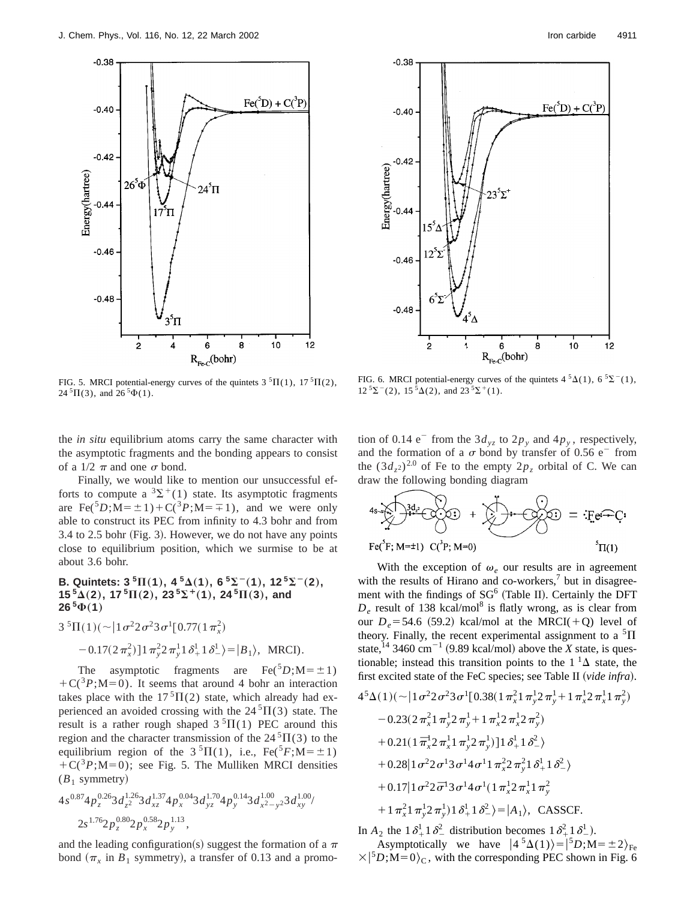



FIG. 5. MRCI potential-energy curves of the quintets  $3\text{ }^{5}\Pi(1)$ ,  $17\text{ }^{5}\Pi(2)$ ,  $24 \text{ }^{5}\Pi(3)$ , and  $26 \text{ }^{5}\Phi(1)$ .

FIG. 6. MRCI potential-energy curves of the quintets  $4\sqrt[5]{2}(1)$ ,  $6\sqrt[5]{2}^{-}(1)$ ,  $12 \, {}^5\Sigma^- (2)$ ,  $15 \, {}^5\Delta(2)$ , and  $23 \, {}^5\Sigma^+ (1)$ .

the *in situ* equilibrium atoms carry the same character with the asymptotic fragments and the bonding appears to consist of a  $1/2$   $\pi$  and one  $\sigma$  bond.

Finally, we would like to mention our unsuccessful efforts to compute a  ${}^{3}\Sigma^{+}(1)$  state. Its asymptotic fragments are Fe(<sup>5</sup>D;M= $\pm$ 1)+C(<sup>3</sup>*P*;M= $\mp$ 1), and we were only able to construct its PEC from infinity to 4.3 bohr and from  $3.4$  to  $2.5$  bohr (Fig. 3). However, we do not have any points close to equilibrium position, which we surmise to be at about 3.6 bohr.

# **B.** Quintets:  $3^{5} \Pi(1)$ ,  $4^{5} \Delta(1)$ ,  $6^{5} \Sigma^{-1}(1)$ ,  $12^{5} \Sigma^{-1}(2)$ ,  $15^{5}\Delta(2)$ ,  $17^{5}\Pi(2)$ ,  $23^{5}\Sigma^{+}(1)$ ,  $24^{5}\Pi(3)$ , and  $26^{5}\Phi(1)$

$$
3^{5}\Pi(1)(\sim |1\sigma^{2}2\sigma^{2}3\sigma^{1}[0.77(1\pi_{x}^{2})
$$

$$
-0.17(2\pi_{x}^{2})]1\pi_{y}^{2}2\pi_{y}^{1}1\delta_{+}^{1}1\delta_{-}^{1}\rangle=|B_{1}\rangle, \text{ MRCI)}.
$$

The asymptotic fragments are Fe( ${}^5D$ ; M= $\pm 1$ )  $+C({}^{3}P;M=0)$ . It seems that around 4 bohr an interaction takes place with the  $17<sup>5</sup>\Pi(2)$  state, which already had experienced an avoided crossing with the  $24\textsuperscript{5}\Pi(3)$  state. The result is a rather rough shaped  $3\text{ }^{5}\Pi(1)$  PEC around this region and the character transmission of the  $24\textsuperscript{5}\Pi(3)$  to the equilibrium region of the  $3<sup>5</sup>\Pi(1)$ , i.e., Fe(<sup>5</sup>*F*;M= $\pm$ 1)  $+C(^{3}P; M=0)$ ; see Fig. 5. The Mulliken MRCI densities  $(B_1$  symmetry)

$$
4s^{0.87}4p_z^{0.26}3d_{z^2}^{1.26}3d_{xz}^{1.37}4p_x^{0.04}3d_{yz}^{1.70}4p_y^{0.14}3d_{x^2-y^2}^{1.00}3d_{xy}^{1.00}
$$
  

$$
2s^{1.76}2p_z^{0.80}2p_x^{0.58}2p_y^{1.13},
$$

and the leading configuration(s) suggest the formation of a  $\pi$ bond  $(\pi_x$  in  $B_1$  symmetry), a transfer of 0.13 and a promotion of 0.14  $e^-$  from the 3 $d_{vz}$  to 2 $p_y$  and 4 $p_y$ , respectively, and the formation of a  $\sigma$  bond by transfer of 0.56 e<sup>-</sup> from the  $(3d_{7}z)^{2.0}$  of Fe to the empty  $2p_7$  orbital of C. We can draw the following bonding diagram

$$
4s \sum_{i=1}^{n} \frac{3d_i}{d_i} + \sum_{i=1}^{n} \frac{1}{2} \cdot \frac{1}{2} \cdot \frac{1}{2} = \frac{1}{2} \cdot \frac{1}{2} \cdot \frac{1}{2} \cdot \frac{1}{2} \cdot \frac{1}{2} = \frac{1}{2} \cdot \frac{1}{2} \cdot \frac{1}{2} \cdot \frac{1}{2} \cdot \frac{1}{2} = \frac{1}{2} \cdot \frac{1}{2} \cdot \frac{1}{2} \cdot \frac{1}{2} \cdot \frac{1}{2} = \frac{1}{2} \cdot \frac{1}{2} \cdot \frac{1}{2} \cdot \frac{1}{2} \cdot \frac{1}{2} = \frac{1}{2} \cdot \frac{1}{2} \cdot \frac{1}{2} \cdot \frac{1}{2} = \frac{1}{2} \cdot \frac{1}{2} \cdot \frac{1}{2} \cdot \frac{1}{2} = \frac{1}{2} \cdot \frac{1}{2} \cdot \frac{1}{2} \cdot \frac{1}{2} = \frac{1}{2} \cdot \frac{1}{2} \cdot \frac{1}{2} \cdot \frac{1}{2} = \frac{1}{2} \cdot \frac{1}{2} \cdot \frac{1}{2} \cdot \frac{1}{2} = \frac{1}{2} \cdot \frac{1}{2} \cdot \frac{1}{2} \cdot \frac{1}{2} = \frac{1}{2} \cdot \frac{1}{2} \cdot \frac{1}{2} \cdot \frac{1}{2} = \frac{1}{2} \cdot \frac{1}{2} \cdot \frac{1}{2} \cdot \frac{1}{2} = \frac{1}{2} \cdot \frac{1}{2} \cdot \frac{1}{2} \cdot \frac{1}{2} = \frac{1}{2} \cdot \frac{1}{2} \cdot \frac{1}{2} \cdot \frac{1}{2} = \frac{1}{2} \cdot \frac{1}{2} \cdot \frac{1}{2} \cdot \frac{1}{2} = \frac{1}{2} \cdot \frac{1}{2} \cdot \frac{1}{2} = \frac{1}{2} \cdot \frac{1}{2} \cdot \frac{1}{2} = \frac{1}{2} \cdot \frac{1}{2} \cdot \frac{1}{2} = \frac{1}{2} \cdot \frac{1}{2} \cdot \frac{1}{2} = \frac{1}{2} \cdot \frac{1}{2} \cdot \frac{1}{2} = \frac{1}{2} \cdot
$$

With the exception of  $\omega_e$  our results are in agreement with the results of Hirano and co-workers, $\frac{7}{1}$  but in disagreement with the findings of  $SG^6$  (Table II). Certainly the DFT  $D_e$  result of 138 kcal/mol<sup>8</sup> is flatly wrong, as is clear from our  $D_e$ =54.6 (59.2) kcal/mol at the MRCI(+Q) level of theory. Finally, the recent experimental assignment to a  ${}^{5}$  $\Pi$ state,<sup>14</sup> 3460 cm<sup>-1</sup> (9.89 kcal/mol) above the *X* state, is questionable; instead this transition points to the  $1^1\Delta$  state, the first excited state of the FeC species; see Table II (vide infra).

$$
4^{5}\Delta(1)(\sim |1\sigma^{2}2\sigma^{2}3\sigma^{1}[0.38(1\pi_{x}^{2}1\pi_{y}^{1}2\pi_{y}^{1}+1\pi_{x}^{1}2\pi_{x}^{1}1\pi_{y}^{2})
$$
  
\n
$$
-0.23(2\pi_{x}^{2}1\pi_{y}^{1}2\pi_{y}^{1}+1\pi_{x}^{1}2\pi_{x}^{1}2\pi_{y}^{2})
$$
  
\n
$$
+0.21(1\pi_{x}^{1}2\pi_{x}^{1}1\pi_{y}^{1}2\pi_{y}^{1})]1\delta_{+}^{1}1\delta_{-}^{2}
$$
  
\n
$$
+0.28|1\sigma^{2}2\sigma^{1}3\sigma^{1}4\sigma^{1}1\pi_{x}^{2}2\pi_{y}^{2}1\delta_{+}^{1}1\delta_{-}^{2}
$$
  
\n
$$
+0.17|1\sigma^{2}2\sigma^{1}3\sigma^{1}4\sigma^{1}(1\pi_{x}^{1}2\pi_{x}^{1}1\pi_{y}^{2})
$$
  
\n
$$
+1\pi_{x}^{2}1\pi_{y}^{1}2\pi_{y}^{1})1\delta_{+}^{1}1\delta_{-}^{2}
$$
  
\n
$$
+1\pi_{x}^{2}1\pi_{y}^{1}2\pi_{y}^{1})1\delta_{+}^{1}1\delta_{-}^{2}
$$
  
\n
$$
=|A_{1}\rangle, \text{ CassCF.}
$$

In  $A_2$  the  $1 \delta_+^1 1 \delta_-^2$  distribution becomes  $1 \delta_+^2 1 \delta_-^1$ .

Asymptotically we have  $|4^5\Delta(1)\rangle = |^5D; M=\pm 2\rangle_{\text{Fe}}$  $\times$ |<sup>5</sup>D;M=0)<sub>C</sub>, with the corresponding PEC shown in Fig. 6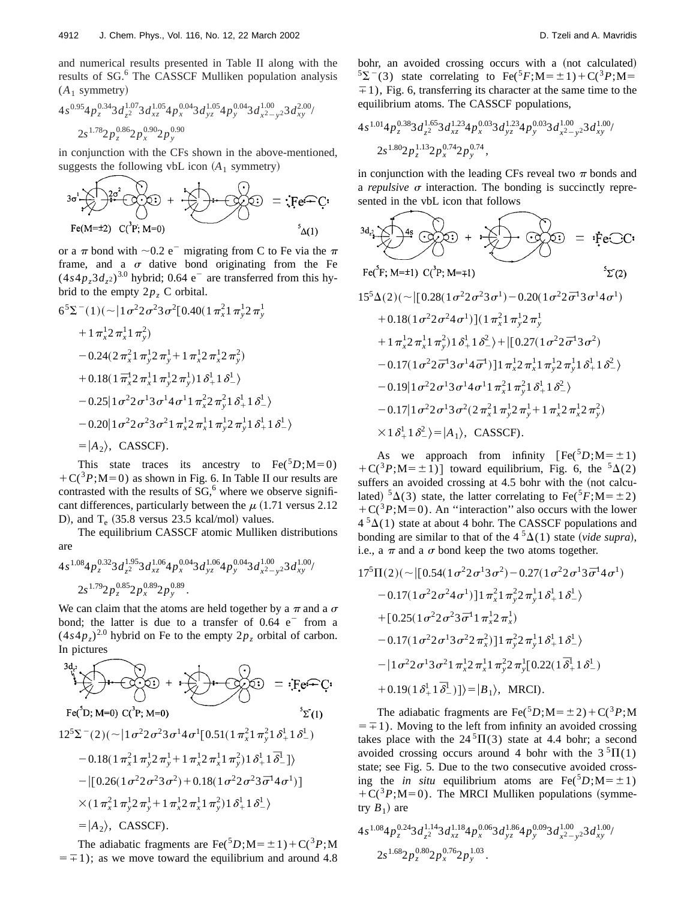and numerical results presented in Table II along with the results of SG.<sup>6</sup> The CASSCF Mulliken population analysis  $(A_1$  symmetry)

$$
4s^{0.95}4p_z^{0.34}3d_{z^2}^{1.07}3d_{xz}^{1.05}4p_x^{0.04}3d_{yz}^{1.05}4p_y^{0.04}3d_{x^2-y^2}^{1.00}3d_{xy}^{2.00}/
$$
  

$$
2s^{1.78}2p_z^{0.86}2p_x^{0.90}2p_y^{0.90}
$$

in conjunction with the CFs shown in the above-mentioned, suggests the following vbL icon  $(A_1$  symmetry)

$$
3\sigma^{1} \sum_{\mathbf{i}} \sum_{\mathbf{i}} \frac{3\sigma^{2}}{2\sigma^{2}} \underbrace{(3\cdot 2\cdot 2)}_{\mathbf{i}} + \underbrace{3\cdot 2\cdot 2}_{\mathbf{i}} \underbrace{3\cdot 2\cdot 2}_{\mathbf{i}} = \underbrace{3\cdot 2\cdot 2}_{\mathbf{i}} = \underbrace{3\cdot 2\cdot 2}_{\mathbf{i}}.
$$

or a  $\pi$  bond with  $\sim 0.2$  e<sup>-</sup> migrating from C to Fe via the  $\pi$ frame, and a  $\sigma$  dative bond originating from the Fe  $(4s4p<sub>z</sub>3d<sub>z</sub>)<sup>3.0</sup>$  hybrid; 0.64 e<sup>-</sup> are transferred from this hybrid to the empty  $2p_z$  C orbital.

$$
6^{5}\Sigma^{-}(1)(\sim)1\sigma^{2}2\sigma^{2}3\sigma^{2}[0.40(1\pi_{x}^{2}1\pi_{y}^{1}2\pi_{y}^{1} + 1\pi_{x}^{1}2\pi_{x}^{1}1\pi_{y}^{2})
$$
  
+1 $\pi_{x}^{1}2\pi_{x}^{1}1\pi_{y}^{2}$   
-0.24(2 $\pi_{x}^{2}1\pi_{y}^{1}2\pi_{y}^{1} + 1\pi_{x}^{1}2\pi_{x}^{1}2\pi_{y}^{2})$   
+0.18(1 $\bar{\pi}_{x}^{1}2\pi_{x}^{1}1\pi_{y}^{1}2\pi_{y}^{1})1\delta_{+}^{1}1\delta_{-}^{1}$   
-0.25|1 $\sigma^{2}2\sigma^{1}3\sigma^{1}4\sigma^{1}1\pi_{x}^{2}2\pi_{y}^{2}1\delta_{+}^{1}1\delta_{-}^{1}$   
-0.20|1 $\sigma^{2}2\sigma^{2}3\sigma^{2}1\pi_{x}^{1}2\pi_{x}^{1}1\pi_{y}^{1}2\pi_{y}^{1}1\delta_{+}^{1}1\delta_{-}^{1}$   
=|A<sub>2</sub>⟩, CASSCF).

This state traces its ancestry to  $Fe^{5}D; M=0$ )  $+C(^{3}P; M=0)$  as shown in Fig. 6. In Table II our results are contrasted with the results of  $SG<sub>0</sub><sup>6</sup>$  where we observe significant differences, particularly between the  $\mu$  (1.71 versus 2.12) D), and  $T_e$  (35.8 versus 23.5 kcal/mol) values.

The equilibrium CASSCF atomic Mulliken distributions are

$$
4s^{1.08}4p_z^{0.32}3d_{z^2}^{1.95}3d_{xz}^{1.06}4p_x^{0.04}3d_{yz}^{1.06}4p_y^{0.04}3d_{x^2-y^2}^{1.00}3d_{xy}^{1.00}/\n 2s^{1.79}2p_z^{0.85}2p_x^{0.89}2p_y^{0.89}.
$$

We can claim that the atoms are held together by a  $\pi$  and a  $\sigma$ bond; the latter is due to a transfer of  $0.64$  e<sup>-</sup> from a  $(4s4p_z)^{2.0}$  hybrid on Fe to the empty  $2p_z$  orbital of carbon. In pictures

5S2~2!~;u1s22s23s14s<sup>1</sup> 1<sup>d</sup> <sup>2</sup> ! @0.51~1<sup>p</sup>*<sup>x</sup>* <sup>p</sup>*<sup>y</sup>* <sup>d</sup> <sup>1</sup> <sup>1</sup>*¯* #& 0.18~1<sup>p</sup>*<sup>x</sup>* <sup>p</sup>*<sup>y</sup>* <sup>p</sup>*<sup>y</sup>* 1<sup>p</sup>*<sup>x</sup>* <sup>p</sup>*<sup>x</sup>* <sup>p</sup>*<sup>y</sup>* !1<sup>d</sup> <sup>1</sup> <sup>d</sup> <sup>2</sup> u@0.26~1s22s23s2!10.18~1s22s23*¯*s14s1!#

$$
\times (1 \pi_x^2 1 \pi_y^1 2 \pi_y^1 + 1 \pi_x^1 2 \pi_x^1 1 \pi_y^2) 1 \delta_+^1 1 \delta_-^1
$$
  
=  $|A_2\rangle$ , CASSCF).

The adiabatic fragments are Fe( ${}^5D$ ;M= $\pm 1$ )+C( ${}^3P$ ;M  $=\pm 1$ ; as we move toward the equilibrium and around 4.8 bohr, an avoided crossing occurs with a (not calculated)  $5\Sigma$ <sup>-</sup>(3) state correlating to Fe(<sup>5</sup>*F*;M= $\pm$ 1)+C(<sup>3</sup>*P*;M=  $\pm$ 1), Fig. 6, transferring its character at the same time to the equilibrium atoms. The CASSCF populations,

$$
4s^{1.01}4p_z^{0.38}3d_{z^2}^{1.65}3d_{xz}^{1.23}4p_x^{0.03}3d_{yz}^{1.23}4p_y^{0.03}3d_{x^2-y^2}^{1.00}3d_{xy}^{1.00}/\n 2s^{1.80}2p_z^{1.13}2p_x^{0.74}2p_y^{0.74},
$$

in conjunction with the leading CFs reveal two  $\pi$  bonds and a *repulsive*  $\sigma$  interaction. The bonding is succinctly represented in the vbL icon that follows

$$
3d_{\alpha_2} \sum_{\mathbf{F} \in (\mathbf{F}; \mathbf{M}=\mathbf{1})} 4\mathbf{s} \cdot (3\mathbf{C} \cdot \mathbf{C}) + \sum_{\mathbf{F} \in (\mathbf{F}; \mathbf{M}=\mathbf{1})} 2\mathbf{s} \cdot \mathbf{C} \cdot \mathbf{C}
$$
\n
$$
F_{\mathbf{F}}(\mathbf{F}; \mathbf{M}=\mathbf{1}) \quad S_{\mathbf{F}}(\mathbf{C}) = \mathbf{i} \mathbf{F} \mathbf{C} \cdot \mathbf{C}
$$
\n
$$
15^5 \Delta(2)(\sim |[0.28(1\sigma^2 2\sigma^2 3\sigma^1) - 0.20(1\sigma^2 2\sigma^1 3\sigma^1 4\sigma^1)
$$
\n
$$
+ 0.18(1\sigma^2 2\sigma^2 4\sigma^1)](1\pi_x^2 1\pi_y^1 2\pi_y^1
$$
\n
$$
+ 1\pi_x^1 2\pi_x^1 1\pi_y^2) 1\delta_x^1 1\delta_x^2 + |[0.27(1\sigma^2 2\sigma^1 3\sigma^2)
$$
\n
$$
- 0.17(1\sigma^2 2\sigma^1 3\sigma^1 4\sigma^1)]1\pi_x^1 2\pi_x^1 1\pi_y^1 2\pi_y^1 1\delta_x^1 1\delta_x^2
$$
\n
$$
- 0.19|1\sigma^2 2\sigma^1 3\sigma^1 4\sigma^1 1\pi_x^2 1\pi_y^1 2\pi_y^1 + 1\sigma_x^1 2\pi_y^1 2\pi_y^2
$$
\n
$$
- 0.17|1\sigma^2 2\sigma^1 3\sigma^2 (2\pi_x^2 1\pi_y^1 2\pi_y^1 + 1\pi_x^1 2\pi_x^1 2\pi_y^2)
$$
\n
$$
\times 1\delta_x^1 1\delta_x^2 \rangle = |A_1\rangle, \text{ CassCF.}
$$

As we approach from infinity  $[Fe^{5}D;M=\pm1)$  $+C(^{3}P; M=\pm 1)$ ] toward equilibrium, Fig. 6, the <sup>5</sup> $\Delta$ (2) suffers an avoided crossing at  $4.5$  bohr with the (not calculated)  ${}^5\Delta(3)$  state, the latter correlating to Fe( ${}^5F; M = \pm 2$ )  $+C(^{3}P; M=0)$ . An "interaction" also occurs with the lower  $4<sup>5</sup>\Delta(1)$  state at about 4 bohr. The CASSCF populations and bonding are similar to that of the  $4<sup>5</sup>\Delta(1)$  state (*vide supra*), i.e., a  $\pi$  and a  $\sigma$  bond keep the two atoms together.

$$
17^{5}\Pi(2)(\sim |[0.54(1\sigma^{2}2\sigma^{1}3\sigma^{2})-0.27(1\sigma^{2}2\sigma^{1}3\bar{\sigma}^{1}4\sigma^{1})
$$
  
\n
$$
-0.17(1\sigma^{2}2\sigma^{2}4\sigma^{1})]\mathbf{1}\pi_{x}^{2}\mathbf{1}\pi_{y}^{2}\mathbf{2}\pi_{y}^{1}\mathbf{1}\delta_{+}^{1}\mathbf{1}\delta_{-}^{1}
$$
  
\n
$$
+[0.25(1\sigma^{2}2\sigma^{2}3\bar{\sigma}^{1}1\pi_{x}^{1}2\pi_{x}^{1})
$$
  
\n
$$
-0.17(1\sigma^{2}2\sigma^{1}3\sigma^{2}2\pi_{x}^{2})]\mathbf{1}\pi_{y}^{2}\mathbf{2}\pi_{y}^{1}\mathbf{1}\delta_{+}^{1}\mathbf{1}\delta_{-}^{1}
$$
  
\n
$$
-|1\sigma^{2}2\sigma^{1}3\sigma^{2}1\pi_{x}^{1}\mathbf{2}\pi_{x}^{1}\mathbf{1}\pi_{y}^{2}\mathbf{2}\pi_{y}^{1}[0.22(1\bar{\delta}_{+}^{1}\mathbf{1}\delta_{-}^{1})
$$
  
\n
$$
+0.19(1\delta_{+}^{1}\mathbf{1}\bar{\delta}_{-}^{1})]\rangle=|B_{1}\rangle, \text{ MRCI)}.
$$

The adiabatic fragments are Fe( ${}^5D$ ;M= $\pm 2$ )+C( ${}^3P$ ;M  $=\pm 1$ ). Moving to the left from infinity an avoided crossing takes place with the  $24^{5}\Pi(3)$  state at 4.4 bohr; a second avoided crossing occurs around 4 bohr with the  $3\sqrt[5]{\Pi(1)}$ state; see Fig. 5. Due to the two consecutive avoided crossing the *in situ* equilibrium atoms are  $\text{Fe}({}^{5}D; M=\pm1)$  $+C({}^{3}P; M=0)$ . The MRCI Mulliken populations (symmetry  $B_1$ ) are

$$
4s^{1.08}4p_z^{0.24}3d_{z^2}^{1.14}3d_{xz}^{1.18}4p_x^{0.06}3d_{yz}^{1.86}4p_y^{0.09}3d_{x^2-y^2}^{1.00}3d_{xy}^{1.00}/\_2s^{1.68}2p_z^{0.80}2p_x^{0.76}2p_y^{1.03}.
$$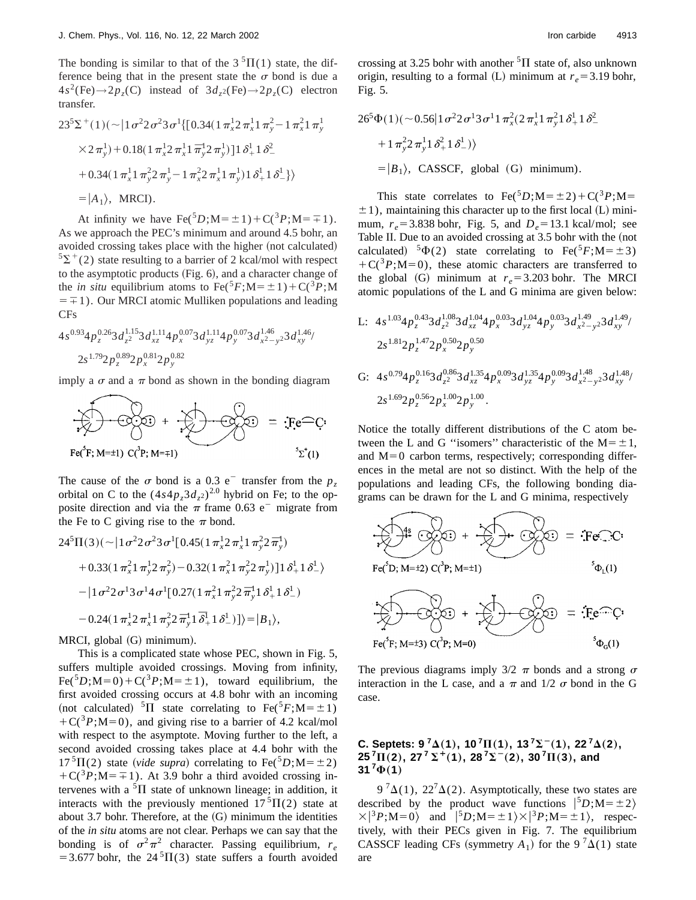The bonding is similar to that of the  $3\text{ }^{5}\Pi(1)$  state, the difference being that in the present state the  $\sigma$  bond is due a  $4s^2$ (Fe) $\rightarrow$ 2 $p_z$ (C) instead of  $3d_{z^2}$ (Fe) $\rightarrow$ 2 $p_z$ (C) electron transfer.

$$
23^{5}\Sigma^{+}(1)(\sim)1\sigma^{2}2\sigma^{2}3\sigma^{1}\{[0.34(1\,\pi_{x}^{1}2\,\pi_{x}^{1}1\,\pi_{y}^{2}-1\,\pi_{x}^{2}1\,\pi_{y}^{1} + 27\,\pi_{y}^{1}) + 0.18(1\,\pi_{x}^{1}2\,\pi_{x}^{1}1\,\pi_{y}^{1}2\,\pi_{y}^{1})]1\,\delta_{+}^{1}1\,\delta_{-}^{2}
$$

$$
+ 0.34(1\,\pi_{x}^{1}1\,\pi_{y}^{2}2\,\pi_{y}^{1} - 1\,\pi_{x}^{2}2\,\pi_{x}^{1}1\,\pi_{y}^{1})1\,\delta_{+}^{1}1\,\delta_{-}^{1}\}
$$

$$
= |A_{1}\rangle, \text{ MRCI)}.
$$

At infinity we have  $\text{Fe}({}^{5}D; M=\pm 1)+C({}^{3}P; M=\mp 1)$ . As we approach the PEC's minimum and around 4.5 bohr, an avoided crossing takes place with the higher (not calculated)  $5\Sigma^+(2)$  state resulting to a barrier of 2 kcal/mol with respect to the asymptotic products  $(Fig. 6)$ , and a character change of the *in situ* equilibrium atoms to  $\text{Fe}^{5}F$ ; M= $\pm$ 1) + C(<sup>3</sup>*P*; M  $=\pm 1$ ). Our MRCI atomic Mulliken populations and leading CFs

$$
4s^{0.93}4p_z^{0.26}3d_{z^2}^{1.15}3d_{xz}^{1.11}4p_x^{0.07}3d_{yz}^{1.11}4p_y^{0.07}3d_{x^2-y^2}^{1.46}3d_{xy}^{1.46}/
$$
  

$$
2s^{1.79}2p_z^{0.89}2p_x^{0.81}2p_y^{0.82}
$$

imply a  $\sigma$  and a  $\pi$  bond as shown in the bonding diagram

$$
\sum_{\text{Fe}^{\circ}(F; M=±1)} \text{CO}^{(3)}(F; M=±1)} + \sum_{\text{Fe}^{\circ}(F; M=±1)} \text{CO}^{(3)}(F; M=±1)} \text{CO}^{(3)}(F; M=±1)} = \sum_{\text{Fe}^{\circ}(F; M=±1)} \text{CO}^{(3)}(F; M=±1)} \text{CO}^{(3)}(F; M=±1)} \text{CO}^{(3)}(F; M=±1)}.
$$

The cause of the  $\sigma$  bond is a 0.3 e<sup>-</sup> transfer from the  $p_z$ orbital on C to the  $(4s4p<sub>z</sub>3d<sub>z</sub>)<sup>2.0</sup>$  hybrid on Fe; to the opposite direction and via the  $\pi$  frame 0.63 e<sup>-</sup> migrate from the Fe to C giving rise to the  $\pi$  bond.

$$
24^{5}\Pi(3)(\sim |1\sigma^{2}2\sigma^{2}3\sigma^{1}[0.45(1\pi_{x}^{1}2\pi_{x}^{1}1\pi_{y}^{2}2\pi_{y}^{1})
$$
  
+ 0.33(1\pi\_{x}^{2}1\pi\_{y}^{1}2\pi\_{y}^{2}) - 0.32(1\pi\_{x}^{2}1\pi\_{y}^{2}2\pi\_{y}^{1})]1\delta\_{+}^{1}1\delta\_{-}^{1}  
- |1\sigma^{2}2\sigma^{1}3\sigma^{1}4\sigma^{1}[0.27(1\pi\_{x}^{2}1\pi\_{y}^{2}2\pi\_{y}^{1}1\delta\_{+}^{1}1\delta\_{-}^{1})  
- 0.24(1\pi\_{x}^{1}2\pi\_{x}^{1}1\pi\_{y}^{2}2\pi\_{y}^{1}1\delta\_{+}^{1}1\delta\_{-}^{1})]\rangle = |B\_{1}\rangle,

MRCI, global (G) minimum).

This is a complicated state whose PEC, shown in Fig. 5, suffers multiple avoided crossings. Moving from infinity,  $Fe({}^{5}D; M=0) + C({}^{3}P; M=\pm 1)$ , toward equilibrium, the first avoided crossing occurs at 4.8 bohr with an incoming (not calculated) <sup>5</sup> $\Pi$  state correlating to Fe(<sup>5</sup>*F*;M= $\pm$ 1)  $+C({}^{3}P; M=0)$ , and giving rise to a barrier of 4.2 kcal/mol with respect to the asymptote. Moving further to the left, a second avoided crossing takes place at 4.4 bohr with the  $17 \text{ }^{5}\Pi(2)$  state (*vide supra*) correlating to Fe( $^{5}D$ ;M= $\pm 2$ )  $+C({}^{3}P;M=\pm 1)$ . At 3.9 bohr a third avoided crossing intervenes with a  ${}^{5}\Pi$  state of unknown lineage; in addition, it interacts with the previously mentioned  $17<sup>5</sup>\Pi(2)$  state at about 3.7 bohr. Therefore, at the  $(G)$  minimum the identities of the *in situ* atoms are not clear. Perhaps we can say that the bonding is of  $\sigma^2 \pi^2$  character. Passing equilibrium,  $r_e$ = 3.677 bohr, the  $24\textsuperscript{5}$  T(3) state suffers a fourth avoided crossing at 3.25 bohr with another  ${}^{5}$  $\Pi$  state of, also unknown origin, resulting to a formal (L) minimum at  $r_e = 3.19$  bohr, Fig. 5.

$$
26^5 \Phi(1)(\sim 0.56 | 1 \sigma^2 2 \sigma^1 3 \sigma^1 1 \pi_x^2 (2 \pi_x^1 1 \pi_y^2 1 \delta_+^1 1 \delta_-^2 + 1 \pi_y^2 2 \pi_y^1 1 \delta_+^2 1 \delta_-^1)
$$
  
=  $|B_1\rangle$ , CASSCF, global (G) minimum).

This state correlates to  $\text{Fe}^{5}D$ ;M= $\pm 2$ )+C(<sup>3</sup>*P*;M=  $\pm$ 1), maintaining this character up to the first local (L) minimum,  $r_e$  = 3.838 bohr, Fig. 5, and  $D_e$  = 13.1 kcal/mol; see Table II. Due to an avoided crossing at 3.5 bohr with the (not calculated) <sup>5</sup> $\Phi$ (2) state correlating to Fe(<sup>5</sup>*F*;M= $\pm$ 3)  $+C(^{3}P; M=0)$ , these atomic characters are transferred to the global (G) minimum at  $r_e = 3.203$  bohr. The MRCI atomic populations of the L and G minima are given below:

L: 
$$
4s^{1.03}4p_z^{0.43}3d_{z^2}^{1.08}3d_{xz}^{1.04}4p_x^{0.03}3d_{yz}^{1.04}4p_y^{0.03}3d_{x^2-y^2}^{1.49}3d_{xy}^{1.49}/
$$
  
\n $2s^{1.81}2p_z^{1.47}2p_x^{0.50}2p_y^{0.50}$   
\nG:  $4s^{0.79}4p_z^{0.16}3d_{z^2}^{0.86}3d_{xz}^{1.35}4p_x^{0.09}3d_{yz}^{1.35}4p_y^{0.09}3d_{x^2-y^2}^{1.48}3d_{xy}^{1.48}/$   
\n $2s^{1.69}2p_z^{0.56}2p_x^{1.00}2p_y^{1.00}$ .

Notice the totally different distributions of the C atom between the L and G "isomers" characteristic of the  $M = \pm 1$ , and  $M=0$  carbon terms, respectively; corresponding differences in the metal are not so distinct. With the help of the populations and leading CFs, the following bonding diagrams can be drawn for the L and G minima, respectively



The previous diagrams imply  $3/2 \pi$  bonds and a strong  $\sigma$ interaction in the L case, and a  $\pi$  and 1/2  $\sigma$  bond in the G case.

### **C. Septets:**  $9^{7}\Delta(1)$ ,  $10^{7}\Pi(1)$ ,  $13^{7}\Sigma^{-}(1)$ ,  $22^{7}\Delta(2)$ ,  $25^{7}\Pi(2)$ ,  $27^{7}\Sigma^{+}(1)$ ,  $28^{7}\Sigma^{-}(2)$ ,  $30^{7}\Pi(3)$ , and  $31^{7}\Phi(1)$

 $9^{7}\Delta(1)$ ,  $22^{7}\Delta(2)$ . Asymptotically, these two states are described by the product wave functions  $|{}^5D; M = \pm 2\rangle$  $\times$ |<sup>3</sup>*P*;M=0) and  $|$ <sup>5</sup>*D*;M= $\pm$ 1) $\times$ |<sup>3</sup>*P*;M= $\pm$ 1), respectively, with their PECs given in Fig. 7. The equilibrium CASSCF leading CFs (symmetry  $A_1$ ) for the 9<sup>7</sup> $\tilde{\Delta}(1)$  state are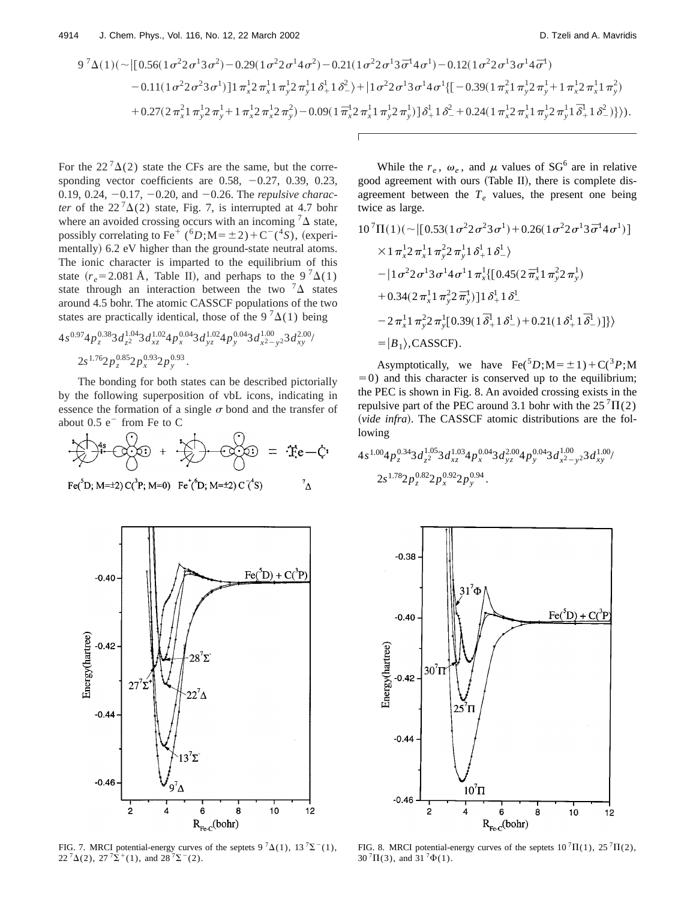$$
9^{7}\Delta(1)(\sim |[0.56(1\sigma^{2}2\sigma^{1}3\sigma^{2})-0.29(1\sigma^{2}2\sigma^{1}4\sigma^{2})-0.21(1\sigma^{2}2\sigma^{1}3\bar{\sigma}^{1}4\sigma^{1})-0.12(1\sigma^{2}2\sigma^{1}3\sigma^{1}4\bar{\sigma}^{1})-0.11(1\sigma^{2}2\sigma^{2}3\sigma^{1})]\mathbf{1}\pi_{x}^{1}2\pi_{x}^{1}1\pi_{y}^{1}2\pi_{y}^{1}1\delta_{+}^{1}1\delta_{-}^{2}\rangle+|1\sigma^{2}2\sigma^{1}3\sigma^{1}4\sigma^{1}\{[-0.39(1\pi_{x}^{2}1\pi_{y}^{1}2\pi_{y}^{1}+1\pi_{x}^{1}2\pi_{x}^{1}1\pi_{y}^{2})+0.27(2\pi_{x}^{2}1\pi_{y}^{1}2\pi_{y}^{1}+1\pi_{x}^{1}2\pi_{x}^{1}2\pi_{y}^{2})-0.09(1\pi_{x}^{1}2\pi_{x}^{1}1\pi_{y}^{1}2\pi_{y}^{1})]\delta_{+}^{1}1\delta_{-}^{2}+0.24(1\pi_{x}^{1}2\pi_{x}^{1}1\pi_{y}^{1}2\pi_{y}^{1}1\bar{\delta}_{+}^{1}1\delta_{-}^{2})\}).
$$

For the  $22^{7}\Delta(2)$  state the CFs are the same, but the corresponding vector coefficients are  $0.58, -0.27, 0.39, 0.23$ , 0.19, 0.24,  $-0.17$ ,  $-0.20$ , and  $-0.26$ . The *repulsive character* of the  $22^{7}\Delta(2)$  state, Fig. 7, is interrupted at 4.7 bohr where an avoided crossing occurs with an incoming  ${}^{7}\Delta$  state, possibly correlating to Fe<sup>+</sup> (<sup>6</sup>*D*;M= $\pm$ 2)+C<sup>-</sup>(<sup>4</sup>*S*), (experimentally) 6.2 eV higher than the ground-state neutral atoms. The ionic character is imparted to the equilibrium of this state  $(r_e = 2.081 \text{ Å}$ , Table II), and perhaps to the 9<sup>7</sup> $\Delta(1)$ state through an interaction between the two  ${}^{7}\Delta$  states around 4.5 bohr. The atomic CASSCF populations of the two states are practically identical, those of the  $9<sup>7</sup> \Delta(1)$  being

$$
4s^{0.97}4p_z^{0.38}3d_{z^2}^{1.04}3d_{xz}^{1.02}4p_x^{0.04}3d_{yz}^{1.02}4p_y^{0.04}3d_{x^2-y^2}^{1.00}3d_{xy}^{2.00}/
$$
  

$$
2s^{1.76}2p_z^{0.85}2p_x^{0.93}2p_y^{0.93}.
$$

The bonding for both states can be described pictorially by the following superposition of vbL icons, indicating in essence the formation of a single  $\sigma$  bond and the transfer of about  $0.5 e^-$  from Fe to C

$$
\frac{1}{2} \left( \frac{1}{2} + \frac{1}{2} \frac{1}{2} \right) + \frac{1}{2} \left( \frac{1}{2} + \frac{1}{2} \right) + \frac{1}{2} \left( \frac{1}{2} \right) = \frac{1}{2}e - C
$$

 $\boldsymbol{\Lambda}^7$ 

Fe( ${}^{5}D$ ; M= $\pm$ 2) C( ${}^{3}P$ ; M=0) Fe<sup>+</sup>( ${}^{6}D$ ; M= $\pm$ 2) C<sup>-( ${}^{4}S$ </sup>)



FIG. 7. MRCI potential-energy curves of the septets  $9^{7}\Delta(1)$ ,  $13^{7}\Sigma^{-}(1)$ ,  $22^{7}\Delta(2)$ ,  $27^{7}\Sigma^{+}(1)$ , and  $28^{7}\Sigma^{-}(2)$ .

While the  $r_e$ ,  $\omega_e$ , and  $\mu$  values of SG<sup>6</sup> are in relative good agreement with ours (Table II), there is complete disagreement between the  $T_e$  values, the present one being twice as large.

$$
10^7\Pi(1)(\sim \left[ [0.53(1\sigma^2 2\sigma^2 3\sigma^1) + 0.26(1\sigma^2 2\sigma^1 3\bar{\sigma}^1 4\sigma^1) \right]
$$
  
\n
$$
\times 1 \pi_x^1 2 \pi_x^1 1 \pi_y^2 2 \pi_y^1 1 \delta_x^1 1 \delta_x^1
$$
  
\n
$$
- |1 \sigma^2 2 \sigma^1 3 \sigma^1 4 \sigma^1 1 \pi_x^1 \left[ [0.45(2\bar{\pi}_x^1 1 \pi_y^2 2\pi_y^1) + 0.34(2\pi_x^1 1 \pi_y^2 2\bar{\pi}_y^1) \right] 1 \delta_x^1 1 \delta_x^1
$$
  
\n
$$
- 2 \pi_x^1 1 \pi_y^2 2 \pi_y^1 [0.39(1\bar{\delta}_x^1 1 \delta_x^1) + 0.21(1\delta_x^1 1\bar{\delta}_x^1)] \rangle
$$
  
\n
$$
= |B_1\rangle, \text{CASSCF.}
$$

Asymptotically, we have  $\text{Fe}^{5}D$ ;  $M = \pm 1$ ) +  $\text{C}^{3}P$ ; M  $=0$ ) and this character is conserved up to the equilibrium; the PEC is shown in Fig. 8. An avoided crossing exists in the repulsive part of the PEC around 3.1 bohr with the  $25 \textsuperscript{7}{\Pi(2)}$ (vide infra). The CASSCF atomic distributions are the following

$$
4s^{1.00}4p_z^{0.34}3d_{z^2}^{1.05}3d_{xz}^{1.03}4p_x^{0.04}3d_{yz}^{2.00}4p_y^{0.04}3d_{x^2-y^2}^{1.00}3d_{xy}^{1.00}/\_2s^{1.78}2p_z^{0.82}2p_x^{0.92}2p_y^{0.94}.
$$



FIG. 8. MRCI potential-energy curves of the septets  $10^7\Pi(1)$ ,  $25^7\Pi(2)$ ,  $30^{7} \Pi(3)$ , and  $31^{7} \Phi(1)$ .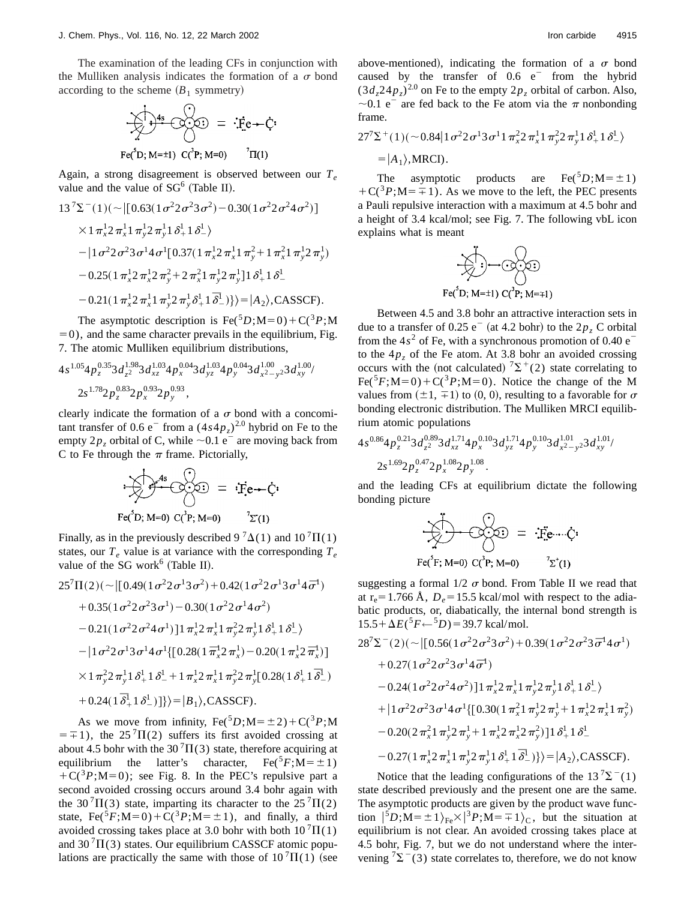$$
\sum_{\mathbf{r}} \mathbf{e}^{\mathbf{r}} \mathbf{e}^{\mathbf{r}} \mathbf{e}^{\mathbf{r}} \mathbf{e}^{\mathbf{r}} \mathbf{e}^{\mathbf{r}} \mathbf{e}^{\mathbf{r}} \mathbf{e}^{\mathbf{r}} \mathbf{e}^{\mathbf{r}} \mathbf{e}^{\mathbf{r}} \mathbf{e}^{\mathbf{r}} \mathbf{e}^{\mathbf{r}} \mathbf{e}^{\mathbf{r}} \mathbf{e}^{\mathbf{r}} \mathbf{e}^{\mathbf{r}} \mathbf{e}^{\mathbf{r}} \mathbf{e}^{\mathbf{r}} \mathbf{e}^{\mathbf{r}} \mathbf{e}^{\mathbf{r}} \mathbf{e}^{\mathbf{r}} \mathbf{e}^{\mathbf{r}} \mathbf{e}^{\mathbf{r}} \mathbf{e}^{\mathbf{r}} \mathbf{e}^{\mathbf{r}} \mathbf{e}^{\mathbf{r}} \mathbf{e}^{\mathbf{r}} \mathbf{e}^{\mathbf{r}} \mathbf{e}^{\mathbf{r}} \mathbf{e}^{\mathbf{r}} \mathbf{e}^{\mathbf{r}} \mathbf{e}^{\mathbf{r}} \mathbf{e}^{\mathbf{r}} \mathbf{e}^{\mathbf{r}} \mathbf{e}^{\mathbf{r}} \mathbf{e}^{\mathbf{r}} \mathbf{e}^{\mathbf{r}} \mathbf{e}^{\mathbf{r}} \mathbf{e}^{\mathbf{r}} \mathbf{e}^{\mathbf{r}} \mathbf{e}^{\mathbf{r}} \mathbf{e}^{\mathbf{r}} \mathbf{e}^{\mathbf{r}} \mathbf{e}^{\mathbf{r}} \mathbf{e}^{\mathbf{r}} \mathbf{e}^{\mathbf{r}} \mathbf{e}^{\mathbf{r}} \mathbf{e}^{\mathbf{r}} \mathbf{e}^{\mathbf{r}} \mathbf{e}^{\mathbf{r}} \mathbf{e}^{\mathbf{r}} \mathbf{e}^{\mathbf{r}} \mathbf{e}^{\mathbf{r}} \mathbf{e}^{\mathbf{r}} \mathbf{e}^{\mathbf{r}} \mathbf{e}^{\mathbf{r}} \mathbf{e}^{\mathbf{r}} \mathbf{e}^{\mathbf{r}} \mathbf{e}^{\mathbf{r}} \mathbf{e}^{\mathbf
$$

Again, a strong disagreement is observed between our *Te* value and the value of  $SG^6$  (Table II).

$$
13^{7}\Sigma^{-}(1)\left(\sim\left[\left[0.63(1\sigma^{2}2\sigma^{2}3\sigma^{2})-0.30(1\sigma^{2}2\sigma^{2}4\sigma^{2})\right]\right]\right.\times1\pi_{x}^{1}2\pi_{x}^{1}1\pi_{y}^{1}2\pi_{y}^{1}1\delta_{+}^{1}1\delta_{-}^{1}\right)\n-|1\sigma^{2}2\sigma^{2}3\sigma^{1}4\sigma^{1}[0.37(1\pi_{x}^{1}2\pi_{x}^{1}1\pi_{y}^{2}+1\pi_{x}^{2}1\pi_{y}^{1}2\pi_{y}^{1})\n-0.25(1\pi_{x}^{1}2\pi_{x}^{1}2\pi_{y}^{2}+2\pi_{x}^{2}1\pi_{y}^{1}2\pi_{y}^{1}11\delta_{+}^{1}1\delta_{-}^{1}\n-0.21(1\pi_{x}^{1}2\pi_{x}^{1}1\pi_{y}^{1}2\pi_{y}^{1}\delta_{+}^{1}1\delta_{-}^{1})\}\rangle=|A_{2}\rangle,\text{CASSCF}).
$$

The asymptotic description is Fe( ${}^5D$ ;M=0)+C( ${}^3P$ ;M  $=0$ ), and the same character prevails in the equilibrium, Fig. 7. The atomic Mulliken equilibrium distributions,

$$
4s^{1.05}4p_z^{0.35}3d_{z^2}^{1.98}3d_{xz}^{1.03}4p_x^{0.04}3d_{yz}^{1.03}4p_y^{0.04}3d_{x^2-y^2}^{1.00}3d_{xy}^{1.00}
$$
  

$$
2s^{1.78}2p_z^{0.83}2p_x^{0.93}2p_y^{0.93},
$$

clearly indicate the formation of a  $\sigma$  bond with a concomitant transfer of 0.6  $e^-$  from a  $(4s4p<sub>z</sub>)<sup>2.0</sup>$  hybrid on Fe to the empty  $2p<sub>z</sub>$  orbital of C, while  $\sim 0.1$  e<sup>-</sup> are moving back from C to Fe through the  $\pi$  frame. Pictorially,

$$
\sum_{\mathbf{F} \in (\mathbf{D}; \, \mathbf{M} = 0)} \mathbf{C}(\mathbf{D}; \mathbf{M} = 0) = \mathbf{F} \mathbf{e} + \mathbf{C} \mathbf{F}
$$

Finally, as in the previously described 9  ${}^{7}\Delta(1)$  and 10  ${}^{7}\Pi(1)$ states, our  $T_e$  value is at variance with the corresponding  $T_e$ value of the SG work $<sup>6</sup>$  (Table II).</sup>

$$
25^{7}\Pi(2)(\sim |[0.49(1\sigma^{2}2\sigma^{1}3\sigma^{2})+0.42(1\sigma^{2}2\sigma^{1}3\sigma^{1}4\bar{\sigma}^{1})
$$
  
+ 0.35(1\sigma^{2}2\sigma^{2}3\sigma^{1})-0.30(1\sigma^{2}2\sigma^{1}4\sigma^{2})  
- 0.21(1\sigma^{2}2\sigma^{2}4\sigma^{1})]1\pi\_{x}^{1}2\pi\_{x}^{1}1\pi\_{y}^{2}2\pi\_{y}^{1}1\delta\_{+}^{1}1\delta\_{-}^{1}  
-  $|1\sigma^{2}2\sigma^{1}3\sigma^{1}4\sigma^{1}\{[0.28(1\bar{\pi}_{x}^{1}2\pi_{x}^{1})-0.20(1\pi_{x}^{1}2\bar{\pi}_{x}^{1})]\}$   
 $\times 1\pi_{y}^{2}2\pi_{y}^{1}1\delta_{+}^{1}1\delta_{-}^{1} + 1\pi_{x}^{1}2\pi_{x}^{1}1\pi_{y}^{2}2\pi_{y}^{1}[0.28(1\delta_{+}^{1}1\bar{\delta}_{-}^{1})+ 0.24(1\bar{\delta}_{+}^{1}1\delta_{-}^{1})]\}\rangle=|B_{1}\rangle, \text{CASSCF}).$ 

As we move from infinity,  $Fe^{5}D$ ;  $M = \pm 2$ ) +  $C^{3}P$ ; M  $=\pm 1$ ), the 25<sup>7</sup>II(2) suffers its first avoided crossing at about 4.5 bohr with the 30<sup>7</sup> $\Pi$ (3) state, therefore acquiring at equilibrium the latter's character,  $\text{Fe}({}^5F; \text{M}=\pm 1)$  $+C({}^{3}P; M=0)$ ; see Fig. 8. In the PEC's repulsive part a second avoided crossing occurs around 3.4 bohr again with the 30<sup>7</sup> $\Pi$ (3) state, imparting its character to the 25<sup>7</sup> $\Pi$ (2) state,  $\text{Fe}^{5}F$ ; M=0) + C(<sup>3</sup>*P*; M= $\pm$ 1), and finally, a third avoided crossing takes place at 3.0 bohr with both  $10^7\Pi(1)$ and  $30^7\Pi(3)$  states. Our equilibrium CASSCF atomic populations are practically the same with those of  $10<sup>7</sup>\Pi(1)$  (see above-mentioned), indicating the formation of a  $\sigma$  bond caused by the transfer of  $0.6 \text{ e}^-$  from the hybrid  $(3d<sub>z</sub>24p<sub>z</sub>)<sup>2.0</sup>$  on Fe to the empty  $2p<sub>z</sub>$  orbital of carbon. Also,  $\sim$ 0.1 e<sup>-</sup> are fed back to the Fe atom via the  $\pi$  nonbonding frame.

$$
27^{7} \Sigma^{+}(1) (\sim 0.84 | 1 \sigma^{2} 2 \sigma^{1} 3 \sigma^{1} 1 \pi_{x}^{2} 2 \pi_{x}^{1} 1 \pi_{y}^{2} 2 \pi_{y}^{1} 1 \delta_{+}^{1} 1 \delta_{-}^{1})
$$
  
= |A<sub>1</sub>), MRCI).

The asymptotic products are Fe( ${}^5D$ ;M= $\pm 1$ )  $+C({}^{3}P;M=\pm 1)$ . As we move to the left, the PEC presents a Pauli repulsive interaction with a maximum at 4.5 bohr and a height of 3.4 kcal/mol; see Fig. 7. The following vbL icon explains what is meant

$$
\begin{array}{c}\n\begin{array}{c}\n\searrow \\
\searrow \\
\searrow\n\end{array} \begin{array}{c}\n\searrow \\
\searrow \\
\searrow\n\end{array} \begin{array}{c}\n\searrow \\
\searrow \\
\searrow\n\end{array} \begin{array}{c}\n\searrow \\
\searrow \\
\searrow\n\end{array} \begin{array}{c}\n\searrow \\
\searrow \\
\searrow\n\end{array} \begin{array}{c}\n\searrow \\
\searrow \\
\searrow\n\end{array} \begin{array}{c}\n\searrow \\
\searrow \\
\searrow\n\end{array} \begin{array}{c}\n\searrow \\
\searrow \\
\searrow\n\end{array} \begin{array}{c}\n\searrow \\
\searrow \\
\searrow\n\end{array} \begin{array}{c}\n\searrow \\
\searrow \\
\searrow\n\end{array} \begin{array}{c}\n\searrow \\
\searrow \\
\searrow\n\end{array} \begin{array}{c}\n\searrow \\
\searrow \\
\searrow\n\end{array} \begin{array}{c}\n\searrow \\
\searrow \\
\searrow\n\end{array} \begin{array}{c}\n\searrow \\
\searrow \\
\searrow \\
\searrow\n\end{array} \begin{array}{c}\n\searrow \\
\searrow \\
\searrow \\
\searrow\n\end{array} \begin{array}{c}\n\searrow \\
\searrow \\
\searrow \\
\searrow\n\end{array} \begin{array}{c}\n\searrow \\
\searrow \\
\searrow \\
\searrow \\
\searrow\n\end{array} \begin{array}{c}\n\searrow \\
\searrow \\
\searrow \\
\searrow \\
\searrow\n\end{array}
$$

Between 4.5 and 3.8 bohr an attractive interaction sets in due to a transfer of  $0.25 e^-$  (at 4.2 bohr) to the  $2p$ , C orbital from the  $4s^2$  of Fe, with a synchronous promotion of 0.40  $e^$ to the  $4p<sub>z</sub>$  of the Fe atom. At 3.8 bohr an avoided crossing occurs with the (not calculated)  ${}^{7}\Sigma^{+}(2)$  state correlating to  $Fe({}^5F; M=0) + C({}^3P; M=0)$ . Notice the change of the M values from  $(\pm 1, \mp 1)$  to  $(0, 0)$ , resulting to a favorable for  $\sigma$ bonding electronic distribution. The Mulliken MRCI equilibrium atomic populations

$$
4s^{0.86}4p_z^{0.21}3d_{z^2}^{0.89}3d_{xz}^{1.71}4p_x^{0.10}3d_{yz}^{1.71}4p_y^{0.10}3d_{x^2-y^2}^{1.01}3d_{xy}^{1.01}/
$$
  
 
$$
2s^{1.69}2p_z^{0.47}2p_x^{1.08}2p_y^{1.08}.
$$

and the leading CFs at equilibrium dictate the following bonding picture

$$
\sum_{\mathbf{F} \in (\mathbf{F}; \, \mathbf{M} = 0)}^{\mathbf{F}} \mathbf{C}(\mathbf{F}; \mathbf{M}) = \mathbf{F} \mathbf{F} \mathbf{F} \mathbf{F} \mathbf{F}(\mathbf{F}; \mathbf{M} = 0) \qquad \mathbf{F} \mathbf{F}(\mathbf{F}; \mathbf{M} = 0) \qquad \mathbf{F} \mathbf{F}(\mathbf{F}; \mathbf{M} = 0)
$$

suggesting a formal  $1/2 \sigma$  bond. From Table II we read that at  $r_e$ =1.766 Å,  $D_e$ =15.5 kcal/mol with respect to the adiabatic products, or, diabatically, the internal bond strength is  $15.5 + \Delta E({}^5F \leftarrow {}^5D) = 39.7$  kcal/mol.

$$
28^{7}\Sigma^{-}(2)(\sim |[0.56(1\sigma^{2}2\sigma^{2}3\sigma^{2})+0.39(1\sigma^{2}2\sigma^{2}3\bar{\sigma}^{1}4\sigma^{1})+0.27(1\sigma^{2}2\sigma^{2}3\sigma^{1}4\bar{\sigma}^{1})-0.24(1\sigma^{2}2\sigma^{2}4\sigma^{2})]\mathbf{1}\pi_{x}^{1}2\pi_{x}^{1}\mathbf{1}\pi_{y}^{1}2\pi_{y}^{1}\mathbf{1}\delta_{+}^{1}\mathbf{1}\delta_{-}^{1}\rangle+|1\sigma^{2}2\sigma^{2}3\sigma^{1}4\sigma^{1}\{[0.30(1\pi_{x}^{2}1\pi_{y}^{1}2\pi_{y}^{1}+1\pi_{x}^{1}2\pi_{x}^{1}1\pi_{y}^{2})-0.20(2\pi_{x}^{2}1\pi_{y}^{1}2\pi_{y}^{1}+1\pi_{x}^{1}2\pi_{y}^{2})]\mathbf{1}\delta_{+}^{1}\mathbf{1}\delta_{-}^{1}-0.27(1\pi_{x}^{1}2\pi_{x}^{1}1\pi_{y}^{1}2\pi_{y}^{1}1\delta_{+}^{1}\mathbf{1}\bar{\delta}_{-}^{1})\}\rangle=|A_{2}\rangle, \text{CASSCF}).
$$

Notice that the leading configurations of the  $13^{7}\Sigma^{-}(1)$ state described previously and the present one are the same. The asymptotic products are given by the product wave function  $|{}^5D; M = \pm 1\rangle_{\text{Fe}} \times |{}^3P; M = \pm 1\rangle_{\text{C}}$ , but the situation at equilibrium is not clear. An avoided crossing takes place at 4.5 bohr, Fig. 7, but we do not understand where the intervening  ${}^{7}\Sigma^{-}(3)$  state correlates to, therefore, we do not know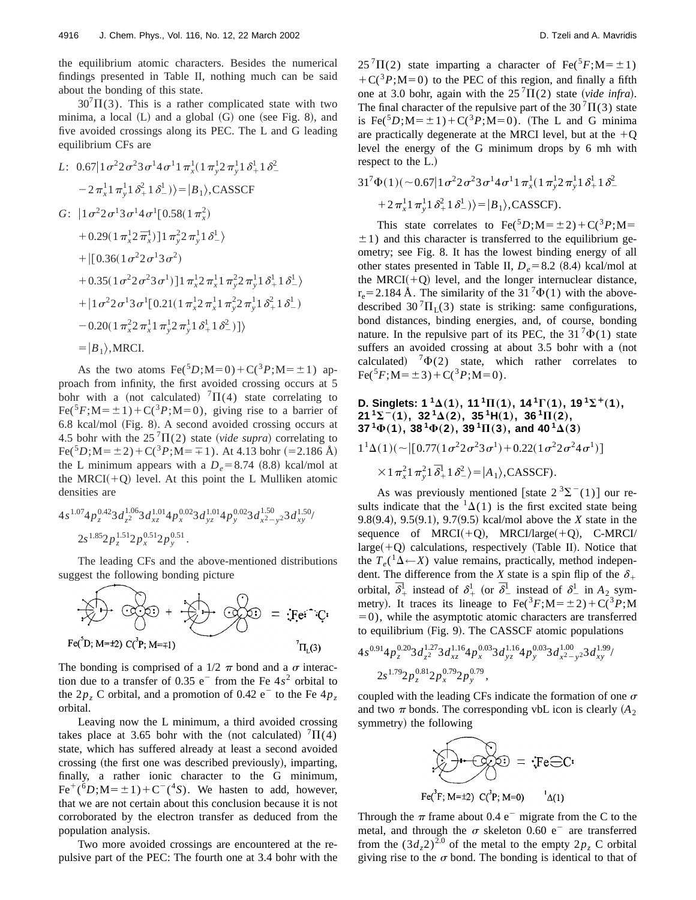the equilibrium atomic characters. Besides the numerical findings presented in Table II, nothing much can be said about the bonding of this state.

 $30^{7}\Pi(3)$ . This is a rather complicated state with two minima, a local  $(L)$  and a global  $(G)$  one (see Fig. 8), and five avoided crossings along its PEC. The L and G leading equilibrium CFs are

L: 
$$
0.67|1\sigma^2 2\sigma^2 3\sigma^1 4\sigma^1 1 \pi_x^1 (1 \pi_y^1 2 \pi_y^1 1 \delta_+^1 1 \delta_-^2
$$
  
\n $-2\pi_x^1 1 \pi_y^1 1 \delta_+^2 1 \delta_-^1)\rangle = |B_1\rangle$ , CASSCF  
\nG:  $|1\sigma^2 2\sigma^1 3\sigma^1 4\sigma^1 [0.58(1 \pi_x^2)$   
\n $+0.29(1 \pi_x^1 2 \pi_x^1)]1 \pi_y^2 2 \pi_y^1 1 \delta_-^1\rangle$   
\n $+ |[0.36(1 \sigma^2 2 \sigma^1 3 \sigma^2)$   
\n $+0.35(1 \sigma^2 2 \sigma^2 3 \sigma^1) 11 \pi^1 2 \pi^1 1 \pi^2 2 \pi^1 1 \delta_+^1 1 \delta_+^1$ 

+0.35(1
$$
\sigma^2 2 \sigma^2 3 \sigma^1
$$
)]1  $\pi_x^1 2 \pi_x^1 1 \pi_y^2 2 \pi_y^1 1 \delta_x^1 1 \delta_x^1$   
+|1 $\sigma^2 2 \sigma^1 3 \sigma^1 [0.21(1 \pi_x^1 2 \pi_x^1 1 \pi_y^2 2 \pi_y^1 1 \delta_x^2 1 \delta_x^1)$   
-0.20(1  $\pi_x^2 2 \pi_x^1 1 \pi_y^1 2 \pi_y^1 1 \delta_x^1 1 \delta_x^2$  )]\n  
=|*B*<sub>1</sub>},MRCI.

As the two atoms  $\text{Fe}^{5}D$ ;M=0)+C(<sup>3</sup>*P*;M= $\pm$ 1) approach from infinity, the first avoided crossing occurs at 5 bohr with a (not calculated)  ${}^{7}$  $\Pi$ (4) state correlating to  $Fe({}^{5}F;M=\pm 1)+C({}^{3}P;M=0)$ , giving rise to a barrier of 6.8 kcal/mol (Fig. 8). A second avoided crossing occurs at 4.5 bohr with the  $25^{7}\Pi(2)$  state (*vide supra*) correlating to  $Fe({}^{5}D; M=\pm 2) + C({}^{3}P; M=\pm 1)$ . At 4.13 bohr (=2.186 Å) the L minimum appears with a  $D_e = 8.74$  (8.8) kcal/mol at the MRCI $(+Q)$  level. At this point the L Mulliken atomic densities are

$$
\begin{aligned}4s^{1.07}4p_z^{0.42}3d_{z^2}^{1.06}3d_{xz}^{1.01}4p_x^{0.02}3d_{yz}^{1.01}4p_y^{0.02}3d_{x^2-y^2}^{1.50}3d_{xy}^{1.50}/\\ &2s^{1.85}2p_z^{1.51}2p_x^{0.51}2p_y^{0.51}.\end{aligned}
$$

The leading CFs and the above-mentioned distributions suggest the following bonding picture

$$
\sum_{\text{Fe}^{\prime}} \rightarrow \sum_{\text{Ce}^{\prime}} \rightarrow \sum_{\text{Fe}^{\prime}} \rightarrow \sum_{\text{Fe}^{\prime}} \rightarrow \sum_{\text{Fe}^{\prime}} \rightarrow \sum_{\text{Fe}^{\prime}} \rightarrow \sum_{\text{Fe}^{\prime}} \rightarrow \sum_{\text{Fe}^{\prime}} \rightarrow \sum_{\text{Fe}^{\prime}} \rightarrow \sum_{\text{Fe}^{\prime}} \rightarrow \sum_{\text{Fe}^{\prime}} \rightarrow \sum_{\text{Fe}^{\prime}} \rightarrow \sum_{\text{Fe}^{\prime}} \rightarrow \sum_{\text{Fe}^{\prime}} \rightarrow \sum_{\text{Fe}^{\prime}} \rightarrow \sum_{\text{Fe}^{\prime}} \rightarrow \sum_{\text{Fe}^{\prime}} \rightarrow \sum_{\text{Fe}^{\prime}} \rightarrow \sum_{\text{Fe}^{\prime}} \rightarrow \sum_{\text{Fe}^{\prime}} \rightarrow \sum_{\text{Fe}^{\prime}} \rightarrow \sum_{\text{Fe}^{\prime}} \rightarrow \sum_{\text{Fe}^{\prime}} \rightarrow \sum_{\text{Fe}^{\prime}} \rightarrow \sum_{\text{Fe}^{\prime}} \rightarrow \sum_{\text{Fe}^{\prime}} \rightarrow \sum_{\text{Fe}^{\prime}} \rightarrow \sum_{\text{Fe}^{\prime}} \rightarrow \sum_{\text{Fe}^{\prime}} \rightarrow \sum_{\text{Fe}^{\prime}} \rightarrow \sum_{\text{Fe}^{\prime}} \rightarrow \sum_{\text{Fe}^{\prime}} \rightarrow \sum_{\text{Fe}^{\prime}} \rightarrow \sum_{\text{Fe}^{\prime}} \rightarrow \sum_{\text{Fe}^{\prime}} \rightarrow \sum_{\text{Fe}^{\prime}} \rightarrow \sum_{\text{Fe}^{\prime}} \rightarrow \sum_{\text{Fe}^{\prime}} \rightarrow \sum_{\text{Fe}^{\prime}} \rightarrow \sum_{\text{Fe}^{\prime}} \rightarrow \sum_{\text{Fe}^{\prime}} \rightarrow \sum_{\text{Fe}^{\prime}} \rightarrow \sum_{\text{Fe}^{\prime}} \rightarrow \sum_{\text{Fe}^{\prime}} \rightarrow \sum_{\text{Fe}^{\prime}} \rightarrow \sum_{\text{Fe}^{\prime}} \rightarrow \sum_{\text{Fe}^{\prime}} \rightarrow \sum_{\text{Fe}^{\prime}} \rightarrow \sum_{\text{Fe}^{\prime}} \rightarrow \sum_{\text{Fe}^{\prime}} \rightarrow \sum_{\text{Fe}^{\prime}} \rightarrow \sum_{\text{Fe}^{\prime}} \rightarrow \sum_{\text{Fe}^{\prime}} \rightarrow \sum_{\text{Fe}^{\prime}} \rightarrow \sum_{\
$$

The bonding is comprised of a  $1/2 \pi$  bond and a  $\sigma$  interaction due to a transfer of  $0.35$  e<sup>-</sup> from the Fe  $4s<sup>2</sup>$  orbital to the  $2p<sub>z</sub>$  C orbital, and a promotion of 0.42 e<sup>-</sup> to the Fe  $4p<sub>z</sub>$ orbital.

Leaving now the L minimum, a third avoided crossing takes place at 3.65 bohr with the (not calculated)  $^{7}\Pi(4)$ state, which has suffered already at least a second avoided crossing (the first one was described previously), imparting, finally, a rather ionic character to the G minimum,  $Fe^{+}(6D; M=\pm 1)+C^{-}(4S)$ . We hasten to add, however, that we are not certain about this conclusion because it is not corroborated by the electron transfer as deduced from the population analysis.

Two more avoided crossings are encountered at the repulsive part of the PEC: The fourth one at 3.4 bohr with the  $25^{7}\Pi(2)$  state imparting a character of Fe(<sup>5</sup>*F*;M= $\pm$ 1)  $+C({}^{3}P; M=0)$  to the PEC of this region, and finally a fifth one at 3.0 bohr, again with the  $25^{7}\Pi(2)$  state (*vide infra*). The final character of the repulsive part of the 30<sup>7</sup> $\Pi$ (3) state is Fe( ${}^5D$ ;M= $\pm 1$ )+C( ${}^3P$ ;M=0). (The L and G minima are practically degenerate at the MRCI level, but at the  $+Q$ level the energy of the G minimum drops by 6 mh with respect to the L.)

$$
31^{7}\Phi(1)(\sim 0.67|1\sigma^{2}2\sigma^{2}3\sigma^{1}4\sigma^{1}1\pi_{x}^{1}(1\pi_{y}^{1}2\pi_{y}^{1}1\delta_{+}^{1}1\delta_{-}^{2}
$$

$$
+2\pi_{x}^{1}1\pi_{y}^{1}1\delta_{+}^{2}1\delta_{-}^{1})\rangle=|B_{1}\rangle, \text{CASSCF}.
$$

This state correlates to  $\text{Fe}({}^5D;M=\pm 2)+\text{C}({}^3P;M=$  $\pm$ 1) and this character is transferred to the equilibrium geometry; see Fig. 8. It has the lowest binding energy of all other states presented in Table II,  $D_e = 8.2$  (8.4) kcal/mol at the MRCI $(+Q)$  level, and the longer internuclear distance,  $r_e = 2.184$  Å. The similarity of the 31  $^7\Phi(1)$  with the abovedescribed 30<sup>7</sup> $\Pi$ <sub>L</sub>(3) state is striking: same configurations, bond distances, binding energies, and, of course, bonding nature. In the repulsive part of its PEC, the 31<sup>7</sup> $\Phi(1)$  state suffers an avoided crossing at about 3.5 bohr with a (not calculated)  ${}^{7}\Phi(2)$  state, which rather correlates to  $Fe({}^{5}F; M=\pm 3)+C({}^{3}P; M=0).$ 

### **D. Singlets:**  $1^{1}\Delta(1)$ ,  $11^{1}\Pi(1)$ ,  $14^{1}\Gamma(1)$ ,  $19^{1}\Sigma^{+}(1)$ , **21**  ${}^{1}\Sigma^{-}(1)$ ,  $32 {}^{1}\Delta(2)$ ,  $35 {}^{1}\text{H}(1)$ ,  $36 {}^{1}\text{H}(2)$ , **37**<sup>1</sup> $\Phi$ (1), 38<sup>1</sup> $\Phi$ (2), 39<sup>1</sup> $\Pi$ (3), and 40<sup>1</sup> $\Delta$ (3)

 $1^{1}\Delta(1)(\sim [[0.77(1\sigma^{2}2\sigma^{2}3\sigma^{1})+0.22(1\sigma^{2}2\sigma^{2}4\sigma^{1})]$ 

 $\times$  1  $\pi_x^2$  1  $\bar{\delta}_+^1$  1  $\delta_-^2$   $>$   $=$   $|A_1\rangle$ , CASSCF).

As was previously mentioned [state  $2 \space 3\Sigma^-(1)$ ] our results indicate that the  ${}^{1}\Delta(1)$  is the first excited state being 9.8 $(9.4)$ , 9.5 $(9.1)$ , 9.7 $(9.5)$  kcal/mol above the *X* state in the sequence of  $MRCI(+Q)$ ,  $MRCI/large(+Q)$ , C-MRCI/  $\text{large}(+Q)$  calculations, respectively (Table II). Notice that the  $T_e^{(1)}\Delta \leftarrow X$ ) value remains, practically, method independent. The difference from the *X* state is a spin flip of the  $\delta_+$ orbital,  $\bar{\delta}^1_+$  instead of  $\delta^1_+$  (or  $\bar{\delta}^1_-$  instead of  $\delta^1_-$  in  $A_2$  symmetry). It traces its lineage to  $\text{Fe}(^{3}F; M=\pm 2) + C({}^{3}P; M)$  $=0$ ), while the asymptotic atomic characters are transferred to equilibrium (Fig. 9). The CASSCF atomic populations

$$
4s^{0.91}4p_z^{0.20}3d_{z^2}^{1.27}3d_{xz}^{1.16}4p_x^{0.03}3d_{yz}^{1.16}4p_y^{0.03}3d_{x^2-y^2}^{1.00}3d_{xy}^{1.99}/
$$
  

$$
2s^{1.79}2p_z^{0.81}2p_x^{0.79}2p_y^{0.79},
$$

coupled with the leading CFs indicate the formation of one  $\sigma$ and two  $\pi$  bonds. The corresponding vbL icon is clearly  $(A_2)$ symmetry) the following



Through the  $\pi$  frame about 0.4 e<sup>-</sup> migrate from the C to the metal, and through the  $\sigma$  skeleton 0.60 e<sup>-</sup> are transferred from the  $(3d_z 2)^{2.0}$  of the metal to the empty  $2p_z$  C orbital giving rise to the  $\sigma$  bond. The bonding is identical to that of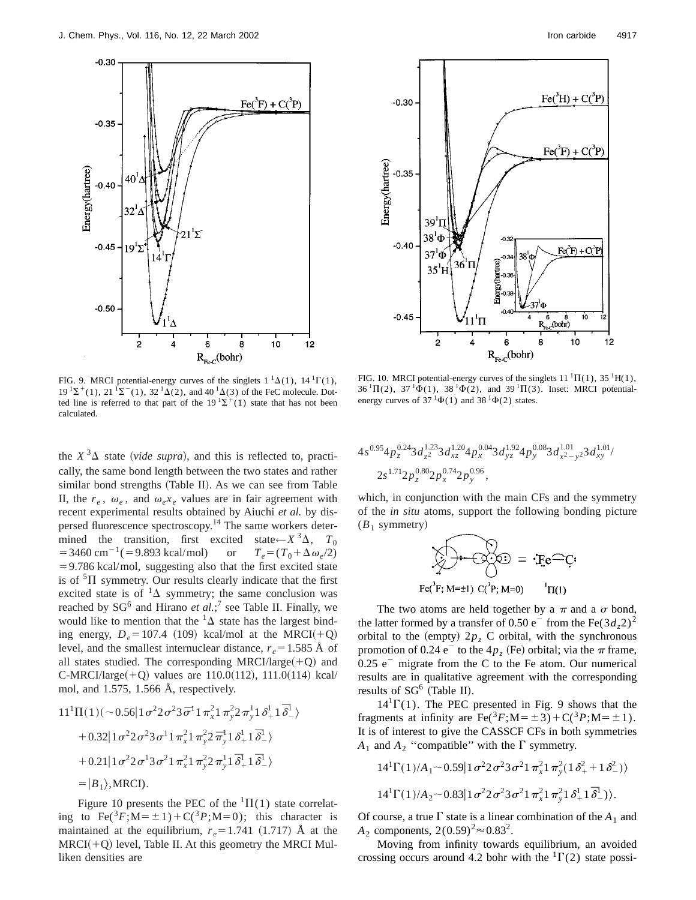



FIG. 9. MRCI potential-energy curves of the singlets  $1 \text{ }^1\Delta(1)$ ,  $14 \text{ }^1\Gamma(1)$ ,  $19^{1}\Sigma^{+}(1)$ ,  $21^{1}\Sigma^{-}(1)$ ,  $32^{1}\Delta(2)$ , and  $40^{1}\Delta(3)$  of the FeC molecule. Dotted line is referred to that part of the  $19^{1} \Sigma^{+}(1)$  state that has not been calculated.

the  $X^3\Delta$  state (*vide supra*), and this is reflected to, practically, the same bond length between the two states and rather similar bond strengths (Table II). As we can see from Table II, the  $r_e$ ,  $\omega_e$ , and  $\omega_e x_e$  values are in fair agreement with recent experimental results obtained by Aiuchi *et al.* by dispersed fluorescence spectroscopy.<sup>14</sup> The same workers determined the transition, first excited state← $X^3\Delta$ ,  $T_0$ <br>=3460 cm<sup>-1</sup>(=9.893 kcal/mol) or  $T_e = (T_0 + \Delta \omega_e/2)$  $=$  3460 cm<sup>-1</sup>( $=$  9.893 kcal/mol)  $=$  9.786 kcal/mol, suggesting also that the first excited state is of  ${}^{5}$  $\Pi$  symmetry. Our results clearly indicate that the first excited state is of  ${}^{1}\Delta$  symmetry; the same conclusion was reached by SG<sup>6</sup> and Hirano *et al*.;<sup>7</sup> see Table II. Finally, we would like to mention that the  $\Delta$  state has the largest binding energy,  $D_e$ =107.4 (109) kcal/mol at the MRCI(+Q) level, and the smallest internuclear distance,  $r_e = 1.585 \text{ Å}$  of all states studied. The corresponding MRCI/large $(+Q)$  and  $C-MRCI/large(+Q)$  values are 110.0(112), 111.0(114) kcal/ mol, and 1.575, 1.566 Å, respectively.

$$
11^{1}\Pi(1)(\sim 0.56|1\sigma^{2}2\sigma^{2}3\bar{\sigma}^{1}1\pi_{x}^{2}1\pi_{y}^{2}2\pi_{y}^{1}1\delta_{+}^{1}1\bar{\delta}_{-}^{1})
$$
  
+ 0.32|1\sigma^{2}2\sigma^{2}3\sigma^{1}1\pi\_{x}^{2}1\pi\_{y}^{2}2\bar{\pi}\_{y}^{1}1\delta\_{+}^{1}1\bar{\delta}\_{-}^{1})  
+ 0.21|1\sigma^{2}2\sigma^{1}3\sigma^{2}1\pi\_{x}^{2}1\pi\_{y}^{2}2\pi\_{y}^{1}1\bar{\delta}\_{+}^{1}1\bar{\delta}\_{-}^{1})  
= |B\_{1}\rangle, MRCI).

Figure 10 presents the PEC of the  ${}^{1}\Pi(1)$  state correlating to  $\text{Fe}(^{3}F; M=\pm 1)+C({}^{3}P; M=0);$  this character is maintained at the equilibrium,  $r_e$ =1.741 (1.717) Å at the  $MRCI(+Q)$  level, Table II. At this geometry the MRCI Mulliken densities are

FIG. 10. MRCI potential-energy curves of the singlets  $11^1\Pi(1)$ ,  $35^1H(1)$ ,  $36 \text{ }^1\Pi(2)$ ,  $37 \text{ }^1\Phi(1)$ ,  $38 \text{ }^1\Phi(2)$ , and  $39 \text{ }^1\Pi(3)$ . Inset: MRCI potentialenergy curves of  $37 \text{ }^1\Phi(1)$  and  $38 \text{ }^1\Phi(2)$  states.

$$
4s^{0.95}4p_z^{0.24}3d_{z^2}^{1.23}3d_{xz}^{1.20}4p_x^{0.04}3d_{yz}^{1.92}4p_y^{0.08}3d_{x^2-y^2}^{1.01}3d_{xy}^{1.01}/
$$
  

$$
2s^{1.71}2p_z^{0.80}2p_x^{0.74}2p_y^{0.96},
$$

which, in conjunction with the main CFs and the symmetry of the *in situ* atoms, support the following bonding picture  $(B_1$  symmetry)

$$
\sum_{\mathbf{F} \in (\mathbf{F}; \mathbf{M} = \pm 1)} \sum_{\mathbf{C} \in \mathbf{P}(\mathbf{F}; \mathbf{M} = 0)} \mathbf{F} \mathbf{e}^{\mathbf{C}} \mathbf{C} \mathbf{e}
$$

The two atoms are held together by a  $\pi$  and a  $\sigma$  bond, the latter formed by a transfer of 0.50  $e^-$  from the Fe(3*d<sub>z</sub>*2)<sup>2</sup> orbital to the (empty)  $2p_z$  C orbital, with the synchronous promotion of 0.24 e<sup>-</sup> to the  $4p<sub>z</sub>$  (Fe) orbital; via the  $\pi$  frame,  $0.25$  e<sup>-</sup> migrate from the C to the Fe atom. Our numerical results are in qualitative agreement with the corresponding results of  $SG^6$  (Table II).

 $14^{1}\Gamma(1)$ . The PEC presented in Fig. 9 shows that the fragments at infinity are  $\text{Fe}({}^{3}F; \text{M}=\pm 3)+\text{C}({}^{3}P; \text{M}=\pm 1)$ . It is of interest to give the CASSCF CFs in both symmetries  $A_1$  and  $A_2$  "compatible" with the  $\Gamma$  symmetry.

$$
14^{1}\Gamma(1)/A_{1} \sim 0.59|1\sigma^{2}2\sigma^{2}3\sigma^{2}1\pi_{x}^{2}1\pi_{y}^{2}(1\delta_{+}^{2}+1\delta_{-}^{2})\rangle
$$
  

$$
14^{1}\Gamma(1)/A_{2} \sim 0.83|1\sigma^{2}2\sigma^{2}3\sigma^{2}1\pi_{x}^{2}1\pi_{y}^{2}1\delta_{+}^{1}1\bar{\delta}_{-}^{1})\rangle.
$$

Of course, a true  $\Gamma$  state is a linear combination of the  $A_1$  and *A*<sub>2</sub> components,  $2(0.59)^{2} \approx 0.83^{2}$ .

Moving from infinity towards equilibrium, an avoided crossing occurs around 4.2 bohr with the  ${}^{1}\Gamma(2)$  state possi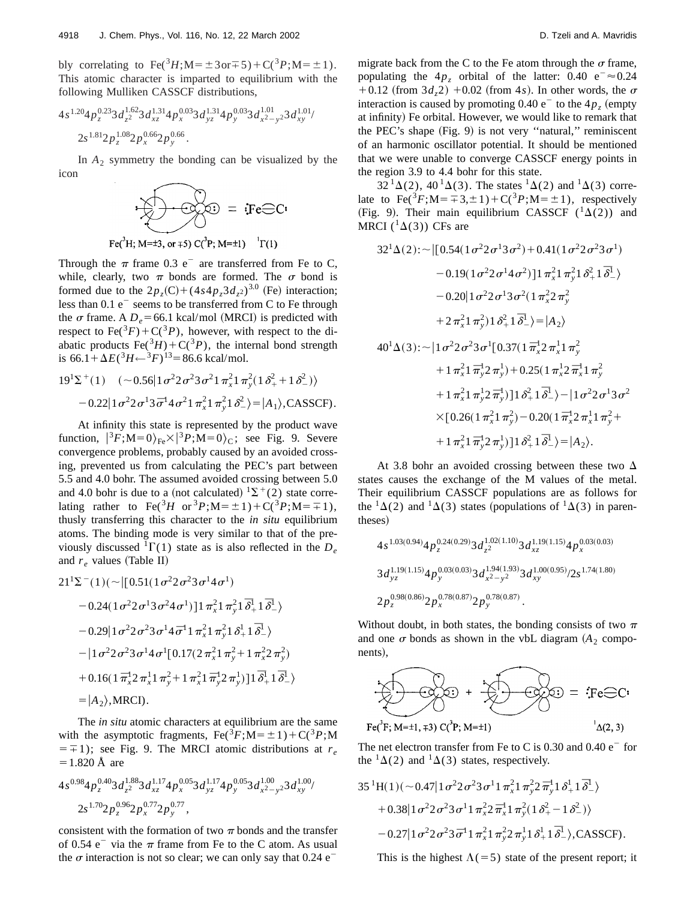bly correlating to  $\text{Fe}({}^{3}H; M = \pm 3 \text{ or } \mp 5) + C({}^{3}P; M = \pm 1)$ . This atomic character is imparted to equilibrium with the following Mulliken CASSCF distributions,

$$
4s^{1.20}4p_{z}^{0.23}3d_{z}^{1.62}3d_{xz}^{1.31}4p_{x}^{0.03}3d_{yz}^{1.31}4p_{y}^{0.03}3d_{x^{2}-y^{2}}^{1.01}3d_{xy}^{1.01}/
$$
  
 
$$
2s^{1.81}2p_{z}^{1.08}2p_{x}^{0.66}2p_{y}^{0.66}.
$$

In  $A_2$  symmetry the bonding can be visualized by the icon



$$
\text{Fe}(^{\circ}H; M=\pm 3, \text{ or } \mp 5) \text{ C}(^{\circ}P; M=\pm 1) \quad \Gamma(1)
$$

Through the  $\pi$  frame 0.3 e<sup>-</sup> are transferred from Fe to C, while, clearly, two  $\pi$  bonds are formed. The  $\sigma$  bond is formed due to the  $2p_z(C) + (4s4p_z3d_z^2)^{3.0}$  (Fe) interaction; less than  $0.1 e^-$  seems to be transferred from C to Fe through the  $\sigma$  frame. A  $D_e$ =66.1 kcal/mol (MRCI) is predicted with respect to Fe( ${}^{3}F$ ) + C( ${}^{3}P$ ), however, with respect to the diabatic products  $\text{Fe}(^{3}H) + \text{C}(^{3}P)$ , the internal bond strength is  $66.1 + \Delta E({}^3H \leftarrow {}^3F)^{13} = 86.6$  kcal/mol.

$$
19^{1}\Sigma^{+}(1) \quad (\sim 0.56 | 1 \sigma^{2} 2 \sigma^{2} 3 \sigma^{2} 1 \pi_{x}^{2} 1 \pi_{y}^{2} (1 \delta_{+}^{2} + 1 \delta_{-}^{2}) \rangle - 0.22 | 1 \sigma^{2} 2 \sigma^{1} 3 \bar{\sigma}^{1} 4 \sigma^{2} 1 \pi_{x}^{2} 1 \pi_{y}^{2} 1 \delta_{-}^{2} \rangle = |A_{1}\rangle, \text{CASSCF}.
$$

At infinity this state is represented by the product wave function,  $|{}^{3}F; M=0\rangle_{\text{Fe}} \times |{}^{3}P; M=0\rangle_{\text{C}}$ ; see Fig. 9. Severe convergence problems, probably caused by an avoided crossing, prevented us from calculating the PEC's part between 5.5 and 4.0 bohr. The assumed avoided crossing between 5.0 and 4.0 bohr is due to a (not calculated)  ${}^{1}\Sigma^{+}(2)$  state correlating rather to Fe( ${}^{3}H$  or  ${}^{3}P$ ;M= $\pm$ 1)+C( ${}^{3}P$ ;M= $\mp$ 1), thusly transferring this character to the *in situ* equilibrium atoms. The binding mode is very similar to that of the previously discussed  ${}^{1}\Gamma(1)$  state as is also reflected in the  $D_e$ and  $r_e$  values (Table II)

$$
21^{1}\Sigma^{-}(1)(\sim |[0.51(1\sigma^{2}2\sigma^{2}3\sigma^{1}4\sigma^{1})
$$
  
\n
$$
-0.24(1\sigma^{2}2\sigma^{1}3\sigma^{2}4\sigma^{1})]1\pi_{x}^{2}1\pi_{y}^{2}1\delta_{+}^{1}1\delta_{-}^{1}
$$
  
\n
$$
-0.29|1\sigma^{2}2\sigma^{2}3\sigma^{1}4\sigma^{1}1\pi_{x}^{2}1\pi_{y}^{2}1\delta_{+}^{1}1\delta_{-}^{1}
$$
  
\n
$$
-|1\sigma^{2}2\sigma^{2}3\sigma^{1}4\sigma^{1}[0.17(2\pi_{x}^{2}1\pi_{y}^{2}+1\pi_{x}^{2}2\pi_{y}^{2})
$$
  
\n
$$
+0.16(1\pi_{x}^{1}2\pi_{x}^{1}1\pi_{y}^{2}+1\pi_{x}^{2}1\pi_{y}^{1}2\pi_{y}^{1})]1\delta_{+}^{1}1\delta_{-}^{1}
$$
  
\n
$$
=|A_{2}\rangle, \text{MRCI}.
$$

The *in situ* atomic characters at equilibrium are the same with the asymptotic fragments,  $\text{Fe}(^{3}F; M=\pm 1)+C({}^{3}P; M)$  $=$   $\mp$  1); see Fig. 9. The MRCI atomic distributions at *r<sub>e</sub>*  $= 1.820 \text{ Å}$  are

$$
4s^{0.98}4p_z^{0.40}3d_{z^2}^{1.88}3d_{xz}^{1.17}4p_x^{0.05}3d_{yz}^{1.17}4p_y^{0.05}3d_{x^2-y^2}^{1.00}3d_{xy}^{1.00}/
$$
  

$$
2s^{1.70}2p_z^{0.96}2p_x^{0.77}2p_y^{0.77},
$$

consistent with the formation of two  $\pi$  bonds and the transfer of 0.54  $e^-$  via the  $\pi$  frame from Fe to the C atom. As usual the  $\sigma$  interaction is not so clear; we can only say that 0.24 e<sup>-</sup>

migrate back from the C to the Fe atom through the  $\sigma$  frame, populating the  $4p_z$  orbital of the latter: 0.40 e<sup>-</sup> $\approx$ 0.24  $+0.12$  (from  $3d_z$ 2)  $+0.02$  (from 4*s*). In other words, the  $\sigma$ interaction is caused by promoting  $0.40 e^-$  to the  $4p<sub>z</sub>$  (empty at infinity) Fe orbital. However, we would like to remark that the PEC's shape  $(Fig. 9)$  is not very "natural," reminiscent of an harmonic oscillator potential. It should be mentioned that we were unable to converge CASSCF energy points in the region 3.9 to 4.4 bohr for this state.

 $32<sup>1</sup>\Delta(2)$ ,  $40<sup>1</sup>\Delta(3)$ . The states  $<sup>1</sup>\Delta(2)$  and  $<sup>1</sup>\Delta(3)$  corre-</sup></sup> late to  $\text{Fe}(3F; M=\pm 3,\pm 1)+C(3F; M=\pm 1)$ , respectively (Fig. 9). Their main equilibrium CASSCF  $({}^{1}\Delta(2))$  and MRCI ( ${}^{1}\Delta(3)$ ) CFs are

$$
32^{1}\Delta(2): \sim \left[ [0.54(1\sigma^{2}2\sigma^{1}3\sigma^{2}) + 0.41(1\sigma^{2}2\sigma^{2}3\sigma^{1}) -0.19(1\sigma^{2}2\sigma^{1}4\sigma^{2}) \right]1\pi_{x}^{2}1\pi_{y}^{2}1\delta_{+}^{2}1\delta_{-}^{1} \rangle
$$
  
\n
$$
-0.20[1\sigma^{2}2\sigma^{1}3\sigma^{2}(1\pi_{x}^{2}2\pi_{y}^{2}) +2\pi_{x}^{2}1\pi_{y}^{2}1\delta_{+}^{1}\delta_{-}^{1} \rangle = |A_{2}\rangle
$$
  
\n
$$
40^{1}\Delta(3): \sim |1\sigma^{2}2\sigma^{2}3\sigma^{1}[0.37(1\pi_{x}^{1}2\pi_{x}^{1}1\pi_{y}^{2} +1\pi_{x}^{2}1\pi_{y}^{1}2\pi_{y}^{1} +0.25(1\pi_{x}^{1}2\pi_{x}^{1}1\pi_{y}^{2} +1\pi_{x}^{2}1\pi_{y}^{1}2\pi_{y}^{1}) +0.25(1\pi_{x}^{1}2\pi_{x}^{1}1\pi_{y}^{2} +1\pi_{x}^{2}1\pi_{y}^{1}2\pi_{y}^{1})]1\delta_{+}^{2}1\delta_{-}^{1} \rangle - |1\sigma^{2}2\sigma^{1}3\sigma^{2} \times [0.26(1\pi_{x}^{2}1\pi_{y}^{2}) -0.20(1\pi_{x}^{1}2\pi_{x}^{1}1\pi_{y}^{2} +1\pi_{x}^{2}1\pi_{y}^{1}2\pi_{y}^{1})]1\delta_{+}^{2}1\delta_{-}^{1} \rangle = |A_{2}\rangle.
$$

At 3.8 bohr an avoided crossing between these two  $\Delta$ states causes the exchange of the M values of the metal. Their equilibrium CASSCF populations are as follows for the  ${}^{1}\Delta(2)$  and  ${}^{1}\Delta(3)$  states (populations of  ${}^{1}\Delta(3)$  in parentheses)

$$
\begin{aligned} &4s^{1.03(0.94)}4p_z^{0.24(0.29)}3d_{z^2}^{1.02(1.10)}3d_{xz}^{1.19(1.15)}4p_x^{0.03(0.03)}\\ &3d_{yz}^{1.19(1.15)}4p_y^{0.03(0.03)}3d_{x^2-y^2}^{1.94(1.93)}3d_{xy}^{1.00(0.95)}/2s^{1.74(1.80)}\\ &2p_z^{0.98(0.86)}2p_x^{0.78(0.87)}2p_y^{0.78(0.87)}.\end{aligned}
$$

Without doubt, in both states, the bonding consists of two  $\pi$ and one  $\sigma$  bonds as shown in the vbL diagram  $(A_2 \text{ compo-}$ nents),



The net electron transfer from Fe to C is 0.30 and 0.40  $e^-$  for the  ${}^{1}\Delta(2)$  and  ${}^{1}\Delta(3)$  states, respectively.

$$
35 \, {}^{1}\text{H}(1)(\sim 0.47 \vert 1 \, \sigma^{2} 2 \, \sigma^{2} 3 \, \sigma^{1} 1 \, \pi_{x}^{2} 1 \, \pi_{y}^{2} 2 \, \bar{\pi}_{y}^{1} 1 \, \delta_{+}^{1} 1 \, \bar{\delta}_{-}^{1} \rangle
$$

$$
+ 0.38 \vert 1 \, \sigma^{2} 2 \, \sigma^{2} 3 \, \sigma^{1} 1 \, \pi_{x}^{2} 2 \, \bar{\pi}_{x}^{1} 1 \, \pi_{y}^{2} (1 \, \delta_{+}^{2} - 1 \, \delta_{-}^{2}) \rangle
$$

$$
- 0.27 \vert 1 \, \sigma^{2} 2 \, \sigma^{2} 3 \, \bar{\sigma}^{1} 1 \, \pi_{x}^{2} 1 \, \pi_{y}^{2} 2 \, \pi_{y}^{1} 1 \, \delta_{+}^{1} 1 \, \bar{\delta}_{-}^{1} \rangle, \text{CASSCF}.
$$

This is the highest  $\Lambda(=5)$  state of the present report; it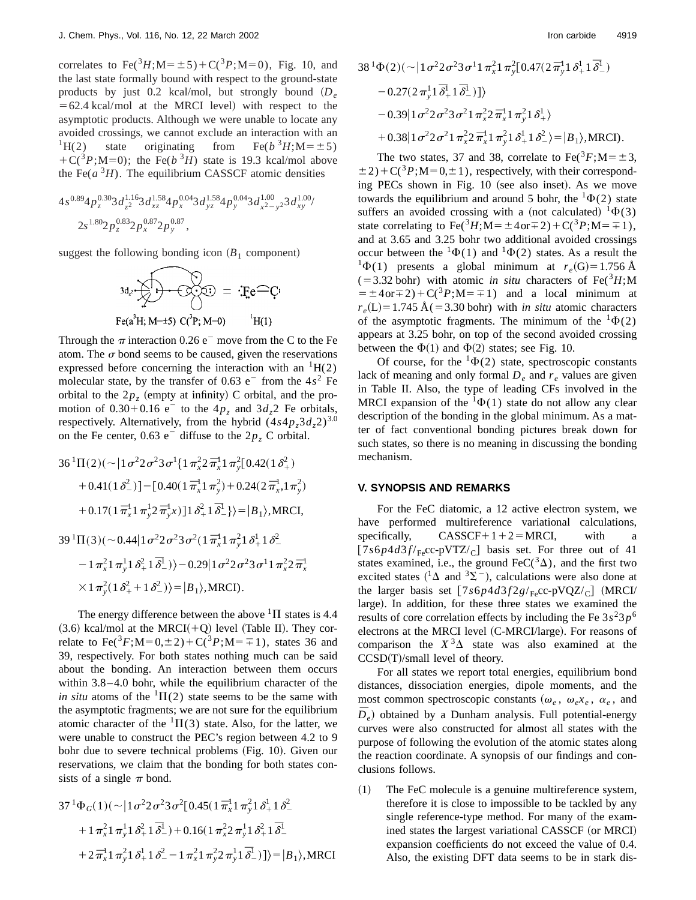correlates to  $\text{Fe}({}^{3}H; M=\pm 5) + C({}^{3}P; M=0)$ , Fig. 10, and the last state formally bound with respect to the ground-state products by just 0.2 kcal/mol, but strongly bound  $(D_e)$  $=62.4$  kcal/mol at the MRCI level) with respect to the asymptotic products. Although we were unable to locate any avoided crossings, we cannot exclude an interaction with an <sup>1</sup>H(2) state originating from Fe( $b^3H$ ; M= $\pm$ 5)  $+C(^{3}P; M=0)$ ; the Fe( $b^{3}H$ ) state is 19.3 kcal/mol above the Fe( $a^3H$ ). The equilibrium CASSCF atomic densities

$$
4s^{0.89}4p_z^{0.30}3d_{z^2}^{1.16}3d_{xz}^{1.58}4p_x^{0.04}3d_{yz}^{1.58}4p_y^{0.04}3d_{x^2-y^2}^{1.00}3d_{xy}^{1.00}
$$
  

$$
2s^{1.80}2p_z^{0.83}2p_x^{0.87}2p_y^{0.87},
$$

suggest the following bonding icon  $(B_1$  component)

$$
3d_2 \cdot \sum_{\text{Fe}(a^3H; M=\pm 5)} \cdot \overbrace{C_1^{(3)}}^{(3)} = \cdot \text{Fe}^{\text{Fe}}C_1^{(3)}.
$$

Through the  $\pi$  interaction 0.26 e<sup>-</sup> move from the C to the Fe atom. The  $\sigma$  bond seems to be caused, given the reservations expressed before concerning the interaction with an  ${}^{1}H(2)$ molecular state, by the transfer of  $0.63$  e<sup>-</sup> from the  $4s<sup>2</sup>$  Fe orbital to the  $2p<sub>z</sub>$  (empty at infinity) C orbital, and the promotion of  $0.30+0.16$  e<sup>-</sup> to the  $4p_z$  and  $3d_z$ <sup>2</sup> Fe orbitals, respectively. Alternatively, from the hybrid  $(4s4p<sub>z</sub>3d<sub>z</sub>2)^{3.0}$ on the Fe center,  $0.63$  e<sup>-</sup> diffuse to the  $2p_z$  C orbital.

$$
36^{1}\Pi(2)(\sim |1\sigma^{2}2\sigma^{2}3\sigma^{1}\{1\pi_{x}^{2}2\bar{\pi}_{x}^{1}1\pi_{y}^{2}[0.42(1\delta_{+}^{2})
$$
  
+0.41(1\delta\_{-}^{2})] - [0.40(1\bar{\pi}\_{x}^{1}1\pi\_{y}^{2}) + 0.24(2\bar{\pi}\_{x}^{1},1\pi\_{y}^{2})  
+ 0.17(1\bar{\pi}\_{x}^{1}1\pi\_{y}^{1}2\bar{\pi}\_{y}^{1}x)]1\delta\_{+}^{2}1\bar{\delta}\_{-}^{1}\}) = |B\_{1}\rangle,MRCI,  
39^{1}\Pi(3)(\sim 0.44|1\sigma^{2}2\sigma^{2}3\sigma^{2}(1\bar{\pi}\_{x}^{1}1\pi\_{y}^{2}1\delta\_{+}^{1}1\delta\_{-}^{2})  
- 1\pi\_{x}^{2}1\pi\_{y}^{1}1\delta\_{+}^{2}1\bar{\delta}\_{-}^{1})\rangle - 0.29|1\sigma^{2}2\sigma^{2}3\sigma^{1}1\pi\_{x}^{2}2\bar{\pi}\_{x}^{1}  
\times 1\pi\_{y}^{2}(1\delta\_{+}^{2}+1\delta\_{-}^{2})\rangle = |B\_{1}\rangle,MRCI).

The energy difference between the above  ${}^{1}\Pi$  states is 4.4  $(3.6)$  kcal/mol at the MRCI(+Q) level (Table II). They correlate to Fe( ${}^{3}F$ ;M=0, $\pm 2$ ) + C( ${}^{3}P$ ;M= $\mp 1$ ), states 36 and 39, respectively. For both states nothing much can be said about the bonding. An interaction between them occurs within 3.8–4.0 bohr, while the equilibrium character of the *in situ* atoms of the  ${}^{1}\Pi(2)$  state seems to be the same with the asymptotic fragments; we are not sure for the equilibrium atomic character of the  ${}^{1}\Pi(3)$  state. Also, for the latter, we were unable to construct the PEC's region between 4.2 to 9 bohr due to severe technical problems (Fig. 10). Given our reservations, we claim that the bonding for both states consists of a single  $\pi$  bond.

$$
37^{1}\Phi_{G}(1)(\sim |1\sigma^{2}2\sigma^{2}3\sigma^{2}[0.45(1\bar{\pi}_{x}^{1}1\pi_{y}^{2}1\delta_{+}^{1}1\delta_{-}^{2})
$$
  
+  $1\pi_{x}^{2}1\pi_{y}^{1}1\delta_{+}^{2}1\bar{\delta}_{-}^{1})+0.16(1\pi_{x}^{2}2\pi_{y}^{1}1\delta_{+}^{2}1\bar{\delta}_{-}^{1})$   
+  $2\bar{\pi}_{x}^{1}1\pi_{y}^{2}1\delta_{+}^{1}1\delta_{-}^{2} - 1\pi_{x}^{2}1\pi_{y}^{2}2\pi_{y}^{1}1\bar{\delta}_{-}^{1})]\rangle=|B_{1}\rangle,MRCI$ 

$$
38^{1}\Phi(2)(\sim |1\sigma^{2}2\sigma^{2}3\sigma^{1}1\pi_{x}^{2}1\pi_{y}^{2}[0.47(2\bar{\pi}_{y}^{1}1\delta_{+}^{1}1\bar{\delta}_{-}^{1})-0.27(2\pi_{y}^{1}1\bar{\delta}_{+}^{1}1\bar{\delta}_{-}^{1})]\rangle-0.39|1\sigma^{2}2\sigma^{2}3\sigma^{2}1\pi_{x}^{2}2\bar{\pi}_{x}^{1}1\pi_{y}^{2}1\delta_{+}^{1}\rangle+0.38|1\sigma^{2}2\sigma^{2}1\pi_{x}^{2}2\bar{\pi}_{x}^{1}1\pi_{y}^{2}1\delta_{+}^{1}1\delta_{-}^{2}\rangle=|B_{1}\rangle,MRCI).
$$

The two states, 37 and 38, correlate to Fe( ${}^{3}F$ ; M= $\pm$ 3,  $\pm 2$ )+C(<sup>3</sup>*P*;M=0, $\pm 1$ ), respectively, with their corresponding PECs shown in Fig.  $10$  (see also inset). As we move towards the equilibrium and around 5 bohr, the  ${}^{1}\Phi(2)$  state suffers an avoided crossing with a (not calculated)  ${}^{1}\Phi(3)$ state correlating to  $\text{Fe}({}^{3}H; M = \pm 4 \text{ or } \mp 2) + C({}^{3}P; M = \mp 1),$ and at 3.65 and 3.25 bohr two additional avoided crossings occur between the  ${}^{1}\Phi(1)$  and  ${}^{1}\Phi(2)$  states. As a result the <sup>1</sup> $\Phi$ (1) presents a global minimum at  $r_e$ (G)=1.756 Å  $(53.32 \text{ bohr})$  with atomic *in situ* characters of Fe(<sup>3</sup>*H*;M  $= \pm 4$ or $\pm 2$ ) + C(<sup>3</sup>*P*;M= $\mp 1$ ) and a local minimum at  $r_e(L) = 1.745 \text{ Å}$ (=3.30 bohr) with *in situ* atomic characters of the asymptotic fragments. The minimum of the  ${}^{1}\Phi(2)$ appears at 3.25 bohr, on top of the second avoided crossing between the  $\Phi(1)$  and  $\Phi(2)$  states; see Fig. 10.

Of course, for the  ${}^{1}\Phi(2)$  state, spectroscopic constants lack of meaning and only formal  $D_e$  and  $r_e$  values are given in Table II. Also, the type of leading CFs involved in the MRCI expansion of the  ${}^{1}\Phi(1)$  state do not allow any clear description of the bonding in the global minimum. As a matter of fact conventional bonding pictures break down for such states, so there is no meaning in discussing the bonding mechanism.

### **V. SYNOPSIS AND REMARKS**

For the FeC diatomic, a 12 active electron system, we have performed multireference variational calculations, specifically,  $CASSCF+1+2=MRCI$ , with a  $[7s6p4d3f/_{Fe}cc-pVTZ/c]$  basis set. For three out of 41 states examined, i.e., the ground  $\text{FeC}(3\Delta)$ , and the first two excited states ( ${}^{1}\Delta$  and  ${}^{3}\Sigma^{-}$ ), calculations were also done at the larger basis set  $\frac{7s6p4d3f2g}{Fe}$ cc-pVQZ/c  $\frac{1}{2}$  (MRCI/ large). In addition, for these three states we examined the results of core correlation effects by including the Fe  $3s<sup>2</sup>3p<sup>6</sup>$ electrons at the MRCI level (C-MRCI/large). For reasons of comparison the  $X^3\Delta$  state was also examined at the  $CCSD(T)/small$  level of theory.

For all states we report total energies, equilibrium bond distances, dissociation energies, dipole moments, and the most common spectroscopic constants  $(\omega_e, \omega_e x_e, \alpha_e, \text{ and } \alpha_e)$  $\overline{D}_e$ ) obtained by a Dunham analysis. Full potential-energy curves were also constructed for almost all states with the purpose of following the evolution of the atomic states along the reaction coordinate. A synopsis of our findings and conclusions follows.

 $(1)$  The FeC molecule is a genuine multireference system, therefore it is close to impossible to be tackled by any single reference-type method. For many of the examined states the largest variational CASSCF (or MRCI) expansion coefficients do not exceed the value of 0.4. Also, the existing DFT data seems to be in stark dis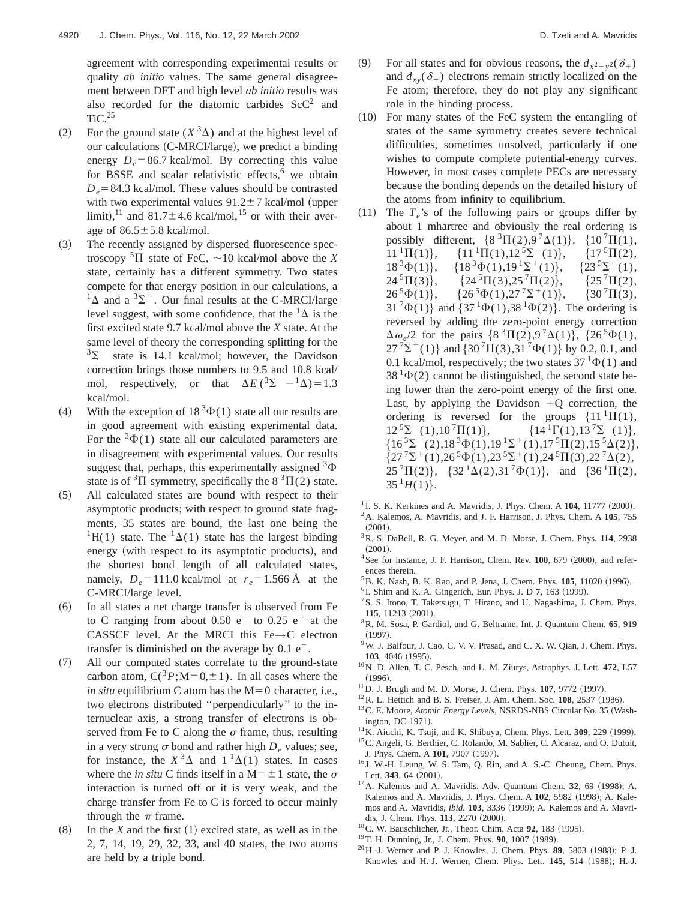agreement with corresponding experimental results or quality *ab initio* values. The same general disagreement between DFT and high level *ab initio* results was also recorded for the diatomic carbides  $ScC<sup>2</sup>$  and  $TiC.<sup>25</sup>$ 

- (2) For the ground state  $(X^3\Delta)$  and at the highest level of our calculations (C-MRCI/large), we predict a binding energy  $D_e = 86.7$  kcal/mol. By correcting this value for BSSE and scalar relativistic effects, $6$  we obtain  $D_e$ =84.3 kcal/mol. These values should be contrasted with two experimental values  $91.2 \pm 7$  kcal/mol (upper limit),<sup>11</sup> and 81.7 $\pm$ 4.6 kcal/mol,<sup>15</sup> or with their average of  $86.5 \pm 5.8$  kcal/mol.
- (3) The recently assigned by dispersed fluorescence spectroscopy  ${}^{5}\Pi$  state of FeC,  $\sim$ 10 kcal/mol above the *X* state, certainly has a different symmetry. Two states compete for that energy position in our calculations, a  ${}^{1}\Delta$  and a  ${}^{3}\Sigma^{-}$ . Our final results at the C-MRCI/large level suggest, with some confidence, that the  ${}^{1}\Delta$  is the first excited state 9.7 kcal/mol above the *X* state. At the same level of theory the corresponding splitting for the  $3\Sigma^-$  state is 14.1 kcal/mol; however, the Davidson correction brings those numbers to 9.5 and 10.8 kcal/ mol, respectively, or that  $\Delta E(^{3}\Sigma^{--1}\Delta)=1.3$ kcal/mol.
- (4) With the exception of  $18^3\Phi(1)$  state all our results are in good agreement with existing experimental data. For the  $3\Phi(1)$  state all our calculated parameters are in disagreement with experimental values. Our results suggest that, perhaps, this experimentally assigned  $3\Phi$ state is of  ${}^{3}$  $\Pi$  symmetry, specifically the 8  ${}^{3}$  $\Pi$ (2) state.
- ~5! All calculated states are bound with respect to their asymptotic products; with respect to ground state fragments, 35 states are bound, the last one being the <sup>1</sup>H(1) state. The <sup>1</sup> $\Delta$ (1) state has the largest binding energy (with respect to its asymptotic products), and the shortest bond length of all calculated states, namely,  $D_e = 111.0$  kcal/mol at  $r_e = 1.566$  Å at the C-MRCI/large level.
- ~6! In all states a net charge transfer is observed from Fe to C ranging from about  $0.50 e^-$  to  $0.25 e^-$  at the CASSCF level. At the MRCI this Fe→C electron transfer is diminished on the average by  $0.1 e^{-}$ .
- (7) All our computed states correlate to the ground-state carbon atom,  $C({}^{3}P; M=0,\pm 1)$ . In all cases where the *in situ* equilibrium C atom has the  $M=0$  character, i.e., two electrons distributed ''perpendicularly'' to the internuclear axis, a strong transfer of electrons is observed from Fe to C along the  $\sigma$  frame, thus, resulting in a very strong  $\sigma$  bond and rather high  $D_e$  values; see, for instance, the  $X^3\Delta$  and  $1^1\Delta(1)$  states. In cases where the *in situ* C finds itself in a  $M = \pm 1$  state, the  $\sigma$ interaction is turned off or it is very weak, and the charge transfer from Fe to C is forced to occur mainly through the  $\pi$  frame.
- $(8)$  In the *X* and the first  $(1)$  excited state, as well as in the 2, 7, 14, 19, 29, 32, 33, and 40 states, the two atoms are held by a triple bond.
- (9) For all states and for obvious reasons, the  $d_{x^2-y^2}(\delta_+)$ and  $d_{xy}(\delta_-)$  electrons remain strictly localized on the Fe atom; therefore, they do not play any significant role in the binding process.
- $(10)$  For many states of the FeC system the entangling of states of the same symmetry creates severe technical difficulties, sometimes unsolved, particularly if one wishes to compute complete potential-energy curves. However, in most cases complete PECs are necessary because the bonding depends on the detailed history of the atoms from infinity to equilibrium.
- $(11)$  The  $T_e$ 's of the following pairs or groups differ by about 1 mhartree and obviously the real ordering is possibly different,  $\{8^3\Pi(2), 9^7\Delta(1)\}, \{10^7\Pi(1),$  $11^{1} \Pi(1)$ ,  $\{11^{1} \Pi(1),12^{5} \Sigma^{-}(1)\}$ ,  $\{17^{5} \Pi(2),$ 18<sup>3</sup> $\Phi(1)$ , {18<sup>3</sup> $\Phi(1)$ ,19<sup>1</sup> $\Sigma$ <sup>+</sup>(1), {23<sup>5</sup> $\Sigma$ <sup>+</sup>(1),<br>24<sup>5</sup> $\Pi$ (3), {24<sup>5</sup> $\Pi$ (3),25<sup>7</sup> $\Pi$ (2), {25<sup>7</sup> $\Pi$ (2),  ${24^5\Pi(3), 25^7\Pi(2)},$  $26^{5}\Phi(1)$ ,  $\{26^{5}\Phi(1),27^{7}\Sigma^{+}(1)\}, \{30^{7}\Pi(3),$  $31^{7}\Phi(1)$  and  $\{37^{1}\Phi(1),38^{1}\Phi(2)\}$ . The ordering is reversed by adding the zero-point energy correction  $\Delta \omega_e/2$  for the pairs  $\{8^3\Pi(2), 9^7\Delta(1)\},\ \{26^5\Phi(1),\$  $27^{7} \Sigma^{+}(1)$  and  $\{30^{7} \Pi(3),31^{7} \Phi(1)\}\$  by 0.2, 0.1, and 0.1 kcal/mol, respectively; the two states  $37<sup>1</sup>\Phi(1)$  and  $38<sup>1</sup>\Phi(2)$  cannot be distinguished, the second state being lower than the zero-point energy of the first one. Last, by applying the Davidson  $+Q$  correction, the ordering is reversed for the groups  $\{11^1\Pi(1),$ <br>12<sup>5</sup> $\Sigma^-(1), 10^7\Pi(1)\},\{14^1\Gamma(1), 13^7\Sigma^-(1)\},\$  ${14^1}\Gamma(1),13^7\Sigma^-(1)$ ,  $\{16^3\Sigma^-(2),18^3\Phi(1),19^1\Sigma^+(1),17^5\Pi(2),15^5\Delta(2)\},\}$  $\{27^{7}\Sigma^{+}(1),26^{5}\Phi(1),23^{5}\Sigma^{+}(1),24^{5}\Pi(3),22^{7}\Delta(2),\}$  $25^{7}\Pi(2)$ ,  $\{32^{1}\Delta(2),31^{7}\Phi(1)\}$ , and  $\{36^{1}\Pi(2),$  $35^1H(1)$ .
- $1$ I. S. K. Kerkines and A. Mavridis, J. Phys. Chem. A  $104$ , 11777 (2000). 2A. Kalemos, A. Mavridis, and J. F. Harrison, J. Phys. Chem. A **105**, 755
- $(2001).$ 3R. S. DaBell, R. G. Meyer, and M. D. Morse, J. Chem. Phys. **114**, 2938
- $(2001).$ <sup>4</sup> See for instance, J. F. Harrison, Chem. Rev. 100, 679 (2000), and refer-
- ences therein.
- <sup>5</sup> B. K. Nash, B. K. Rao, and P. Jena, J. Chem. Phys. **105**, 11020 (1996).
- ${}^{6}$ I. Shim and K. A. Gingerich, Eur. Phys. J. D  $7$ , 163 (1999).
- <sup>7</sup>S. S. Itono, T. Taketsugu, T. Hirano, and U. Nagashima, J. Chem. Phys. **115**, 11213 (2001).
- 8R. M. Sosa, P. Gardiol, and G. Beltrame, Int. J. Quantum Chem. **65**, 919  $(1997)$ .
- 9W. J. Balfour, J. Cao, C. V. V. Prasad, and C. X. W. Qian, J. Chem. Phys. **103**, 4046 (1995).
- 10N. D. Allen, T. C. Pesch, and L. M. Ziurys, Astrophys. J. Lett. **472**, L57  $(1996).$
- $11$  D. J. Brugh and M. D. Morse, J. Chem. Phys.  $107$ , 9772 (1997).
- <sup>12</sup>R. L. Hettich and B. S. Freiser, J. Am. Chem. Soc. **108**, 2537 (1986).
- <sup>13</sup> C. E. Moore, *Atomic Energy Levels*, NSRDS-NBS Circular No. 35 (Washington, DC 1971).
- <sup>14</sup>K. Aiuchi, K. Tsuji, and K. Shibuya, Chem. Phys. Lett. **309**, 229 (1999). <sup>15</sup>C. Angeli, G. Berthier, C. Rolando, M. Sablier, C. Alcaraz, and O. Dutuit,
- J. Phys. Chem. A 101, 7907 (1997).
- <sup>16</sup> J. W.-H. Leung, W. S. Tam, Q. Rin, and A. S.-C. Cheung, Chem. Phys. Lett. 343, 64 (2001).
- $17$ A. Kalemos and A. Mavridis, Adv. Quantum Chem.  $32$ , 69 (1998); A. Kalemos and A. Mavridis, J. Phys. Chem. A 102, 5982 (1998); A. Kalemos and A. Mavridis, *ibid.* 103, 3336 (1999); A. Kalemos and A. Mavridis, J. Chem. Phys. 113, 2270 (2000).
- <sup>18</sup>C. W. Bauschlicher, Jr., Theor. Chim. Acta **92**, 183 (1995).
- <sup>19</sup> T. H. Dunning, Jr., J. Chem. Phys. **90**, 1007 (1989).
- <sup>20</sup> H.-J. Werner and P. J. Knowles, J. Chem. Phys. **89**, 5803 (1988); P. J. Knowles and H.-J. Werner, Chem. Phys. Lett. **145**, 514 (1988); H.-J.